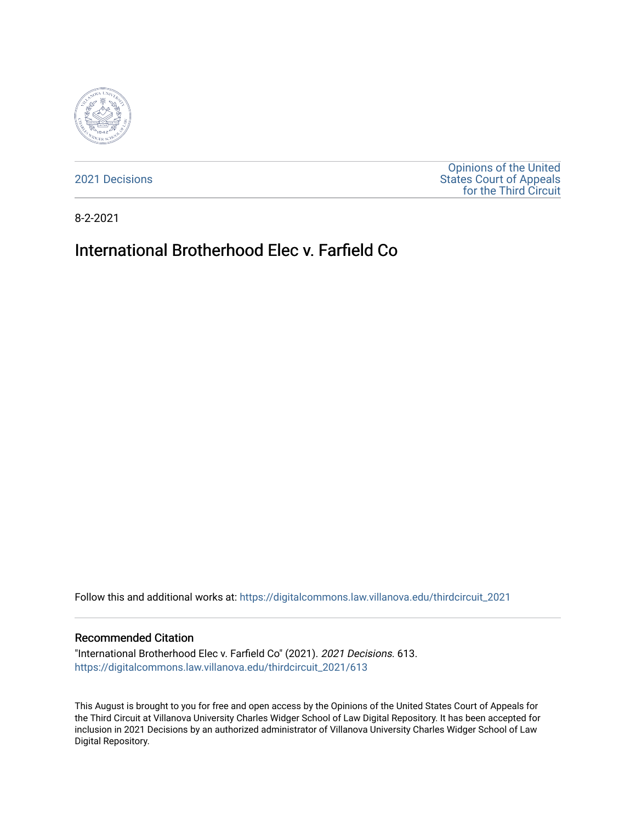

[2021 Decisions](https://digitalcommons.law.villanova.edu/thirdcircuit_2021)

[Opinions of the United](https://digitalcommons.law.villanova.edu/thirdcircuit)  [States Court of Appeals](https://digitalcommons.law.villanova.edu/thirdcircuit)  [for the Third Circuit](https://digitalcommons.law.villanova.edu/thirdcircuit) 

8-2-2021

# International Brotherhood Elec v. Farfield Co

Follow this and additional works at: [https://digitalcommons.law.villanova.edu/thirdcircuit\\_2021](https://digitalcommons.law.villanova.edu/thirdcircuit_2021?utm_source=digitalcommons.law.villanova.edu%2Fthirdcircuit_2021%2F613&utm_medium=PDF&utm_campaign=PDFCoverPages) 

## Recommended Citation

"International Brotherhood Elec v. Farfield Co" (2021). 2021 Decisions. 613. [https://digitalcommons.law.villanova.edu/thirdcircuit\\_2021/613](https://digitalcommons.law.villanova.edu/thirdcircuit_2021/613?utm_source=digitalcommons.law.villanova.edu%2Fthirdcircuit_2021%2F613&utm_medium=PDF&utm_campaign=PDFCoverPages)

This August is brought to you for free and open access by the Opinions of the United States Court of Appeals for the Third Circuit at Villanova University Charles Widger School of Law Digital Repository. It has been accepted for inclusion in 2021 Decisions by an authorized administrator of Villanova University Charles Widger School of Law Digital Repository.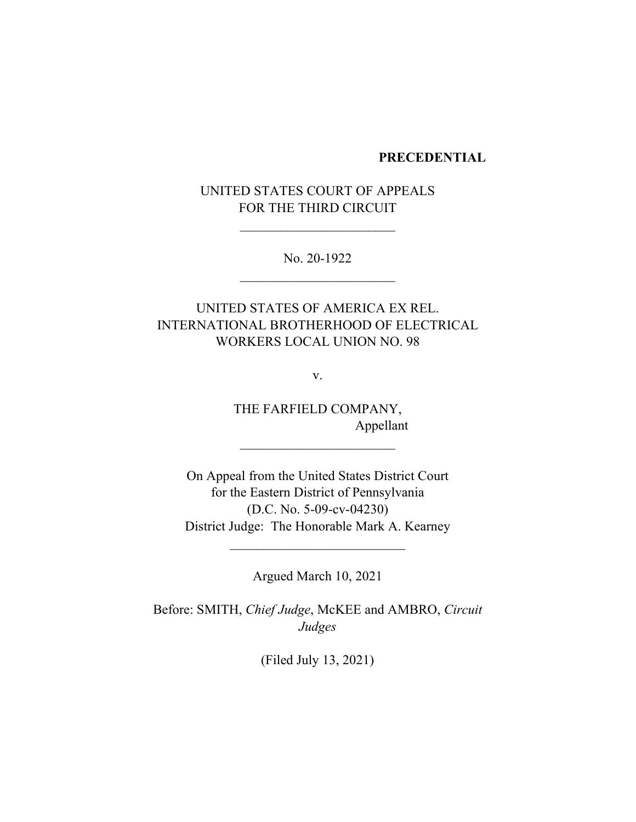## **PRECEDENTIAL**

# UNITED STATES COURT OF APPEALS FOR THE THIRD CIRCUIT

 $\overline{\phantom{a}}$  , where  $\overline{\phantom{a}}$  , where  $\overline{\phantom{a}}$  , where  $\overline{\phantom{a}}$  , where  $\overline{\phantom{a}}$ 

No. 20-1922  $\overline{\phantom{a}}$  , where  $\overline{\phantom{a}}$  , where  $\overline{\phantom{a}}$  , where  $\overline{\phantom{a}}$  ,  $\overline{\phantom{a}}$  ,  $\overline{\phantom{a}}$  ,  $\overline{\phantom{a}}$  ,  $\overline{\phantom{a}}$  ,  $\overline{\phantom{a}}$  ,  $\overline{\phantom{a}}$  ,  $\overline{\phantom{a}}$  ,  $\overline{\phantom{a}}$  ,  $\overline{\phantom{a}}$  ,  $\overline{\phantom{a}}$  ,  $\overline{\phantom$ 

UNITED STATES OF AMERICA EX REL. INTERNATIONAL BROTHERHOOD OF ELECTRICAL WORKERS LOCAL UNION NO. 98

v.

THE FARFIELD COMPANY, Appellant

 $\mathcal{L}=\{1,2,3,4,5\}$ 

On Appeal from the United States District Court for the Eastern District of Pennsylvania (D.C. No. 5-09-cv-04230) District Judge: The Honorable Mark A. Kearney

Argued March 10, 2021

 $\overline{\phantom{a}}$  , where  $\overline{\phantom{a}}$ 

Before: SMITH, *Chief Judge*, McKEE and AMBRO, *Circuit Judges*

(Filed July 13, 2021)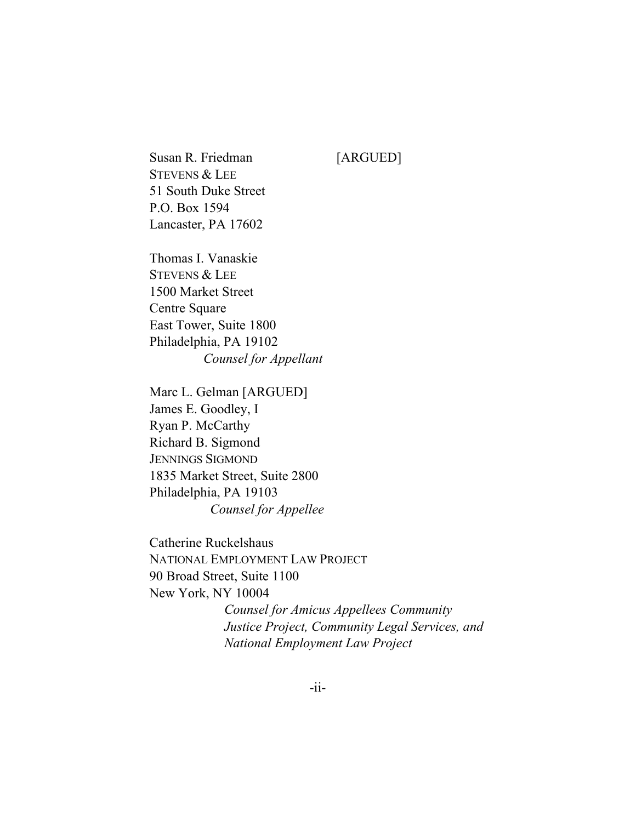Susan R. Friedman [ARGUED] STEVENS & LEE 51 South Duke Street P.O. Box 1594 Lancaster, PA 17602

Thomas I. Vanaskie STEVENS & LEE 1500 Market Street Centre Square East Tower, Suite 1800 Philadelphia, PA 19102 *Counsel for Appellant*

Marc L. Gelman [ARGUED] James E. Goodley, I Ryan P. McCarthy Richard B. Sigmond JENNINGS SIGMOND 1835 Market Street, Suite 2800 Philadelphia, PA 19103 *Counsel for Appellee*

Catherine Ruckelshaus NATIONAL EMPLOYMENT LAW PROJECT 90 Broad Street, Suite 1100 New York, NY 10004 *Counsel for Amicus Appellees Community Justice Project, Community Legal Services, and National Employment Law Project*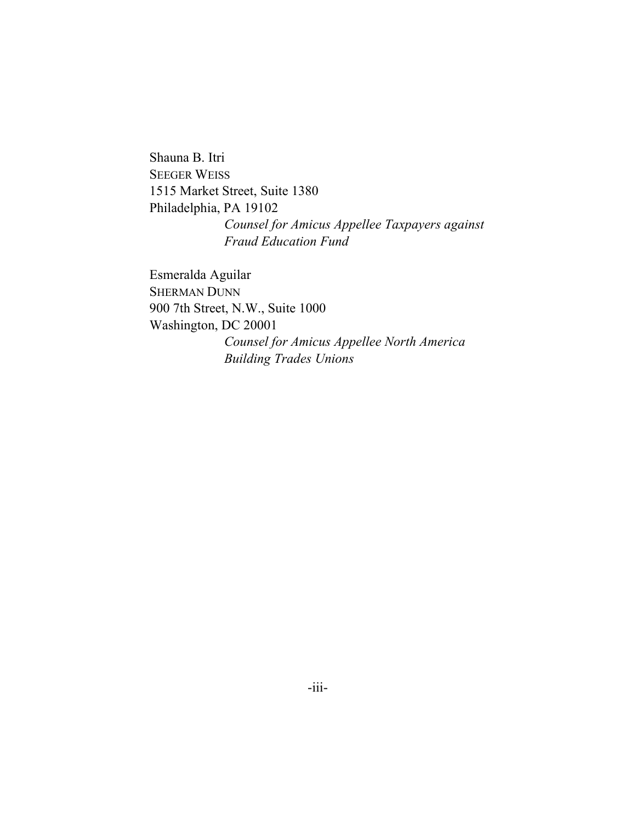Shauna B. Itri SEEGER WEISS 1515 Market Street, Suite 1380 Philadelphia, PA 19102 *Counsel for Amicus Appellee Taxpayers against Fraud Education Fund* 

Esmeralda Aguilar SHERMAN DUNN 900 7th Street, N.W., Suite 1000 Washington, DC 20001 *Counsel for Amicus Appellee North America Building Trades Unions*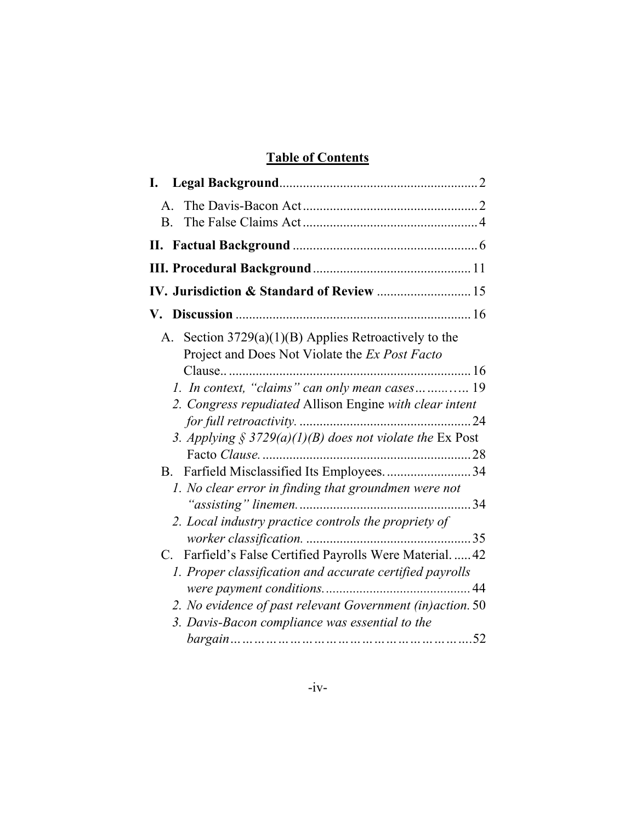# **Table of Contents**

| A <sub>1</sub>                                                                                          |  |
|---------------------------------------------------------------------------------------------------------|--|
| $\mathbf{B}$                                                                                            |  |
|                                                                                                         |  |
|                                                                                                         |  |
|                                                                                                         |  |
|                                                                                                         |  |
| A. Section 3729(a)(1)(B) Applies Retroactively to the<br>Project and Does Not Violate the Ex Post Facto |  |
|                                                                                                         |  |
| 1. In context, "claims" can only mean cases 19                                                          |  |
| 2. Congress repudiated Allison Engine with clear intent                                                 |  |
|                                                                                                         |  |
| 3. Applying § 3729(a)(1)(B) does not violate the Ex Post                                                |  |
|                                                                                                         |  |
| B. Farfield Misclassified Its Employees.  34                                                            |  |
| 1. No clear error in finding that groundmen were not                                                    |  |
|                                                                                                         |  |
| 2. Local industry practice controls the propriety of                                                    |  |
|                                                                                                         |  |
| Farfield's False Certified Payrolls Were Material.  42<br>C.                                            |  |
| 1. Proper classification and accurate certified payrolls                                                |  |
|                                                                                                         |  |
| 2. No evidence of past relevant Government (in) action. 50                                              |  |
| 3. Davis-Bacon compliance was essential to the                                                          |  |
|                                                                                                         |  |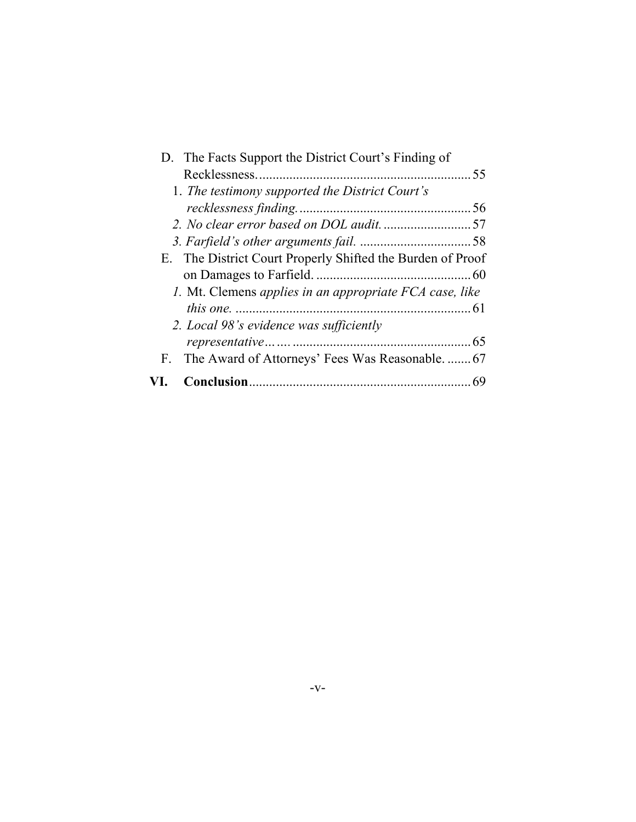| D. The Facts Support the District Court's Finding of       |
|------------------------------------------------------------|
|                                                            |
| 1. The testimony supported the District Court's            |
|                                                            |
|                                                            |
|                                                            |
| E. The District Court Properly Shifted the Burden of Proof |
|                                                            |
| 1. Mt. Clemens applies in an appropriate FCA case, like    |
|                                                            |
| 2. Local 98's evidence was sufficiently                    |
|                                                            |
| F. The Award of Attorneys' Fees Was Reasonable 67          |
|                                                            |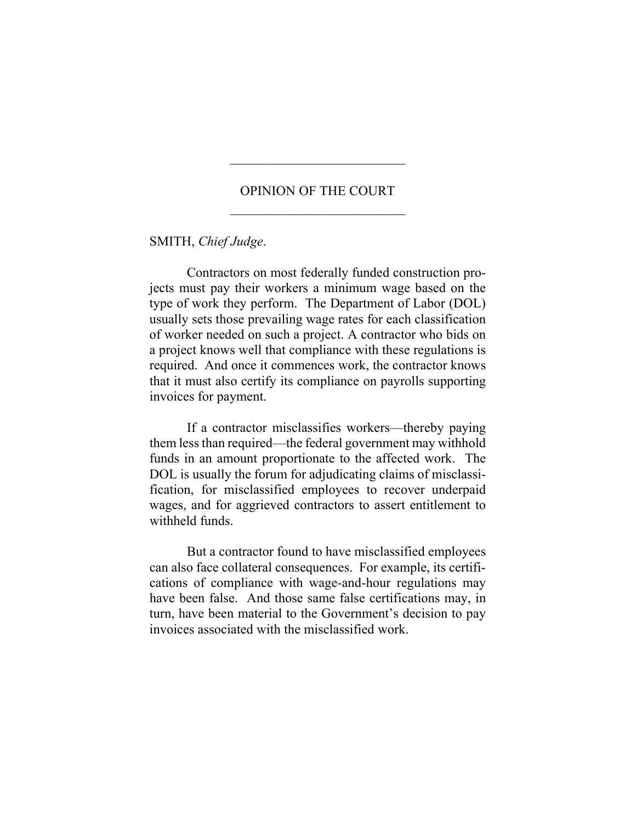# OPINION OF THE COURT  $\frac{1}{2}$  ,  $\frac{1}{2}$  ,  $\frac{1}{2}$  ,  $\frac{1}{2}$  ,  $\frac{1}{2}$  ,  $\frac{1}{2}$  ,  $\frac{1}{2}$  ,  $\frac{1}{2}$  ,  $\frac{1}{2}$  ,  $\frac{1}{2}$  ,  $\frac{1}{2}$  ,  $\frac{1}{2}$  ,  $\frac{1}{2}$  ,  $\frac{1}{2}$  ,  $\frac{1}{2}$  ,  $\frac{1}{2}$  ,  $\frac{1}{2}$  ,  $\frac{1}{2}$  ,  $\frac{1$

\_\_\_\_\_\_\_\_\_\_\_\_\_\_\_\_\_\_\_\_\_\_\_\_\_\_

# SMITH, *Chief Judge*.

Contractors on most federally funded construction projects must pay their workers a minimum wage based on the type of work they perform. The Department of Labor (DOL) usually sets those prevailing wage rates for each classification of worker needed on such a project. A contractor who bids on a project knows well that compliance with these regulations is required. And once it commences work, the contractor knows that it must also certify its compliance on payrolls supporting invoices for payment.

If a contractor misclassifies workers—thereby paying them less than required—the federal government may withhold funds in an amount proportionate to the affected work. The DOL is usually the forum for adjudicating claims of misclassification, for misclassified employees to recover underpaid wages, and for aggrieved contractors to assert entitlement to withheld funds.

But a contractor found to have misclassified employees can also face collateral consequences. For example, its certifications of compliance with wage-and-hour regulations may have been false. And those same false certifications may, in turn, have been material to the Government's decision to pay invoices associated with the misclassified work.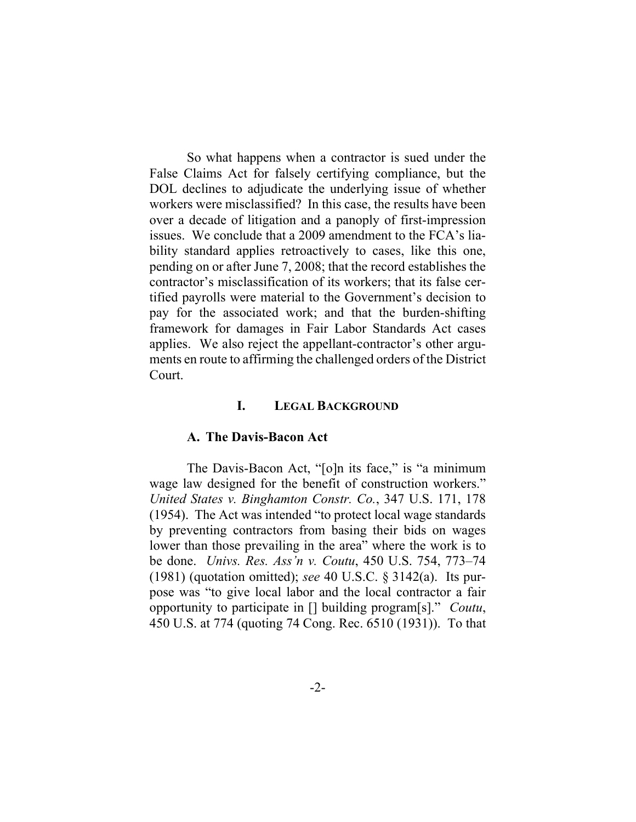So what happens when a contractor is sued under the False Claims Act for falsely certifying compliance, but the DOL declines to adjudicate the underlying issue of whether workers were misclassified? In this case, the results have been over a decade of litigation and a panoply of first-impression issues. We conclude that a 2009 amendment to the FCA's liability standard applies retroactively to cases, like this one, pending on or after June 7, 2008; that the record establishes the contractor's misclassification of its workers; that its false certified payrolls were material to the Government's decision to pay for the associated work; and that the burden-shifting framework for damages in Fair Labor Standards Act cases applies. We also reject the appellant-contractor's other arguments en route to affirming the challenged orders of the District Court.

# **I. LEGAL BACKGROUND**

#### **A. The Davis-Bacon Act**

The Davis-Bacon Act, "[o]n its face," is "a minimum wage law designed for the benefit of construction workers." *United States v. Binghamton Constr. Co.*, 347 U.S. 171, 178 (1954). The Act was intended "to protect local wage standards by preventing contractors from basing their bids on wages lower than those prevailing in the area" where the work is to be done. *Univs. Res. Ass'n v. Coutu*, 450 U.S. 754, 773–74 (1981) (quotation omitted); *see* 40 U.S.C. § 3142(a). Its purpose was "to give local labor and the local contractor a fair opportunity to participate in [] building program[s]." *Coutu*, 450 U.S. at 774 (quoting 74 Cong. Rec. 6510 (1931)). To that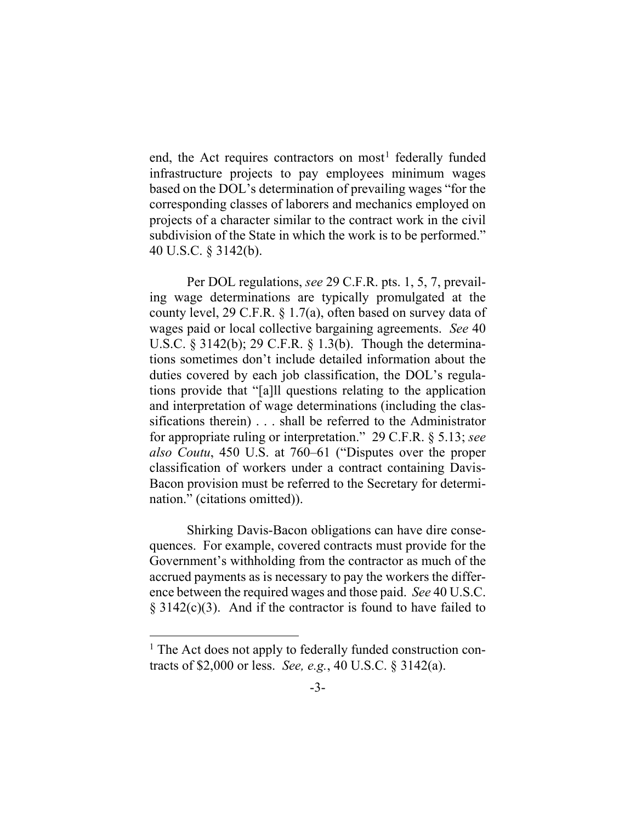end, the Act requires contractors on most<sup>1</sup> federally funded infrastructure projects to pay employees minimum wages based on the DOL's determination of prevailing wages "for the corresponding classes of laborers and mechanics employed on projects of a character similar to the contract work in the civil subdivision of the State in which the work is to be performed." 40 U.S.C. § 3142(b).

Per DOL regulations, *see* 29 C.F.R. pts. 1, 5, 7, prevailing wage determinations are typically promulgated at the county level, 29 C.F.R. § 1.7(a), often based on survey data of wages paid or local collective bargaining agreements. *See* 40 U.S.C. § 3142(b); 29 C.F.R. § 1.3(b). Though the determinations sometimes don't include detailed information about the duties covered by each job classification, the DOL's regulations provide that "[a]ll questions relating to the application and interpretation of wage determinations (including the classifications therein) . . . shall be referred to the Administrator for appropriate ruling or interpretation." 29 C.F.R. § 5.13; *see also Coutu*, 450 U.S. at 760–61 ("Disputes over the proper classification of workers under a contract containing Davis-Bacon provision must be referred to the Secretary for determination." (citations omitted)).

Shirking Davis-Bacon obligations can have dire consequences. For example, covered contracts must provide for the Government's withholding from the contractor as much of the accrued payments as is necessary to pay the workers the difference between the required wages and those paid. *See* 40 U.S.C.  $\S 3142(c)(3)$ . And if the contractor is found to have failed to

 $<sup>1</sup>$  The Act does not apply to federally funded construction con-</sup> tracts of \$2,000 or less. *See, e.g.*, 40 U.S.C. § 3142(a).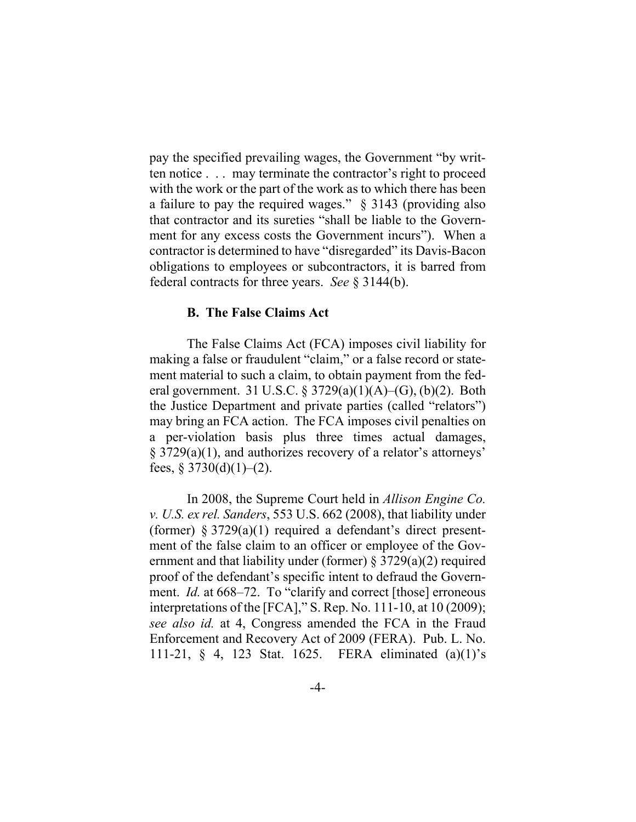pay the specified prevailing wages, the Government "by written notice . . . may terminate the contractor's right to proceed with the work or the part of the work as to which there has been a failure to pay the required wages." § 3143 (providing also that contractor and its sureties "shall be liable to the Government for any excess costs the Government incurs"). When a contractor is determined to have "disregarded" its Davis-Bacon obligations to employees or subcontractors, it is barred from federal contracts for three years. *See* § 3144(b).

### **B. The False Claims Act**

The False Claims Act (FCA) imposes civil liability for making a false or fraudulent "claim," or a false record or statement material to such a claim, to obtain payment from the federal government. 31 U.S.C. § 3729(a)(1)(A)–(G), (b)(2). Both the Justice Department and private parties (called "relators") may bring an FCA action. The FCA imposes civil penalties on a per-violation basis plus three times actual damages, § 3729(a)(1), and authorizes recovery of a relator's attorneys' fees,  $\S 3730(d)(1)–(2)$ .

In 2008, the Supreme Court held in *Allison Engine Co. v. U.S. ex rel. Sanders*, 553 U.S. 662 (2008), that liability under (former)  $\S 3729(a)(1)$  required a defendant's direct presentment of the false claim to an officer or employee of the Government and that liability under (former) § 3729(a)(2) required proof of the defendant's specific intent to defraud the Government. *Id.* at 668–72. To "clarify and correct [those] erroneous interpretations of the [FCA]," S. Rep. No. 111-10, at 10 (2009); *see also id.* at 4, Congress amended the FCA in the Fraud Enforcement and Recovery Act of 2009 (FERA). Pub. L. No. 111-21, § 4, 123 Stat. 1625. FERA eliminated (a)(1)'s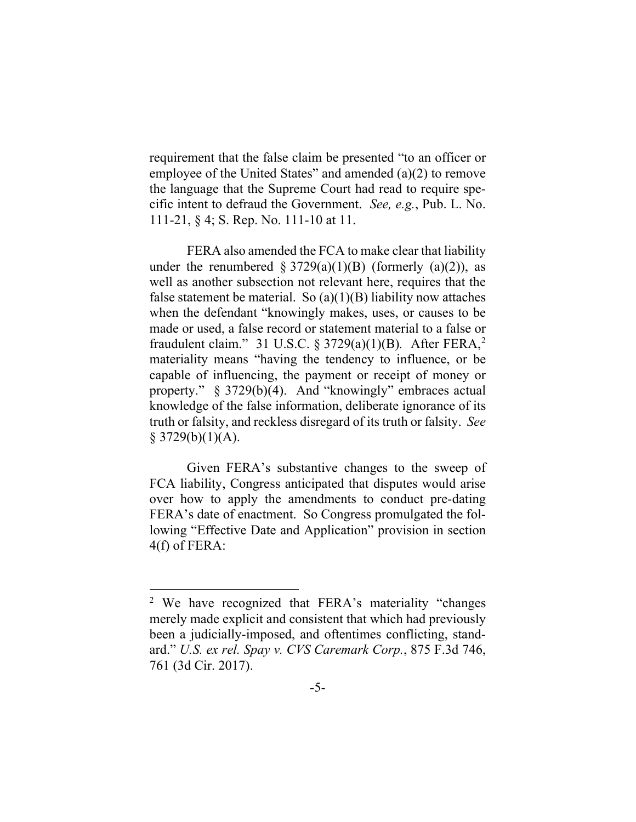requirement that the false claim be presented "to an officer or employee of the United States" and amended (a)(2) to remove the language that the Supreme Court had read to require specific intent to defraud the Government. *See, e.g.*, Pub. L. No. 111-21, § 4; S. Rep. No. 111-10 at 11.

FERA also amended the FCA to make clear that liability under the renumbered  $\S 3729(a)(1)(B)$  (formerly (a)(2)), as well as another subsection not relevant here, requires that the false statement be material. So  $(a)(1)(B)$  liability now attaches when the defendant "knowingly makes, uses, or causes to be made or used, a false record or statement material to a false or fraudulent claim." 31 U.S.C. § 3729(a)(1)(B)*.* After FERA,2 materiality means "having the tendency to influence, or be capable of influencing, the payment or receipt of money or property." § 3729(b)(4). And "knowingly" embraces actual knowledge of the false information, deliberate ignorance of its truth or falsity, and reckless disregard of its truth or falsity. *See*   $§$  3729(b)(1)(A).

Given FERA's substantive changes to the sweep of FCA liability, Congress anticipated that disputes would arise over how to apply the amendments to conduct pre-dating FERA's date of enactment. So Congress promulgated the following "Effective Date and Application" provision in section 4(f) of FERA:

<sup>2</sup> We have recognized that FERA's materiality "changes merely made explicit and consistent that which had previously been a judicially-imposed, and oftentimes conflicting, standard." *U.S. ex rel. Spay v. CVS Caremark Corp.*, 875 F.3d 746, 761 (3d Cir. 2017).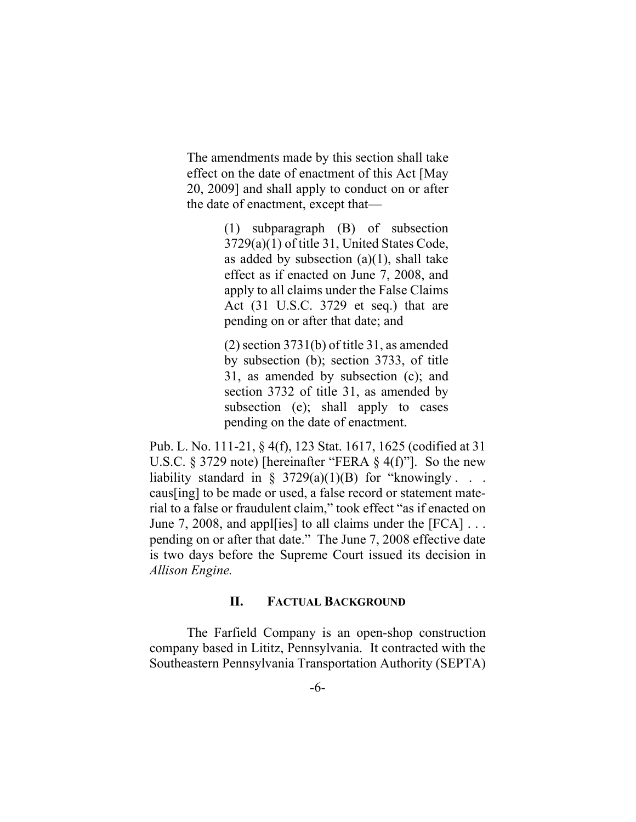The amendments made by this section shall take effect on the date of enactment of this Act [May 20, 2009] and shall apply to conduct on or after the date of enactment, except that—

> (1) subparagraph (B) of subsection 3729(a)(1) of title 31, United States Code, as added by subsection  $(a)(1)$ , shall take effect as if enacted on June 7, 2008, and apply to all claims under the False Claims Act (31 U.S.C. 3729 et seq.) that are pending on or after that date; and

> (2) section 3731(b) of title 31, as amended by subsection (b); section 3733, of title 31, as amended by subsection (c); and section 3732 of title 31, as amended by subsection (e); shall apply to cases pending on the date of enactment.

Pub. L. No. 111-21, § 4(f), 123 Stat. 1617, 1625 (codified at 31 U.S.C. § 3729 note) [hereinafter "FERA § 4(f)"]. So the new liability standard in § 3729(a)(1)(B) for "knowingly  $\ldots$ . caus[ing] to be made or used, a false record or statement material to a false or fraudulent claim," took effect "as if enacted on June 7, 2008, and apple is all claims under the [FCA]  $\dots$ pending on or after that date." The June 7, 2008 effective date is two days before the Supreme Court issued its decision in *Allison Engine.* 

# **II. FACTUAL BACKGROUND**

The Farfield Company is an open-shop construction company based in Lititz, Pennsylvania. It contracted with the Southeastern Pennsylvania Transportation Authority (SEPTA)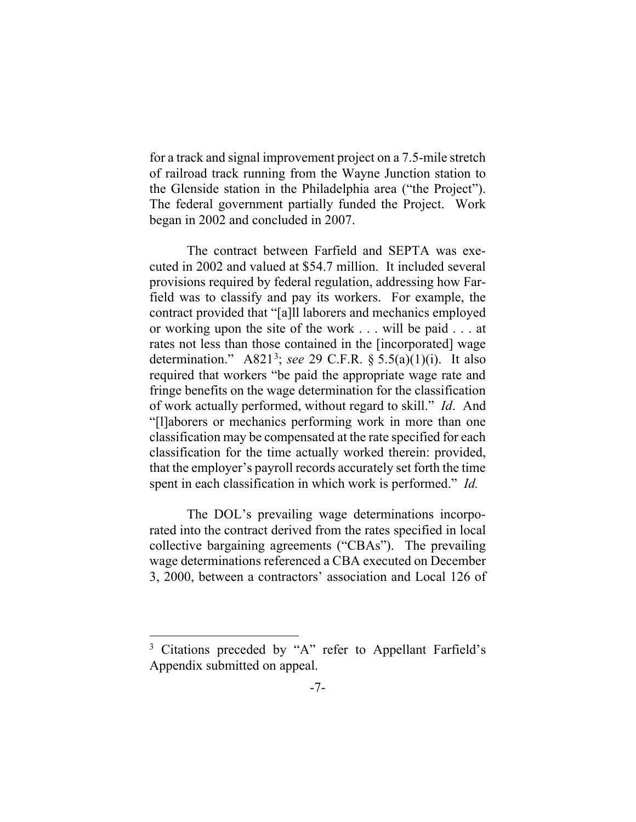for a track and signal improvement project on a 7.5-mile stretch of railroad track running from the Wayne Junction station to the Glenside station in the Philadelphia area ("the Project"). The federal government partially funded the Project. Work began in 2002 and concluded in 2007.

The contract between Farfield and SEPTA was executed in 2002 and valued at \$54.7 million. It included several provisions required by federal regulation, addressing how Farfield was to classify and pay its workers. For example, the contract provided that "[a]ll laborers and mechanics employed or working upon the site of the work . . . will be paid . . . at rates not less than those contained in the [incorporated] wage determination." A8213 ; *see* 29 C.F.R. § 5.5(a)(1)(i). It also required that workers "be paid the appropriate wage rate and fringe benefits on the wage determination for the classification of work actually performed, without regard to skill." *Id*. And "[l]aborers or mechanics performing work in more than one classification may be compensated at the rate specified for each classification for the time actually worked therein: provided, that the employer's payroll records accurately set forth the time spent in each classification in which work is performed." *Id.*

The DOL's prevailing wage determinations incorporated into the contract derived from the rates specified in local collective bargaining agreements ("CBAs"). The prevailing wage determinations referenced a CBA executed on December 3, 2000, between a contractors' association and Local 126 of

<sup>3</sup> Citations preceded by "A" refer to Appellant Farfield's Appendix submitted on appeal.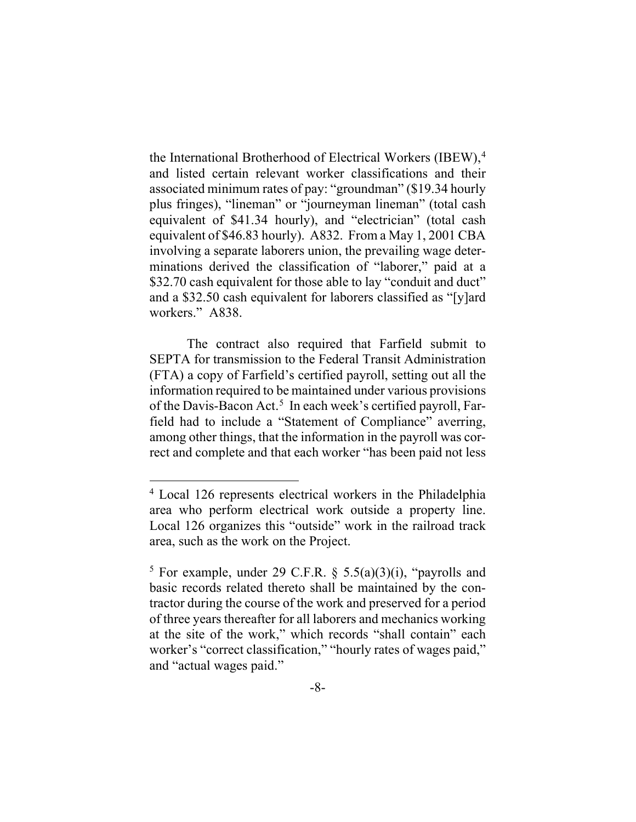the International Brotherhood of Electrical Workers (IBEW),<sup>4</sup> and listed certain relevant worker classifications and their associated minimum rates of pay: "groundman" (\$19.34 hourly plus fringes), "lineman" or "journeyman lineman" (total cash equivalent of \$41.34 hourly), and "electrician" (total cash equivalent of \$46.83 hourly). A832.From a May 1, 2001 CBA involving a separate laborers union, the prevailing wage determinations derived the classification of "laborer," paid at a \$32.70 cash equivalent for those able to lay "conduit and duct" and a \$32.50 cash equivalent for laborers classified as "[y]ard workers." A838.

The contract also required that Farfield submit to SEPTA for transmission to the Federal Transit Administration (FTA) a copy of Farfield's certified payroll, setting out all the information required to be maintained under various provisions of the Davis-Bacon Act. 5 In each week's certified payroll, Farfield had to include a "Statement of Compliance" averring, among other things, that the information in the payroll was correct and complete and that each worker "has been paid not less

<sup>4</sup> Local 126 represents electrical workers in the Philadelphia area who perform electrical work outside a property line. Local 126 organizes this "outside" work in the railroad track area, such as the work on the Project.

<sup>&</sup>lt;sup>5</sup> For example, under 29 C.F.R. § 5.5(a)(3)(i), "payrolls and basic records related thereto shall be maintained by the contractor during the course of the work and preserved for a period of three years thereafter for all laborers and mechanics working at the site of the work," which records "shall contain" each worker's "correct classification," "hourly rates of wages paid," and "actual wages paid."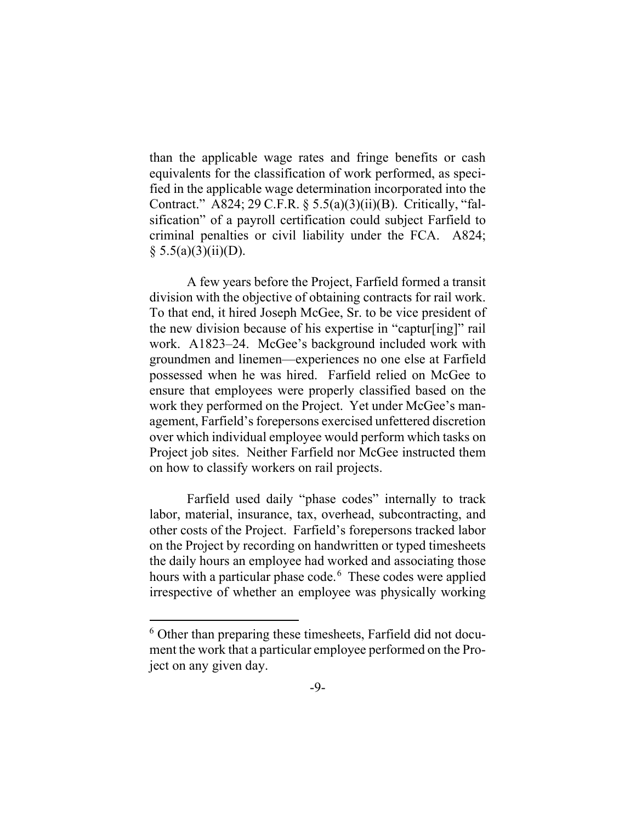than the applicable wage rates and fringe benefits or cash equivalents for the classification of work performed, as specified in the applicable wage determination incorporated into the Contract." A824; 29 C.F.R. § 5.5(a)(3)(ii)(B). Critically, "falsification" of a payroll certification could subject Farfield to criminal penalties or civil liability under the FCA. A824;  $§ 5.5(a)(3)(ii)(D).$ 

A few years before the Project, Farfield formed a transit division with the objective of obtaining contracts for rail work. To that end, it hired Joseph McGee, Sr. to be vice president of the new division because of his expertise in "captur[ing]" rail work. A1823–24. McGee's background included work with groundmen and linemen—experiences no one else at Farfield possessed when he was hired. Farfield relied on McGee to ensure that employees were properly classified based on the work they performed on the Project. Yet under McGee's management, Farfield's forepersons exercised unfettered discretion over which individual employee would perform which tasks on Project job sites. Neither Farfield nor McGee instructed them on how to classify workers on rail projects.

Farfield used daily "phase codes" internally to track labor, material, insurance, tax, overhead, subcontracting, and other costs of the Project. Farfield's forepersons tracked labor on the Project by recording on handwritten or typed timesheets the daily hours an employee had worked and associating those hours with a particular phase code.<sup>6</sup> These codes were applied irrespective of whether an employee was physically working

<sup>6</sup> Other than preparing these timesheets, Farfield did not document the work that a particular employee performed on the Project on any given day.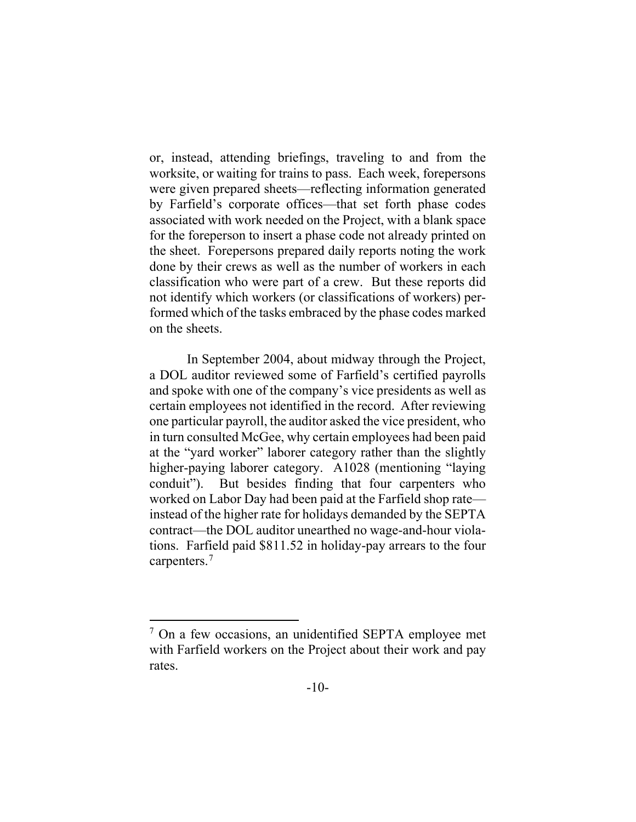or, instead, attending briefings, traveling to and from the worksite, or waiting for trains to pass. Each week, forepersons were given prepared sheets—reflecting information generated by Farfield's corporate offices—that set forth phase codes associated with work needed on the Project, with a blank space for the foreperson to insert a phase code not already printed on the sheet. Forepersons prepared daily reports noting the work done by their crews as well as the number of workers in each classification who were part of a crew. But these reports did not identify which workers (or classifications of workers) performed which of the tasks embraced by the phase codes marked on the sheets.

In September 2004, about midway through the Project, a DOL auditor reviewed some of Farfield's certified payrolls and spoke with one of the company's vice presidents as well as certain employees not identified in the record. After reviewing one particular payroll, the auditor asked the vice president, who in turn consulted McGee, why certain employees had been paid at the "yard worker" laborer category rather than the slightly higher-paying laborer category. A1028 (mentioning "laying conduit"). But besides finding that four carpenters who worked on Labor Day had been paid at the Farfield shop rate instead of the higher rate for holidays demanded by the SEPTA contract—the DOL auditor unearthed no wage-and-hour violations. Farfield paid \$811.52 in holiday-pay arrears to the four carpenters.<sup>7</sup>

 $7$  On a few occasions, an unidentified SEPTA employee met with Farfield workers on the Project about their work and pay rates.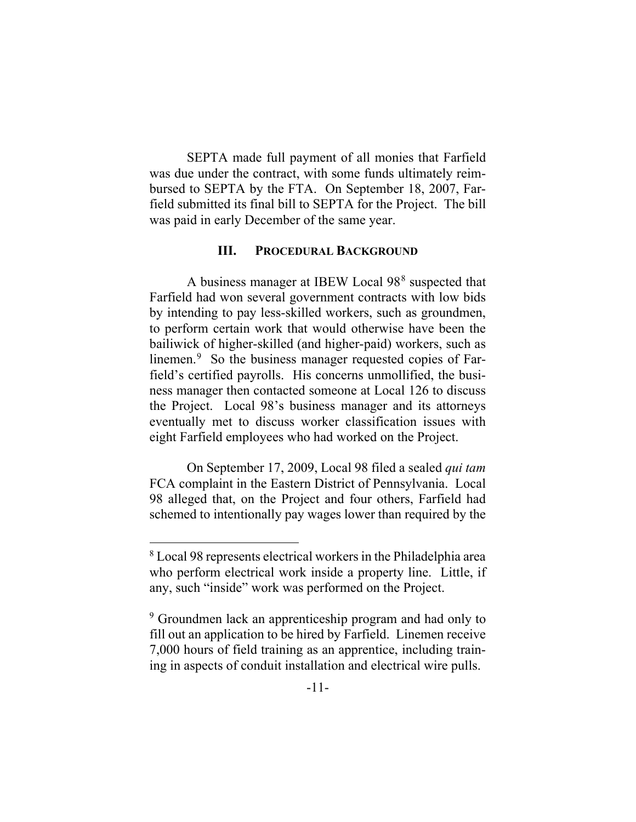SEPTA made full payment of all monies that Farfield was due under the contract, with some funds ultimately reimbursed to SEPTA by the FTA. On September 18, 2007, Farfield submitted its final bill to SEPTA for the Project. The bill was paid in early December of the same year.

# **III. PROCEDURAL BACKGROUND**

A business manager at IBEW Local 988 suspected that Farfield had won several government contracts with low bids by intending to pay less-skilled workers, such as groundmen, to perform certain work that would otherwise have been the bailiwick of higher-skilled (and higher-paid) workers, such as linemen.<sup>9</sup> So the business manager requested copies of Farfield's certified payrolls. His concerns unmollified, the business manager then contacted someone at Local 126 to discuss the Project. Local 98's business manager and its attorneys eventually met to discuss worker classification issues with eight Farfield employees who had worked on the Project.

On September 17, 2009, Local 98 filed a sealed *qui tam* FCA complaint in the Eastern District of Pennsylvania. Local 98 alleged that, on the Project and four others, Farfield had schemed to intentionally pay wages lower than required by the

<sup>8</sup> Local 98 represents electrical workers in the Philadelphia area who perform electrical work inside a property line. Little, if any, such "inside" work was performed on the Project.

<sup>&</sup>lt;sup>9</sup> Groundmen lack an apprenticeship program and had only to fill out an application to be hired by Farfield. Linemen receive 7,000 hours of field training as an apprentice, including training in aspects of conduit installation and electrical wire pulls.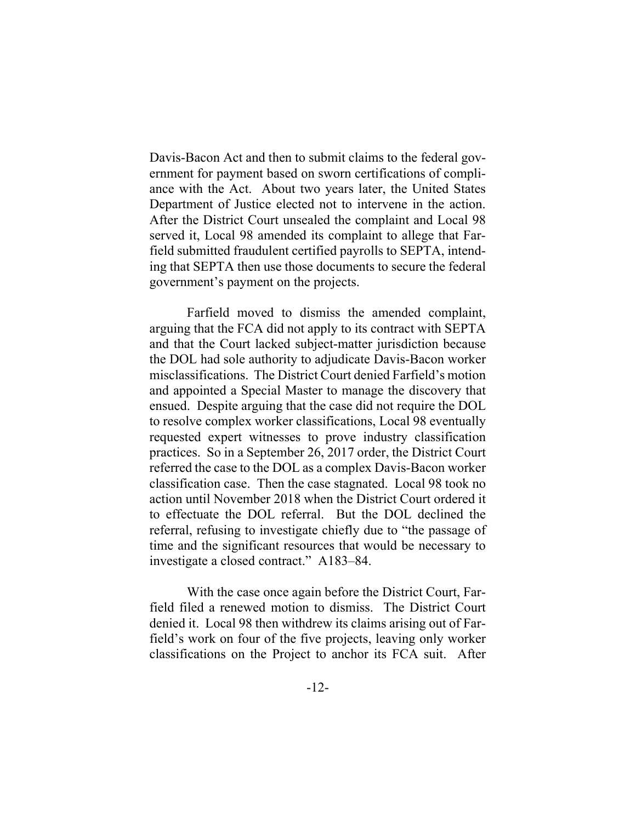Davis-Bacon Act and then to submit claims to the federal government for payment based on sworn certifications of compliance with the Act. About two years later, the United States Department of Justice elected not to intervene in the action. After the District Court unsealed the complaint and Local 98 served it, Local 98 amended its complaint to allege that Farfield submitted fraudulent certified payrolls to SEPTA, intending that SEPTA then use those documents to secure the federal government's payment on the projects.

Farfield moved to dismiss the amended complaint, arguing that the FCA did not apply to its contract with SEPTA and that the Court lacked subject-matter jurisdiction because the DOL had sole authority to adjudicate Davis-Bacon worker misclassifications. The District Court denied Farfield's motion and appointed a Special Master to manage the discovery that ensued. Despite arguing that the case did not require the DOL to resolve complex worker classifications, Local 98 eventually requested expert witnesses to prove industry classification practices. So in a September 26, 2017 order, the District Court referred the case to the DOL as a complex Davis-Bacon worker classification case. Then the case stagnated. Local 98 took no action until November 2018 when the District Court ordered it to effectuate the DOL referral. But the DOL declined the referral, refusing to investigate chiefly due to "the passage of time and the significant resources that would be necessary to investigate a closed contract." A183–84.

With the case once again before the District Court, Farfield filed a renewed motion to dismiss. The District Court denied it. Local 98 then withdrew its claims arising out of Farfield's work on four of the five projects, leaving only worker classifications on the Project to anchor its FCA suit. After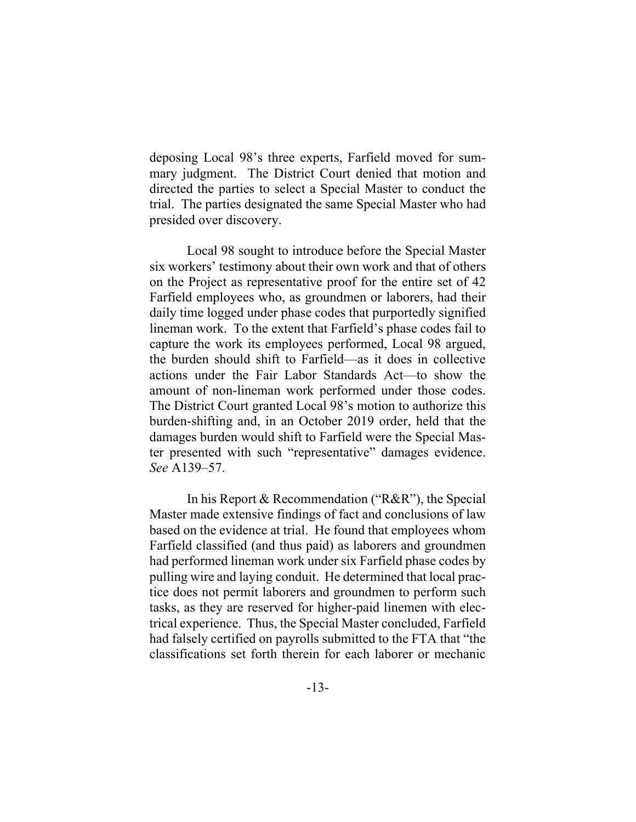deposing Local 98's three experts, Farfield moved for summary judgment. The District Court denied that motion and directed the parties to select a Special Master to conduct the trial. The parties designated the same Special Master who had presided over discovery.

Local 98 sought to introduce before the Special Master six workers' testimony about their own work and that of others on the Project as representative proof for the entire set of 42 Farfield employees who, as groundmen or laborers, had their daily time logged under phase codes that purportedly signified lineman work. To the extent that Farfield's phase codes fail to capture the work its employees performed, Local 98 argued, the burden should shift to Farfield—as it does in collective actions under the Fair Labor Standards Act—to show the amount of non-lineman work performed under those codes. The District Court granted Local 98's motion to authorize this burden-shifting and, in an October 2019 order, held that the damages burden would shift to Farfield were the Special Master presented with such "representative" damages evidence. *See* A139–57.

In his Report & Recommendation ("R&R"), the Special Master made extensive findings of fact and conclusions of law based on the evidence at trial. He found that employees whom Farfield classified (and thus paid) as laborers and groundmen had performed lineman work under six Farfield phase codes by pulling wire and laying conduit. He determined that local practice does not permit laborers and groundmen to perform such tasks, as they are reserved for higher-paid linemen with electrical experience. Thus, the Special Master concluded, Farfield had falsely certified on payrolls submitted to the FTA that "the classifications set forth therein for each laborer or mechanic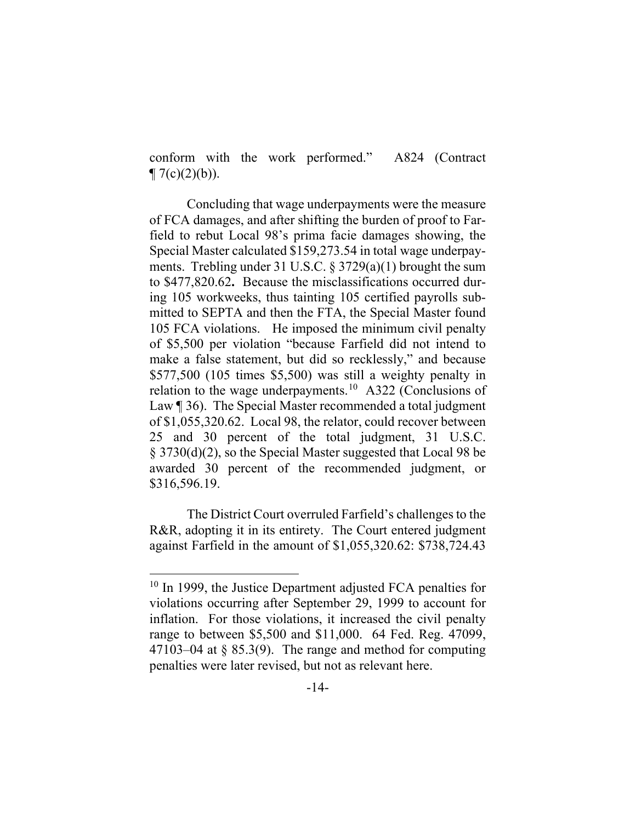conform with the work performed." A824 (Contract  $\P(7(c)(2)(b)).$ 

Concluding that wage underpayments were the measure of FCA damages, and after shifting the burden of proof to Farfield to rebut Local 98's prima facie damages showing, the Special Master calculated \$159,273.54 in total wage underpayments. Trebling under 31 U.S.C. § 3729(a)(1) brought the sum to \$477,820.62**.** Because the misclassifications occurred during 105 workweeks, thus tainting 105 certified payrolls submitted to SEPTA and then the FTA, the Special Master found 105 FCA violations. He imposed the minimum civil penalty of \$5,500 per violation "because Farfield did not intend to make a false statement, but did so recklessly," and because \$577,500 (105 times \$5,500) was still a weighty penalty in relation to the wage underpayments.<sup>10</sup> A322 (Conclusions of Law [ 36). The Special Master recommended a total judgment of \$1,055,320.62. Local 98, the relator, could recover between 25 and 30 percent of the total judgment, 31 U.S.C. § 3730(d)(2), so the Special Master suggested that Local 98 be awarded 30 percent of the recommended judgment, or \$316,596.19.

The District Court overruled Farfield's challenges to the R&R, adopting it in its entirety. The Court entered judgment against Farfield in the amount of \$1,055,320.62: \$738,724.43

<sup>&</sup>lt;sup>10</sup> In 1999, the Justice Department adjusted FCA penalties for violations occurring after September 29, 1999 to account for inflation. For those violations, it increased the civil penalty range to between \$5,500 and \$11,000. 64 Fed. Reg. 47099, 47103–04 at  $\S 85.3(9)$ . The range and method for computing penalties were later revised, but not as relevant here.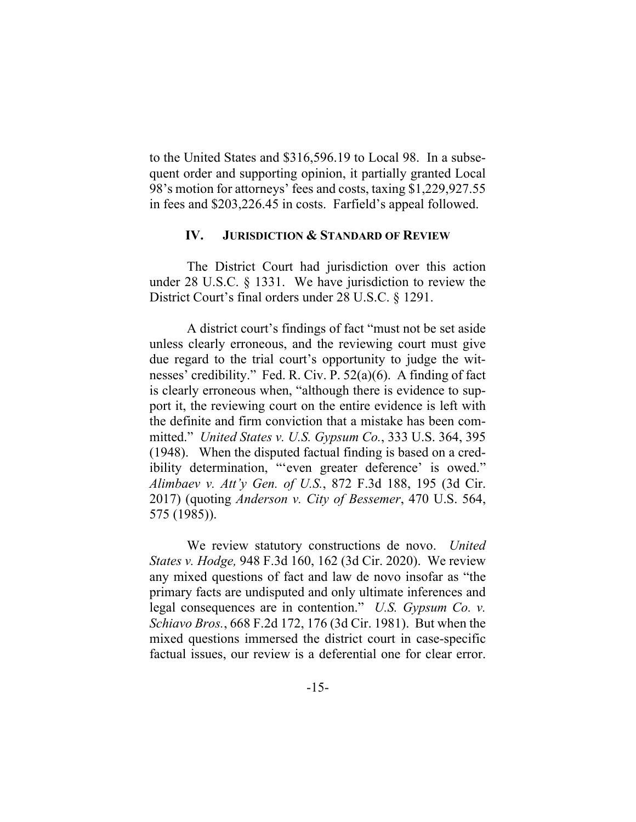to the United States and \$316,596.19 to Local 98. In a subsequent order and supporting opinion, it partially granted Local 98's motion for attorneys' fees and costs, taxing \$1,229,927.55 in fees and \$203,226.45 in costs. Farfield's appeal followed.

## **IV. JURISDICTION & STANDARD OF REVIEW**

The District Court had jurisdiction over this action under 28 U.S.C. § 1331. We have jurisdiction to review the District Court's final orders under 28 U.S.C. § 1291.

A district court's findings of fact "must not be set aside unless clearly erroneous, and the reviewing court must give due regard to the trial court's opportunity to judge the witnesses' credibility." Fed. R. Civ. P. 52(a)(6). A finding of fact is clearly erroneous when, "although there is evidence to support it, the reviewing court on the entire evidence is left with the definite and firm conviction that a mistake has been committed." *United States v. U.S. Gypsum Co.*, 333 U.S. 364, 395 (1948). When the disputed factual finding is based on a credibility determination, "'even greater deference' is owed." *Alimbaev v. Att'y Gen. of U.S.*, 872 F.3d 188, 195 (3d Cir. 2017) (quoting *Anderson v. City of Bessemer*, 470 U.S. 564, 575 (1985)).

We review statutory constructions de novo. *United States v. Hodge,* 948 F.3d 160, 162 (3d Cir. 2020). We review any mixed questions of fact and law de novo insofar as "the primary facts are undisputed and only ultimate inferences and legal consequences are in contention." *U.S. Gypsum Co. v. Schiavo Bros.*, 668 F.2d 172, 176 (3d Cir. 1981). But when the mixed questions immersed the district court in case-specific factual issues, our review is a deferential one for clear error.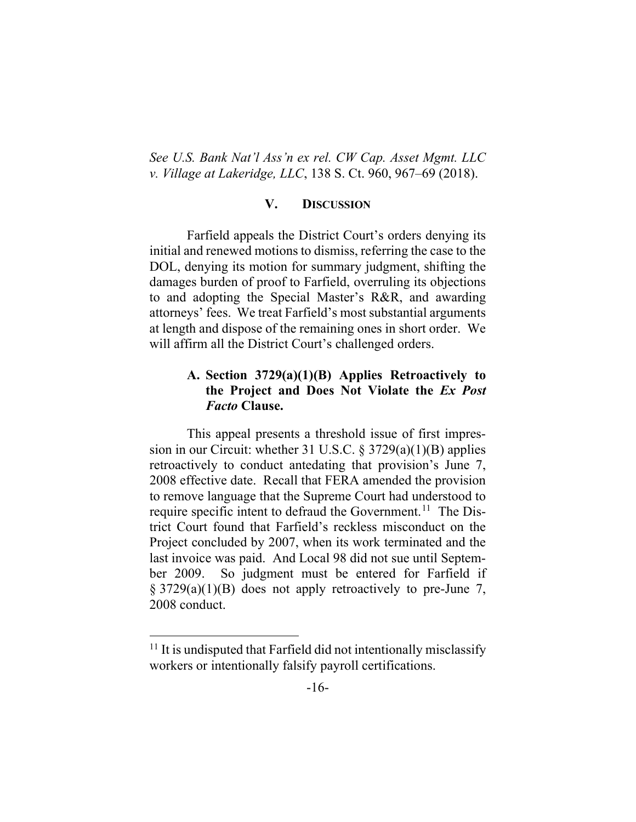*See U.S. Bank Nat'l Ass'n ex rel. CW Cap. Asset Mgmt. LLC v. Village at Lakeridge, LLC*, 138 S. Ct. 960, 967–69 (2018).

# **V. DISCUSSION**

Farfield appeals the District Court's orders denying its initial and renewed motions to dismiss, referring the case to the DOL, denying its motion for summary judgment, shifting the damages burden of proof to Farfield, overruling its objections to and adopting the Special Master's R&R, and awarding attorneys' fees. We treat Farfield's most substantial arguments at length and dispose of the remaining ones in short order. We will affirm all the District Court's challenged orders.

# **A. Section 3729(a)(1)(B) Applies Retroactively to the Project and Does Not Violate the** *Ex Post Facto* **Clause.**

This appeal presents a threshold issue of first impression in our Circuit: whether 31 U.S.C. § 3729(a)(1)(B) applies retroactively to conduct antedating that provision's June 7, 2008 effective date. Recall that FERA amended the provision to remove language that the Supreme Court had understood to require specific intent to defraud the Government.<sup>11</sup> The District Court found that Farfield's reckless misconduct on the Project concluded by 2007, when its work terminated and the last invoice was paid. And Local 98 did not sue until September 2009. So judgment must be entered for Farfield if  $\S 3729(a)(1)(B)$  does not apply retroactively to pre-June 7, 2008 conduct.

 $11$  It is undisputed that Farfield did not intentionally misclassify workers or intentionally falsify payroll certifications.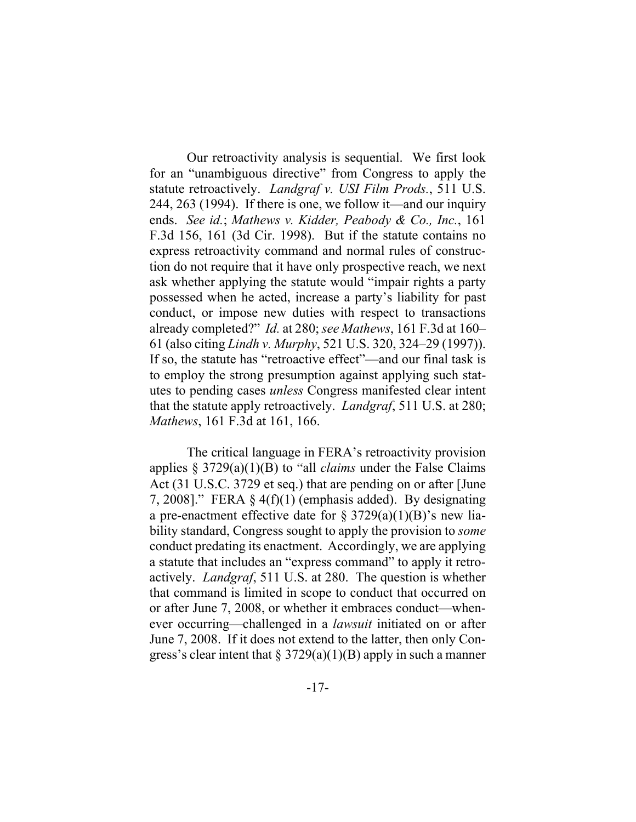Our retroactivity analysis is sequential. We first look for an "unambiguous directive" from Congress to apply the statute retroactively. *Landgraf v. USI Film Prods.*, 511 U.S. 244, 263 (1994). If there is one, we follow it—and our inquiry ends. *See id.*; *Mathews v. Kidder, Peabody & Co., Inc.*, 161 F.3d 156, 161 (3d Cir. 1998).But if the statute contains no express retroactivity command and normal rules of construction do not require that it have only prospective reach, we next ask whether applying the statute would "impair rights a party possessed when he acted, increase a party's liability for past conduct, or impose new duties with respect to transactions already completed?" *Id.* at 280; *see Mathews*, 161 F.3d at 160– 61 (also citing *Lindh v. Murphy*, 521 U.S. 320, 324–29 (1997)). If so, the statute has "retroactive effect"—and our final task is to employ the strong presumption against applying such statutes to pending cases *unless* Congress manifested clear intent that the statute apply retroactively. *Landgraf*, 511 U.S. at 280; *Mathews*, 161 F.3d at 161, 166.

The critical language in FERA's retroactivity provision applies § 3729(a)(1)(B) to "all *claims* under the False Claims Act (31 U.S.C. 3729 et seq.) that are pending on or after [June 7, 2008]." FERA  $\S$  4(f)(1) (emphasis added). By designating a pre-enactment effective date for  $\S 3729(a)(1)(B)$ 's new liability standard, Congress sought to apply the provision to *some* conduct predating its enactment. Accordingly, we are applying a statute that includes an "express command" to apply it retroactively. *Landgraf*, 511 U.S. at 280. The question is whether that command is limited in scope to conduct that occurred on or after June 7, 2008, or whether it embraces conduct—whenever occurring—challenged in a *lawsuit* initiated on or after June 7, 2008. If it does not extend to the latter, then only Congress's clear intent that  $\S 3729(a)(1)(B)$  apply in such a manner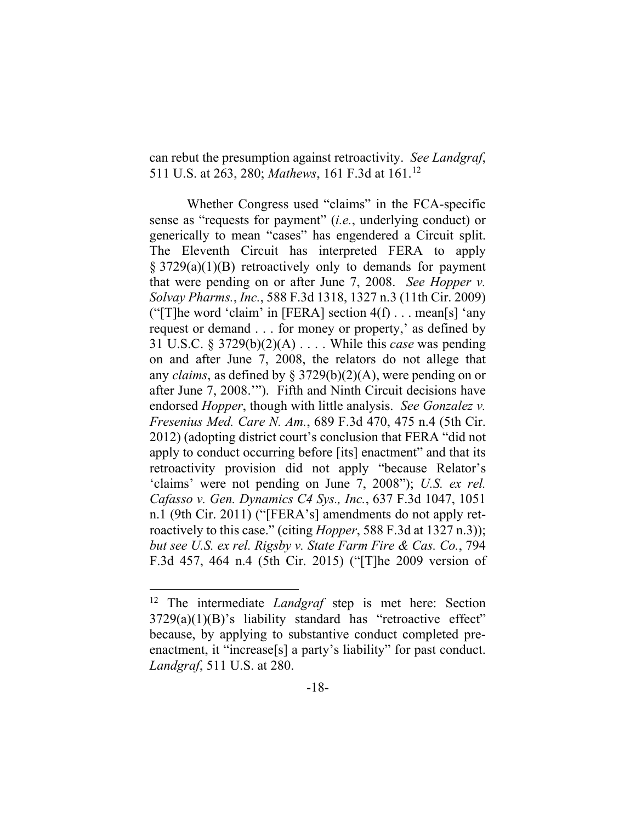can rebut the presumption against retroactivity. *See Landgraf*, 511 U.S. at 263, 280; *Mathews*, 161 F.3d at 161.12

Whether Congress used "claims" in the FCA-specific sense as "requests for payment" (*i.e.*, underlying conduct) or generically to mean "cases" has engendered a Circuit split. The Eleventh Circuit has interpreted FERA to apply § 3729(a)(1)(B) retroactively only to demands for payment that were pending on or after June 7, 2008. *See Hopper v. Solvay Pharms.*, *Inc.*, 588 F.3d 1318, 1327 n.3 (11th Cir. 2009) ("[T]he word 'claim' in [FERA] section  $4(f) \dots$  mean[s] 'any request or demand . . . for money or property,' as defined by 31 U.S.C. § 3729(b)(2)(A) . . . . While this *case* was pending on and after June 7, 2008, the relators do not allege that any *claims*, as defined by § 3729(b)(2)(A), were pending on or after June 7, 2008.'"). Fifth and Ninth Circuit decisions have endorsed *Hopper*, though with little analysis. *See Gonzalez v. Fresenius Med. Care N. Am.*, 689 F.3d 470, 475 n.4 (5th Cir. 2012) (adopting district court's conclusion that FERA "did not apply to conduct occurring before [its] enactment" and that its retroactivity provision did not apply "because Relator's 'claims' were not pending on June 7, 2008"); *U.S. ex rel. Cafasso v. Gen. Dynamics C4 Sys., Inc.*, 637 F.3d 1047, 1051 n.1 (9th Cir. 2011) ("[FERA's] amendments do not apply retroactively to this case." (citing *Hopper*, 588 F.3d at 1327 n.3)); *but see U.S. ex rel. Rigsby v. State Farm Fire & Cas. Co.*, 794 F.3d 457, 464 n.4 (5th Cir. 2015) ("[T]he 2009 version of

<sup>12</sup> The intermediate *Landgraf* step is met here: Section 3729(a)(1)(B)'s liability standard has "retroactive effect" because, by applying to substantive conduct completed preenactment, it "increase[s] a party's liability" for past conduct. *Landgraf*, 511 U.S. at 280.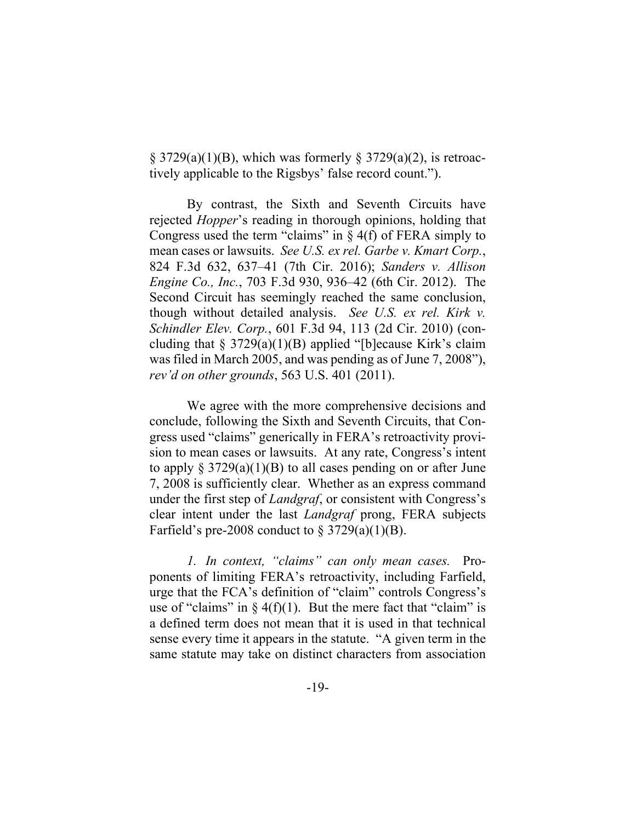$\S$  3729(a)(1)(B), which was formerly  $\S$  3729(a)(2), is retroactively applicable to the Rigsbys' false record count.").

By contrast, the Sixth and Seventh Circuits have rejected *Hopper*'s reading in thorough opinions, holding that Congress used the term "claims" in  $\S$  4(f) of FERA simply to mean cases or lawsuits. *See U.S. ex rel. Garbe v. Kmart Corp.*, 824 F.3d 632, 637–41 (7th Cir. 2016); *Sanders v. Allison Engine Co., Inc.*, 703 F.3d 930, 936–42 (6th Cir. 2012). The Second Circuit has seemingly reached the same conclusion, though without detailed analysis. *See U.S. ex rel. Kirk v. Schindler Elev. Corp.*, 601 F.3d 94, 113 (2d Cir. 2010) (concluding that  $\S 3729(a)(1)(B)$  applied "[b]ecause Kirk's claim was filed in March 2005, and was pending as of June 7, 2008"), *rev'd on other grounds*, 563 U.S. 401 (2011).

We agree with the more comprehensive decisions and conclude, following the Sixth and Seventh Circuits, that Congress used "claims" generically in FERA's retroactivity provision to mean cases or lawsuits. At any rate, Congress's intent to apply  $\S 3729(a)(1)(B)$  to all cases pending on or after June 7, 2008 is sufficiently clear. Whether as an express command under the first step of *Landgraf*, or consistent with Congress's clear intent under the last *Landgraf* prong, FERA subjects Farfield's pre-2008 conduct to  $\S 3729(a)(1)(B)$ .

*1. In context, "claims" can only mean cases.* Proponents of limiting FERA's retroactivity, including Farfield, urge that the FCA's definition of "claim" controls Congress's use of "claims" in  $\S 4(f)(1)$ . But the mere fact that "claim" is a defined term does not mean that it is used in that technical sense every time it appears in the statute. "A given term in the same statute may take on distinct characters from association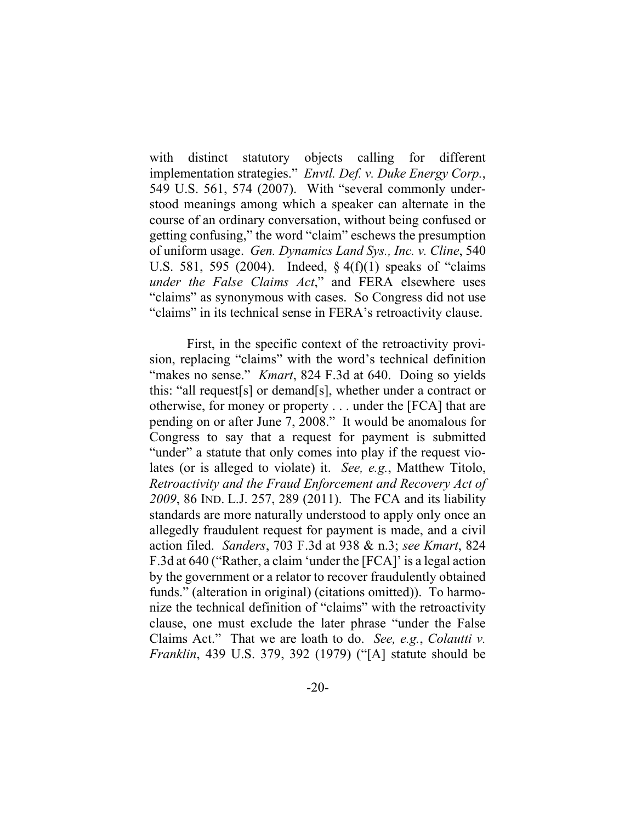with distinct statutory objects calling for different implementation strategies." *Envtl. Def. v. Duke Energy Corp.*, 549 U.S. 561, 574 (2007). With "several commonly understood meanings among which a speaker can alternate in the course of an ordinary conversation, without being confused or getting confusing," the word "claim" eschews the presumption of uniform usage. *Gen. Dynamics Land Sys., Inc. v. Cline*, 540 U.S. 581, 595 (2004). Indeed, § 4(f)(1) speaks of "claims *under the False Claims Act*," and FERA elsewhere uses "claims" as synonymous with cases. So Congress did not use "claims" in its technical sense in FERA's retroactivity clause.

First, in the specific context of the retroactivity provision, replacing "claims" with the word's technical definition "makes no sense." *Kmart*, 824 F.3d at 640. Doing so yields this: "all request[s] or demand[s], whether under a contract or otherwise, for money or property . . . under the [FCA] that are pending on or after June 7, 2008." It would be anomalous for Congress to say that a request for payment is submitted "under" a statute that only comes into play if the request violates (or is alleged to violate) it. *See, e.g.*, Matthew Titolo, *Retroactivity and the Fraud Enforcement and Recovery Act of 2009*, 86 IND. L.J. 257, 289 (2011). The FCA and its liability standards are more naturally understood to apply only once an allegedly fraudulent request for payment is made, and a civil action filed. *Sanders*, 703 F.3d at 938 & n.3; *see Kmart*, 824 F.3d at 640 ("Rather, a claim 'under the [FCA]' is a legal action by the government or a relator to recover fraudulently obtained funds." (alteration in original) (citations omitted)). To harmonize the technical definition of "claims" with the retroactivity clause, one must exclude the later phrase "under the False Claims Act." That we are loath to do. *See, e.g.*, *Colautti v. Franklin*, 439 U.S. 379, 392 (1979) ("[A] statute should be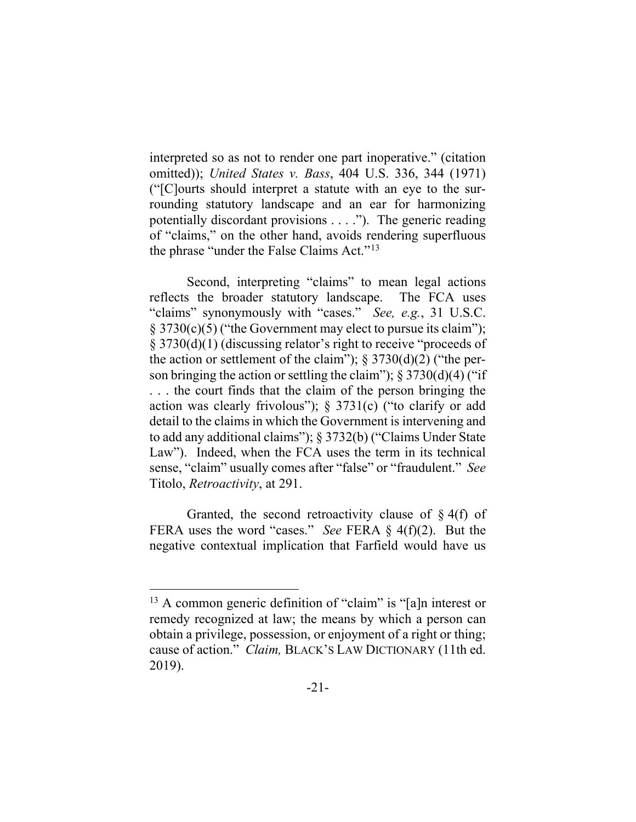interpreted so as not to render one part inoperative." (citation omitted)); *United States v. Bass*, 404 U.S. 336, 344 (1971) ("[C]ourts should interpret a statute with an eye to the surrounding statutory landscape and an ear for harmonizing potentially discordant provisions . . . ."). The generic reading of "claims," on the other hand, avoids rendering superfluous the phrase "under the False Claims Act."<sup>13</sup>

Second, interpreting "claims" to mean legal actions reflects the broader statutory landscape. The FCA uses "claims" synonymously with "cases." *See, e.g.*, 31 U.S.C. § 3730(c)(5) ("the Government may elect to pursue its claim"); § 3730(d)(1) (discussing relator's right to receive "proceeds of the action or settlement of the claim");  $\S 3730(d)(2)$  ("the person bringing the action or settling the claim");  $\S 3730(d)(4)$  ("if . . . the court finds that the claim of the person bringing the action was clearly frivolous"); § 3731(c) ("to clarify or add detail to the claims in which the Government is intervening and to add any additional claims"); § 3732(b) ("Claims Under State Law"). Indeed, when the FCA uses the term in its technical sense, "claim" usually comes after "false" or "fraudulent." *See*  Titolo, *Retroactivity*, at 291.

Granted, the second retroactivity clause of  $\S$  4(f) of FERA uses the word "cases." *See* FERA § 4(f)(2). But the negative contextual implication that Farfield would have us

<sup>&</sup>lt;sup>13</sup> A common generic definition of "claim" is "[a]n interest or remedy recognized at law; the means by which a person can obtain a privilege, possession, or enjoyment of a right or thing; cause of action." *Claim,* BLACK'S LAW DICTIONARY (11th ed. 2019).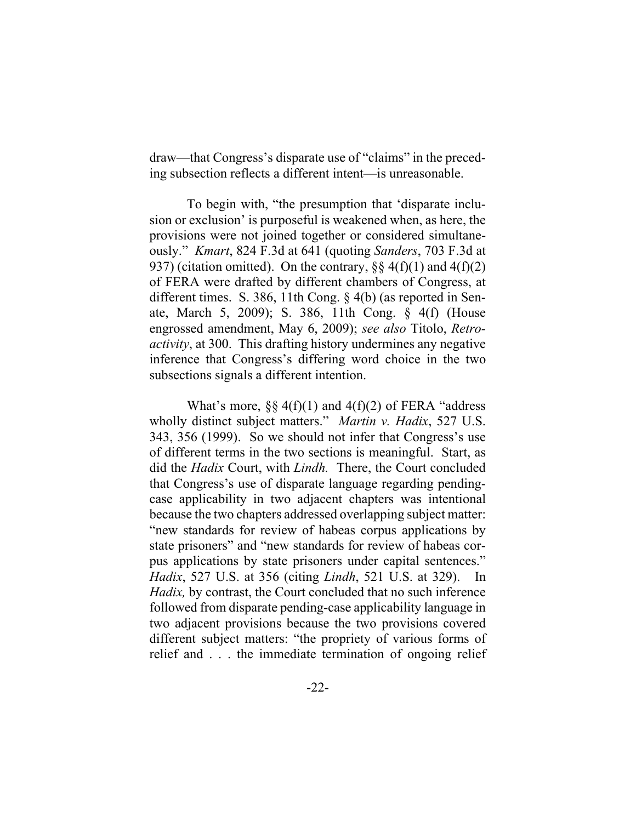draw—that Congress's disparate use of "claims" in the preceding subsection reflects a different intent—is unreasonable.

To begin with, "the presumption that 'disparate inclusion or exclusion' is purposeful is weakened when, as here, the provisions were not joined together or considered simultaneously." *Kmart*, 824 F.3d at 641 (quoting *Sanders*, 703 F.3d at 937) (citation omitted). On the contrary,  $\S\S 4(f)(1)$  and  $4(f)(2)$ of FERA were drafted by different chambers of Congress, at different times. S. 386, 11th Cong. § 4(b) (as reported in Senate, March 5, 2009); S. 386, 11th Cong. § 4(f) (House engrossed amendment, May 6, 2009); *see also* Titolo, *Retroactivity*, at 300. This drafting history undermines any negative inference that Congress's differing word choice in the two subsections signals a different intention.

What's more,  $\S\S 4(f)(1)$  and  $4(f)(2)$  of FERA "address" wholly distinct subject matters." *Martin v. Hadix*, 527 U.S. 343, 356 (1999). So we should not infer that Congress's use of different terms in the two sections is meaningful. Start, as did the *Hadix* Court, with *Lindh.* There, the Court concluded that Congress's use of disparate language regarding pendingcase applicability in two adjacent chapters was intentional because the two chapters addressed overlapping subject matter: "new standards for review of habeas corpus applications by state prisoners" and "new standards for review of habeas corpus applications by state prisoners under capital sentences." *Hadix*, 527 U.S. at 356 (citing *Lindh*, 521 U.S. at 329). In *Hadix,* by contrast, the Court concluded that no such inference followed from disparate pending-case applicability language in two adjacent provisions because the two provisions covered different subject matters: "the propriety of various forms of relief and . . . the immediate termination of ongoing relief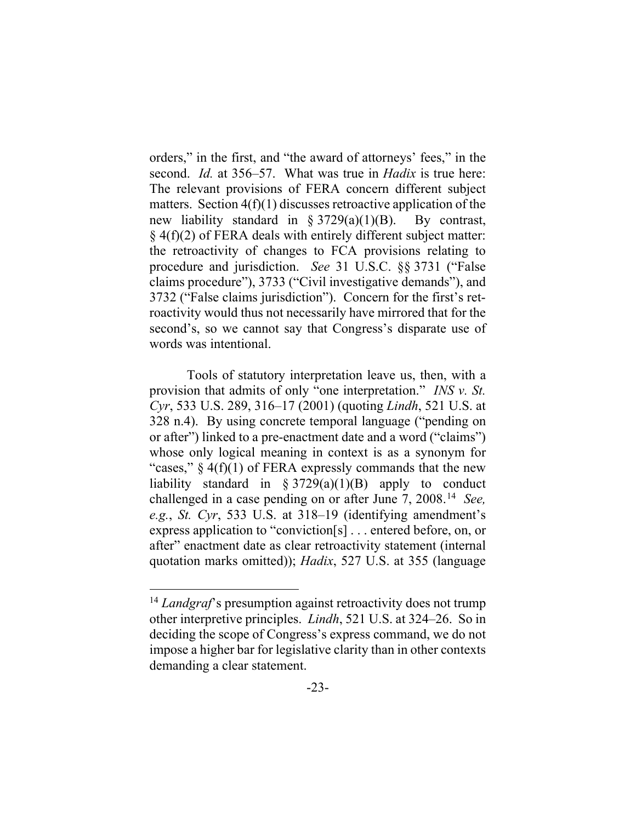orders," in the first, and "the award of attorneys' fees," in the second. *Id.* at 356–57. What was true in *Hadix* is true here: The relevant provisions of FERA concern different subject matters. Section  $4(f)(1)$  discusses retroactive application of the new liability standard in  $\S 3729(a)(1)(B)$ . By contrast, § 4(f)(2) of FERA deals with entirely different subject matter: the retroactivity of changes to FCA provisions relating to procedure and jurisdiction. *See* 31 U.S.C. §§ 3731 ("False claims procedure"), 3733 ("Civil investigative demands"), and 3732 ("False claims jurisdiction"). Concern for the first's retroactivity would thus not necessarily have mirrored that for the second's, so we cannot say that Congress's disparate use of words was intentional.

Tools of statutory interpretation leave us, then, with a provision that admits of only "one interpretation." *INS v. St. Cyr*, 533 U.S. 289, 316–17 (2001) (quoting *Lindh*, 521 U.S. at 328 n.4). By using concrete temporal language ("pending on or after") linked to a pre-enactment date and a word ("claims") whose only logical meaning in context is as a synonym for "cases,"  $\S 4(f)(1)$  of FERA expressly commands that the new liability standard in  $\S 3729(a)(1)(B)$  apply to conduct challenged in a case pending on or after June 7, 2008.14 *See, e.g.*, *St. Cyr*, 533 U.S. at 318–19 (identifying amendment's express application to "conviction[s] . . . entered before, on, or after" enactment date as clear retroactivity statement (internal quotation marks omitted)); *Hadix*, 527 U.S. at 355 (language

<sup>&</sup>lt;sup>14</sup> *Landgraf*'s presumption against retroactivity does not trump other interpretive principles. *Lindh*, 521 U.S. at 324–26. So in deciding the scope of Congress's express command, we do not impose a higher bar for legislative clarity than in other contexts demanding a clear statement.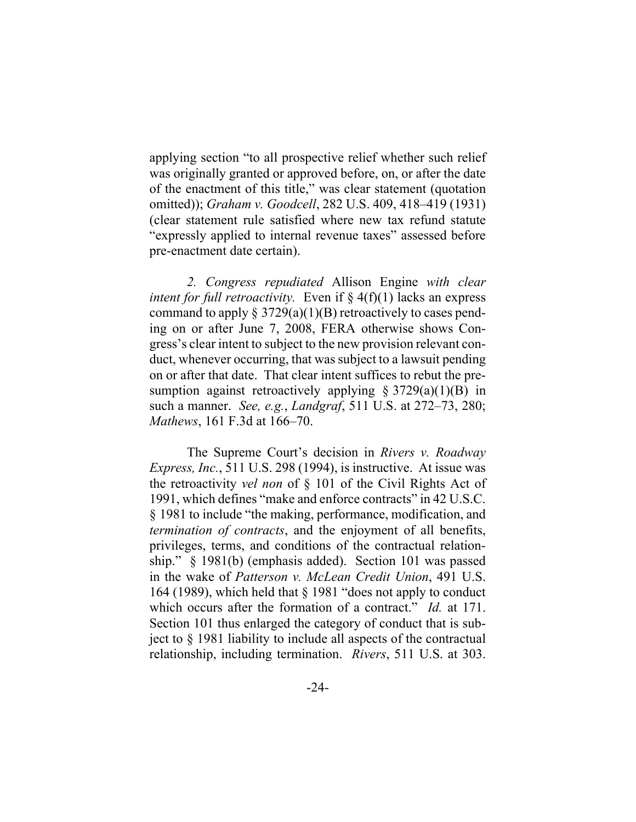applying section "to all prospective relief whether such relief was originally granted or approved before, on, or after the date of the enactment of this title," was clear statement (quotation omitted)); *Graham v. Goodcell*, 282 U.S. 409, 418–419 (1931) (clear statement rule satisfied where new tax refund statute "expressly applied to internal revenue taxes" assessed before pre-enactment date certain).

*2. Congress repudiated* Allison Engine *with clear intent for full retroactivity.* Even if  $\S 4(f)(1)$  lacks an express command to apply  $\S 3729(a)(1)(B)$  retroactively to cases pending on or after June 7, 2008, FERA otherwise shows Congress's clear intent to subject to the new provision relevant conduct, whenever occurring, that was subject to a lawsuit pending on or after that date. That clear intent suffices to rebut the presumption against retroactively applying  $\S 3729(a)(1)(B)$  in such a manner. *See, e.g.*, *Landgraf*, 511 U.S. at 272–73, 280; *Mathews*, 161 F.3d at 166–70.

The Supreme Court's decision in *Rivers v. Roadway Express, Inc.*, 511 U.S. 298 (1994), is instructive. At issue was the retroactivity *vel non* of § 101 of the Civil Rights Act of 1991, which defines "make and enforce contracts" in 42 U.S.C. § 1981 to include "the making, performance, modification, and *termination of contracts*, and the enjoyment of all benefits, privileges, terms, and conditions of the contractual relationship." § 1981(b) (emphasis added). Section 101 was passed in the wake of *Patterson v. McLean Credit Union*, 491 U.S. 164 (1989), which held that § 1981 "does not apply to conduct which occurs after the formation of a contract." *Id.* at 171. Section 101 thus enlarged the category of conduct that is subject to § 1981 liability to include all aspects of the contractual relationship, including termination. *Rivers*, 511 U.S. at 303.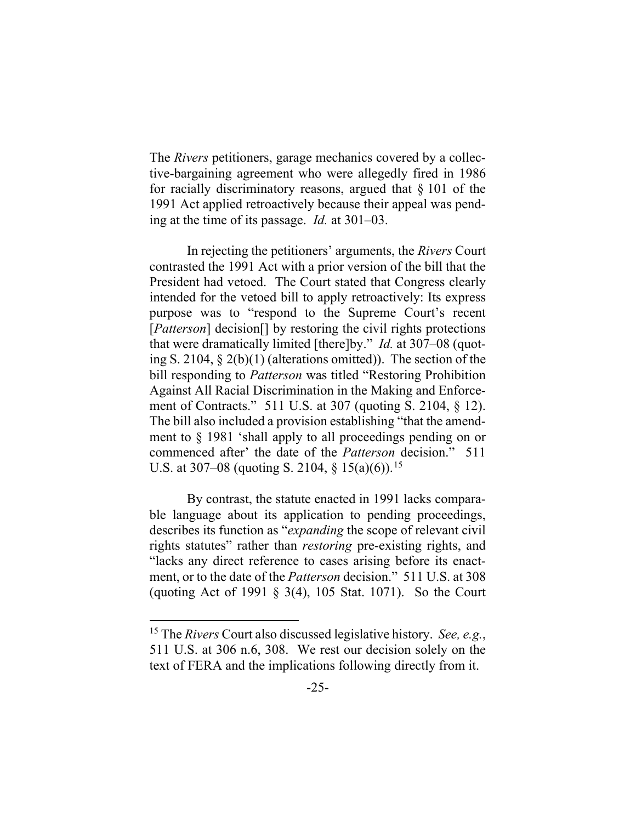The *Rivers* petitioners, garage mechanics covered by a collective-bargaining agreement who were allegedly fired in 1986 for racially discriminatory reasons, argued that  $\S 101$  of the 1991 Act applied retroactively because their appeal was pending at the time of its passage. *Id.* at 301–03.

In rejecting the petitioners' arguments, the *Rivers* Court contrasted the 1991 Act with a prior version of the bill that the President had vetoed. The Court stated that Congress clearly intended for the vetoed bill to apply retroactively: Its express purpose was to "respond to the Supreme Court's recent [*Patterson*] decision[] by restoring the civil rights protections that were dramatically limited [there]by." *Id.* at 307–08 (quoting S. 2104, § 2(b)(1) (alterations omitted)). The section of the bill responding to *Patterson* was titled "Restoring Prohibition Against All Racial Discrimination in the Making and Enforcement of Contracts." 511 U.S. at 307 (quoting S. 2104, § 12). The bill also included a provision establishing "that the amendment to § 1981 'shall apply to all proceedings pending on or commenced after' the date of the *Patterson* decision." 511 U.S. at 307–08 (quoting S. 2104,  $\S$  15(a)(6)).<sup>15</sup>

By contrast, the statute enacted in 1991 lacks comparable language about its application to pending proceedings, describes its function as "*expanding* the scope of relevant civil rights statutes" rather than *restoring* pre-existing rights, and "lacks any direct reference to cases arising before its enactment, or to the date of the *Patterson* decision." 511 U.S. at 308 (quoting Act of 1991 § 3(4), 105 Stat. 1071). So the Court

<sup>15</sup> The *Rivers* Court also discussed legislative history. *See, e.g.*, 511 U.S. at 306 n.6, 308. We rest our decision solely on the text of FERA and the implications following directly from it.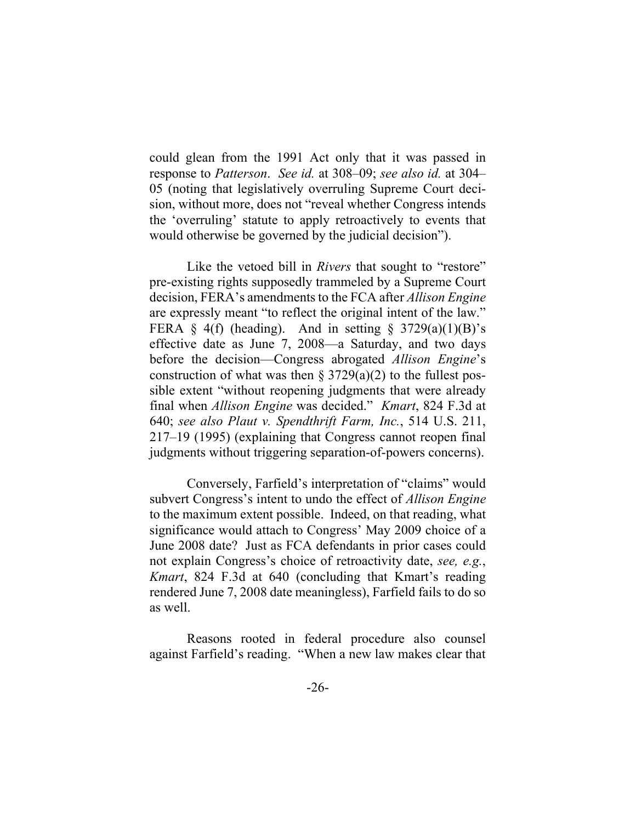could glean from the 1991 Act only that it was passed in response to *Patterson*. *See id.* at 308–09; *see also id.* at 304– 05 (noting that legislatively overruling Supreme Court decision, without more, does not "reveal whether Congress intends the 'overruling' statute to apply retroactively to events that would otherwise be governed by the judicial decision").

Like the vetoed bill in *Rivers* that sought to "restore" pre-existing rights supposedly trammeled by a Supreme Court decision, FERA's amendments to the FCA after *Allison Engine* are expressly meant "to reflect the original intent of the law." FERA § 4(f) (heading). And in setting §  $3729(a)(1)(B)$ 's effective date as June 7, 2008—a Saturday, and two days before the decision—Congress abrogated *Allison Engine*'s construction of what was then  $\S 3729(a)(2)$  to the fullest possible extent "without reopening judgments that were already final when *Allison Engine* was decided." *Kmart*, 824 F.3d at 640; *see also Plaut v. Spendthrift Farm, Inc.*, 514 U.S. 211, 217–19 (1995) (explaining that Congress cannot reopen final judgments without triggering separation-of-powers concerns).

Conversely, Farfield's interpretation of "claims" would subvert Congress's intent to undo the effect of *Allison Engine*  to the maximum extent possible. Indeed, on that reading, what significance would attach to Congress' May 2009 choice of a June 2008 date? Just as FCA defendants in prior cases could not explain Congress's choice of retroactivity date, *see, e.g.*, *Kmart*, 824 F.3d at 640 (concluding that Kmart's reading rendered June 7, 2008 date meaningless), Farfield fails to do so as well.

Reasons rooted in federal procedure also counsel against Farfield's reading. "When a new law makes clear that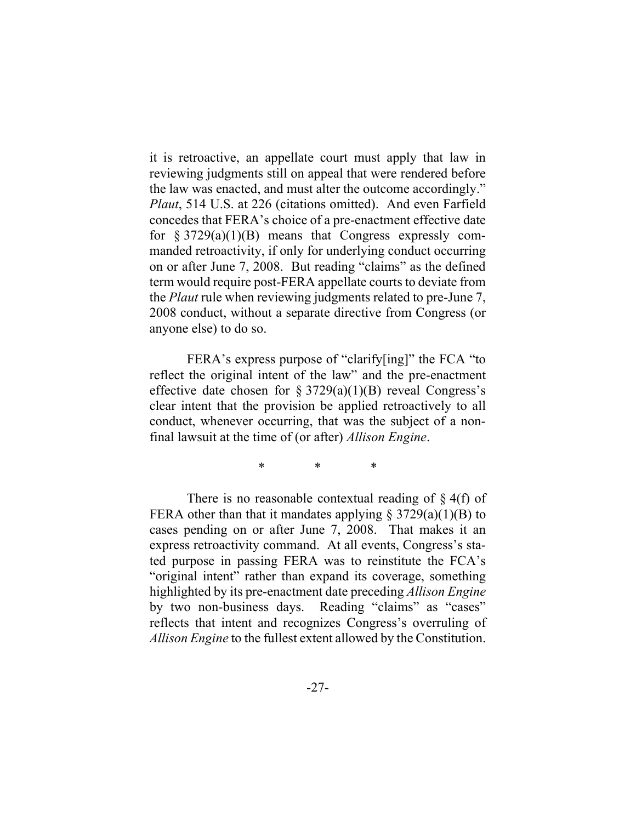it is retroactive, an appellate court must apply that law in reviewing judgments still on appeal that were rendered before the law was enacted, and must alter the outcome accordingly." *Plaut*, 514 U.S. at 226 (citations omitted). And even Farfield concedes that FERA's choice of a pre-enactment effective date for  $\S 3729(a)(1)(B)$  means that Congress expressly commanded retroactivity, if only for underlying conduct occurring on or after June 7, 2008. But reading "claims" as the defined term would require post-FERA appellate courts to deviate from the *Plaut* rule when reviewing judgments related to pre-June 7, 2008 conduct, without a separate directive from Congress (or anyone else) to do so.

FERA's express purpose of "clarify[ing]" the FCA "to reflect the original intent of the law" and the pre-enactment effective date chosen for  $\S 3729(a)(1)(B)$  reveal Congress's clear intent that the provision be applied retroactively to all conduct, whenever occurring, that was the subject of a nonfinal lawsuit at the time of (or after) *Allison Engine*.

\* \* \*

There is no reasonable contextual reading of  $\S$  4(f) of FERA other than that it mandates applying  $\S 3729(a)(1)(B)$  to cases pending on or after June 7, 2008. That makes it an express retroactivity command. At all events, Congress's stated purpose in passing FERA was to reinstitute the FCA's "original intent" rather than expand its coverage, something highlighted by its pre-enactment date preceding *Allison Engine*  by two non-business days. Reading "claims" as "cases" reflects that intent and recognizes Congress's overruling of *Allison Engine* to the fullest extent allowed by the Constitution.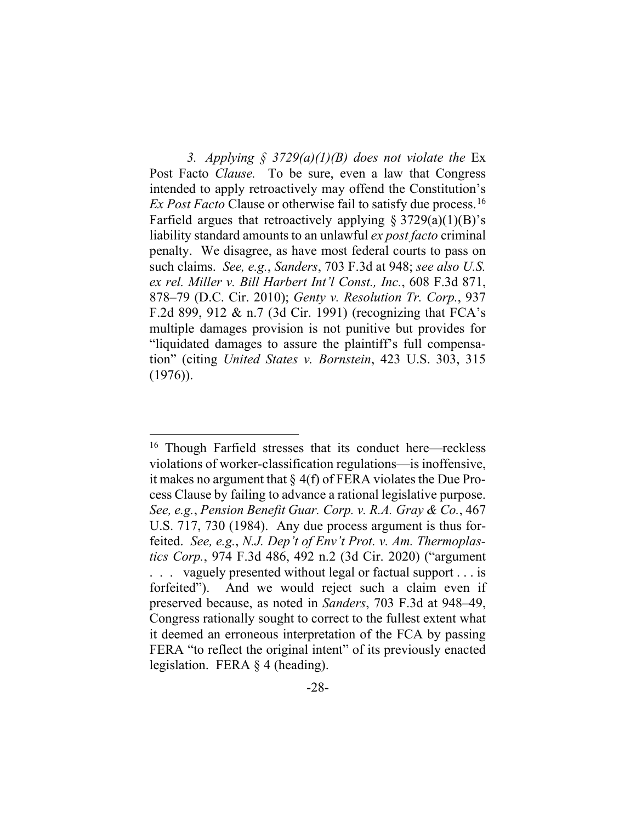3. *Applying*  $\frac{2}{3}$  3729(a)(1)(B) does not violate the Ex Post Facto *Clause.* To be sure, even a law that Congress intended to apply retroactively may offend the Constitution's *Ex Post Facto* Clause or otherwise fail to satisfy due process.<sup>16</sup> Farfield argues that retroactively applying  $\S 3729(a)(1)(B)$ 's liability standard amounts to an unlawful *ex post facto* criminal penalty. We disagree, as have most federal courts to pass on such claims. *See, e.g.*, *Sanders*, 703 F.3d at 948; *see also U.S. ex rel. Miller v. Bill Harbert Int'l Const., Inc.*, 608 F.3d 871, 878–79 (D.C. Cir. 2010); *Genty v. Resolution Tr. Corp.*, 937 F.2d 899, 912 & n.7 (3d Cir. 1991) (recognizing that FCA's multiple damages provision is not punitive but provides for "liquidated damages to assure the plaintiff's full compensation" (citing *United States v. Bornstein*, 423 U.S. 303, 315  $(1976)$ .

<sup>&</sup>lt;sup>16</sup> Though Farfield stresses that its conduct here—reckless violations of worker-classification regulations—is inoffensive, it makes no argument that § 4(f) of FERA violates the Due Process Clause by failing to advance a rational legislative purpose. *See, e.g.*, *Pension Benefit Guar. Corp. v. R.A. Gray & Co.*, 467 U.S. 717, 730 (1984). Any due process argument is thus forfeited. *See, e.g.*, *N.J. Dep't of Env't Prot. v. Am. Thermoplastics Corp.*, 974 F.3d 486, 492 n.2 (3d Cir. 2020) ("argument . . . vaguely presented without legal or factual support . . . is forfeited"). And we would reject such a claim even if preserved because, as noted in *Sanders*, 703 F.3d at 948–49, Congress rationally sought to correct to the fullest extent what it deemed an erroneous interpretation of the FCA by passing FERA "to reflect the original intent" of its previously enacted legislation. FERA § 4 (heading).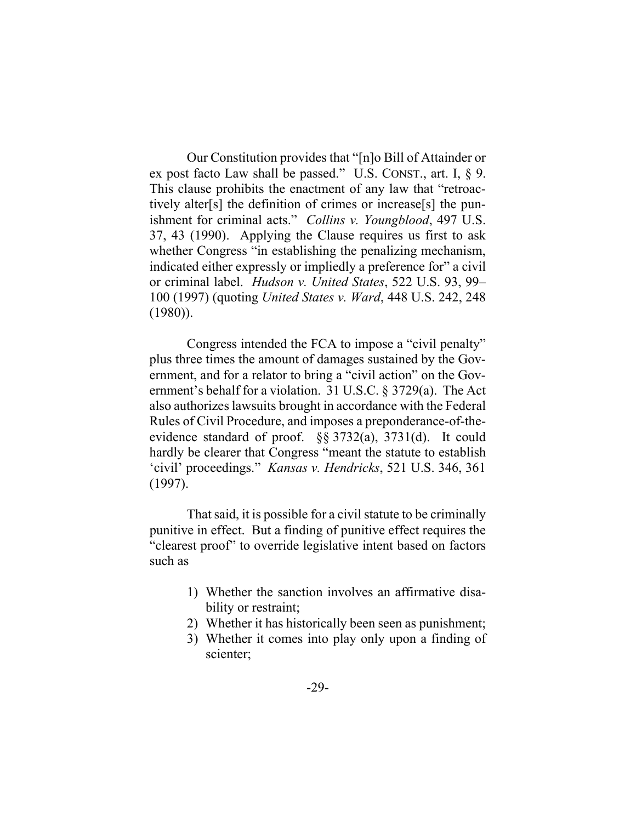Our Constitution provides that "[n]o Bill of Attainder or ex post facto Law shall be passed." U.S. CONST., art. I, § 9. This clause prohibits the enactment of any law that "retroactively alter[s] the definition of crimes or increase[s] the punishment for criminal acts." *Collins v. Youngblood*, 497 U.S. 37, 43 (1990). Applying the Clause requires us first to ask whether Congress "in establishing the penalizing mechanism, indicated either expressly or impliedly a preference for" a civil or criminal label. *Hudson v. United States*, 522 U.S. 93, 99– 100 (1997) (quoting *United States v. Ward*, 448 U.S. 242, 248 (1980)).

Congress intended the FCA to impose a "civil penalty" plus three times the amount of damages sustained by the Government, and for a relator to bring a "civil action" on the Government's behalf for a violation. 31 U.S.C. § 3729(a). The Act also authorizes lawsuits brought in accordance with the Federal Rules of Civil Procedure, and imposes a preponderance-of-theevidence standard of proof. §§ 3732(a), 3731(d). It could hardly be clearer that Congress "meant the statute to establish 'civil' proceedings." *Kansas v. Hendricks*, 521 U.S. 346, 361 (1997).

That said, it is possible for a civil statute to be criminally punitive in effect. But a finding of punitive effect requires the "clearest proof" to override legislative intent based on factors such as

- 1) Whether the sanction involves an affirmative disability or restraint;
- 2) Whether it has historically been seen as punishment;
- 3) Whether it comes into play only upon a finding of scienter;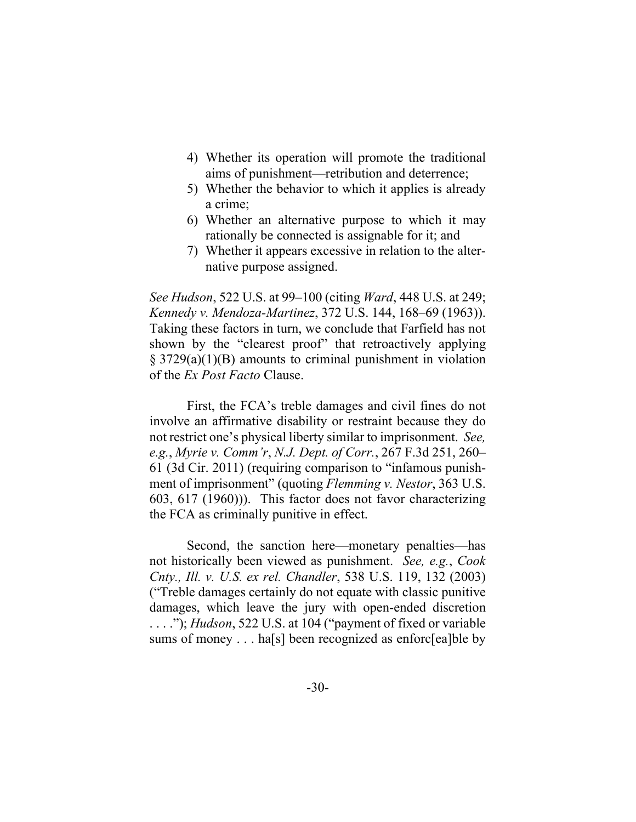- 4) Whether its operation will promote the traditional aims of punishment—retribution and deterrence;
- 5) Whether the behavior to which it applies is already a crime;
- 6) Whether an alternative purpose to which it may rationally be connected is assignable for it; and
- 7) Whether it appears excessive in relation to the alternative purpose assigned.

*See Hudson*, 522 U.S. at 99–100 (citing *Ward*, 448 U.S. at 249; *Kennedy v. Mendoza-Martinez*, 372 U.S. 144, 168–69 (1963)). Taking these factors in turn, we conclude that Farfield has not shown by the "clearest proof" that retroactively applying § 3729(a)(1)(B) amounts to criminal punishment in violation of the *Ex Post Facto* Clause.

First, the FCA's treble damages and civil fines do not involve an affirmative disability or restraint because they do not restrict one's physical liberty similar to imprisonment. *See, e.g.*, *Myrie v. Comm'r*, *N.J. Dept. of Corr.*, 267 F.3d 251, 260– 61 (3d Cir. 2011) (requiring comparison to "infamous punishment of imprisonment" (quoting *Flemming v. Nestor*, 363 U.S. 603, 617 (1960))). This factor does not favor characterizing the FCA as criminally punitive in effect.

Second, the sanction here—monetary penalties—has not historically been viewed as punishment. *See, e.g.*, *Cook Cnty., Ill. v. U.S. ex rel. Chandler*, 538 U.S. 119, 132 (2003) ("Treble damages certainly do not equate with classic punitive damages, which leave the jury with open-ended discretion . . . ."); *Hudson*, 522 U.S. at 104 ("payment of fixed or variable sums of money . . . has also been recognized as enforc [ea]ble by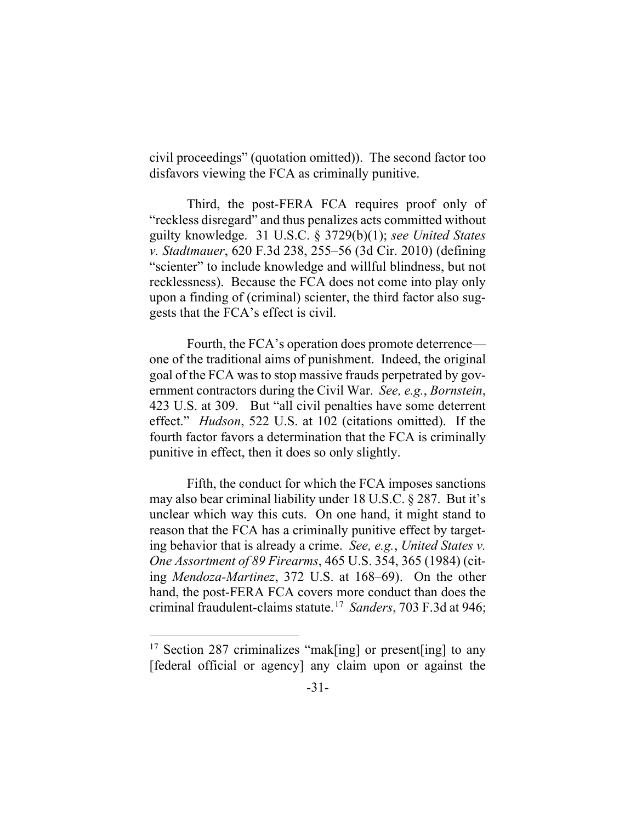civil proceedings" (quotation omitted)). The second factor too disfavors viewing the FCA as criminally punitive.

Third, the post-FERA FCA requires proof only of "reckless disregard" and thus penalizes acts committed without guilty knowledge. 31 U.S.C. § 3729(b)(1); *see United States v. Stadtmauer*, 620 F.3d 238, 255–56 (3d Cir. 2010) (defining "scienter" to include knowledge and willful blindness, but not recklessness). Because the FCA does not come into play only upon a finding of (criminal) scienter, the third factor also suggests that the FCA's effect is civil.

Fourth, the FCA's operation does promote deterrence one of the traditional aims of punishment. Indeed, the original goal of the FCA was to stop massive frauds perpetrated by government contractors during the Civil War. *See, e.g.*, *Bornstein*, 423 U.S. at 309. But "all civil penalties have some deterrent effect." *Hudson*, 522 U.S. at 102 (citations omitted). If the fourth factor favors a determination that the FCA is criminally punitive in effect, then it does so only slightly.

Fifth, the conduct for which the FCA imposes sanctions may also bear criminal liability under 18 U.S.C. § 287. But it's unclear which way this cuts. On one hand, it might stand to reason that the FCA has a criminally punitive effect by targeting behavior that is already a crime. *See, e.g.*, *United States v. One Assortment of 89 Firearms*, 465 U.S. 354, 365 (1984) (citing *Mendoza-Martinez*, 372 U.S. at 168–69). On the other hand, the post-FERA FCA covers more conduct than does the criminal fraudulent-claims statute. 17 *Sanders*, 703 F.3d at 946;

<sup>&</sup>lt;sup>17</sup> Section 287 criminalizes "mak[ing] or present[ing] to any [federal official or agency] any claim upon or against the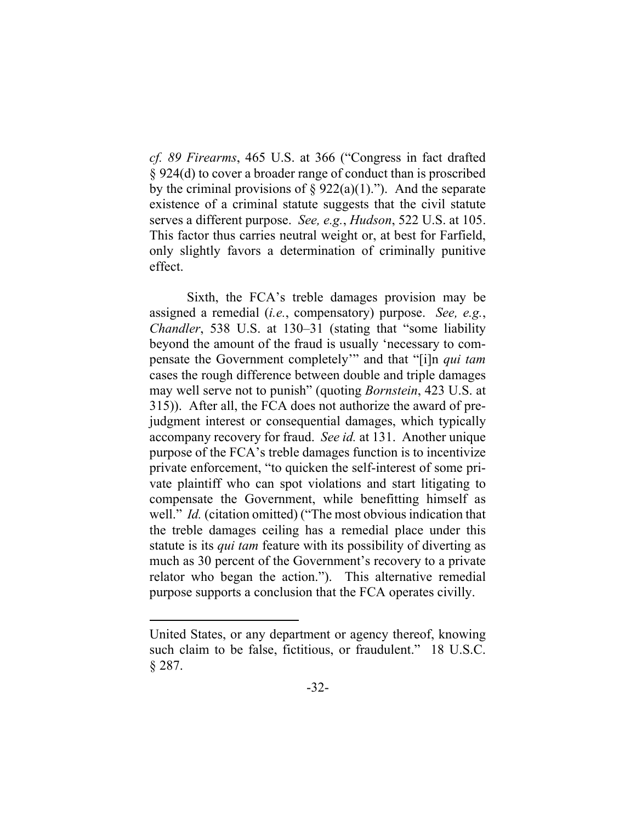*cf. 89 Firearms*, 465 U.S. at 366 ("Congress in fact drafted § 924(d) to cover a broader range of conduct than is proscribed by the criminal provisions of  $\S 922(a)(1)$ ."). And the separate existence of a criminal statute suggests that the civil statute serves a different purpose. *See, e.g.*, *Hudson*, 522 U.S. at 105. This factor thus carries neutral weight or, at best for Farfield, only slightly favors a determination of criminally punitive effect.

Sixth, the FCA's treble damages provision may be assigned a remedial (*i.e.*, compensatory) purpose. *See, e.g.*, *Chandler*, 538 U.S. at 130–31 (stating that "some liability beyond the amount of the fraud is usually 'necessary to compensate the Government completely'" and that "[i]n *qui tam*  cases the rough difference between double and triple damages may well serve not to punish" (quoting *Bornstein*, 423 U.S. at 315)). After all, the FCA does not authorize the award of prejudgment interest or consequential damages, which typically accompany recovery for fraud. *See id.* at 131. Another unique purpose of the FCA's treble damages function is to incentivize private enforcement, "to quicken the self-interest of some private plaintiff who can spot violations and start litigating to compensate the Government, while benefitting himself as well." *Id.* (citation omitted) ("The most obvious indication that the treble damages ceiling has a remedial place under this statute is its *qui tam* feature with its possibility of diverting as much as 30 percent of the Government's recovery to a private relator who began the action."). This alternative remedial purpose supports a conclusion that the FCA operates civilly.

United States, or any department or agency thereof, knowing such claim to be false, fictitious, or fraudulent." 18 U.S.C. § 287.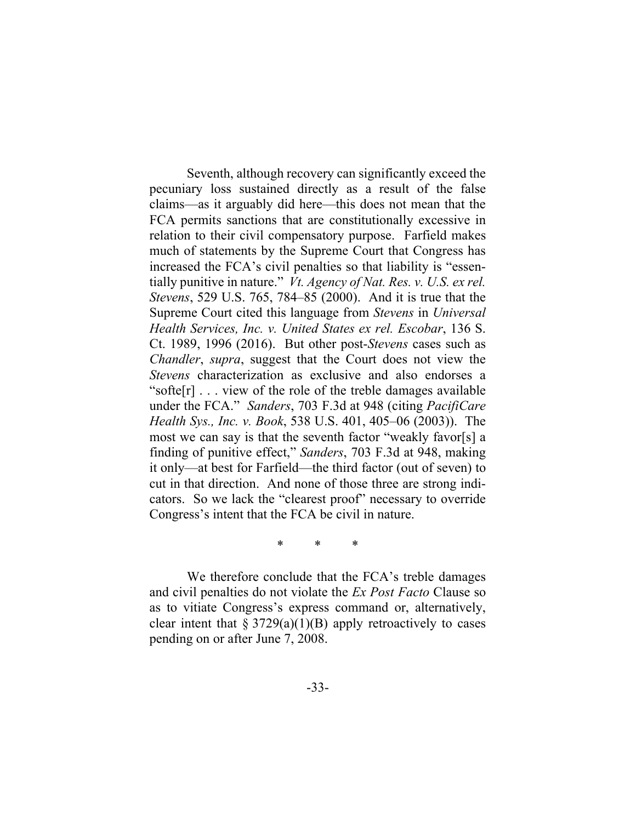Seventh, although recovery can significantly exceed the pecuniary loss sustained directly as a result of the false claims—as it arguably did here—this does not mean that the FCA permits sanctions that are constitutionally excessive in relation to their civil compensatory purpose. Farfield makes much of statements by the Supreme Court that Congress has increased the FCA's civil penalties so that liability is "essentially punitive in nature." *Vt. Agency of Nat. Res. v. U.S. ex rel. Stevens*, 529 U.S. 765, 784–85 (2000). And it is true that the Supreme Court cited this language from *Stevens* in *Universal Health Services, Inc. v. United States ex rel. Escobar*, 136 S. Ct. 1989, 1996 (2016). But other post-*Stevens* cases such as *Chandler*, *supra*, suggest that the Court does not view the *Stevens* characterization as exclusive and also endorses a "softe[r] . . . view of the role of the treble damages available under the FCA." *Sanders*, 703 F.3d at 948 (citing *PacifiCare Health Sys., Inc. v. Book*, 538 U.S. 401, 405–06 (2003)). The most we can say is that the seventh factor "weakly favor[s] a finding of punitive effect," *Sanders*, 703 F.3d at 948, making it only—at best for Farfield—the third factor (out of seven) to cut in that direction. And none of those three are strong indicators. So we lack the "clearest proof" necessary to override Congress's intent that the FCA be civil in nature.

\* \* \*

We therefore conclude that the FCA's treble damages and civil penalties do not violate the *Ex Post Facto* Clause so as to vitiate Congress's express command or, alternatively, clear intent that  $\S 3729(a)(1)(B)$  apply retroactively to cases pending on or after June 7, 2008.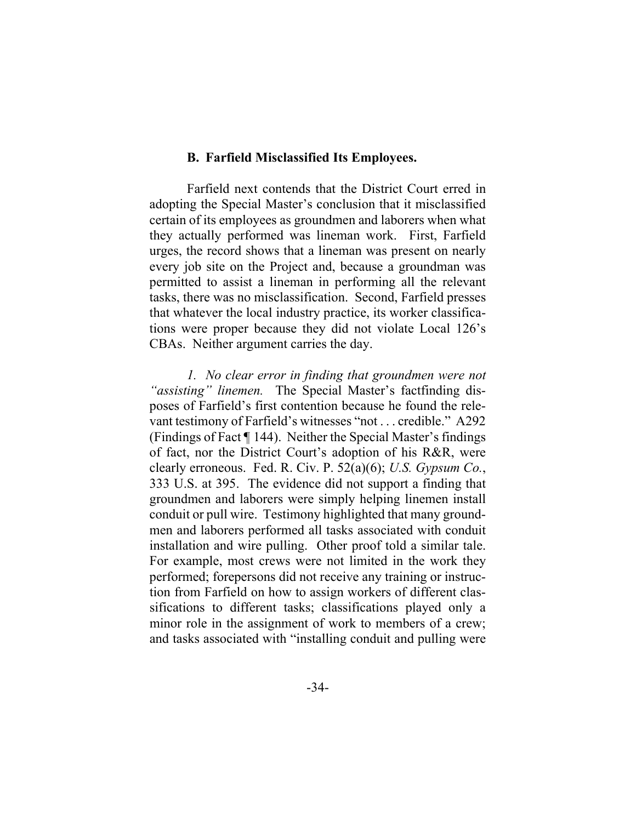## **B. Farfield Misclassified Its Employees.**

Farfield next contends that the District Court erred in adopting the Special Master's conclusion that it misclassified certain of its employees as groundmen and laborers when what they actually performed was lineman work. First, Farfield urges, the record shows that a lineman was present on nearly every job site on the Project and, because a groundman was permitted to assist a lineman in performing all the relevant tasks, there was no misclassification. Second, Farfield presses that whatever the local industry practice, its worker classifications were proper because they did not violate Local 126's CBAs. Neither argument carries the day.

*1. No clear error in finding that groundmen were not "assisting" linemen.* The Special Master's factfinding disposes of Farfield's first contention because he found the relevant testimony of Farfield's witnesses "not . . . credible." A292 (Findings of Fact ¶ 144). Neither the Special Master's findings of fact, nor the District Court's adoption of his R&R, were clearly erroneous. Fed. R. Civ. P. 52(a)(6); *U.S. Gypsum Co.*, 333 U.S. at 395. The evidence did not support a finding that groundmen and laborers were simply helping linemen install conduit or pull wire. Testimony highlighted that many groundmen and laborers performed all tasks associated with conduit installation and wire pulling. Other proof told a similar tale. For example, most crews were not limited in the work they performed; forepersons did not receive any training or instruction from Farfield on how to assign workers of different classifications to different tasks; classifications played only a minor role in the assignment of work to members of a crew; and tasks associated with "installing conduit and pulling were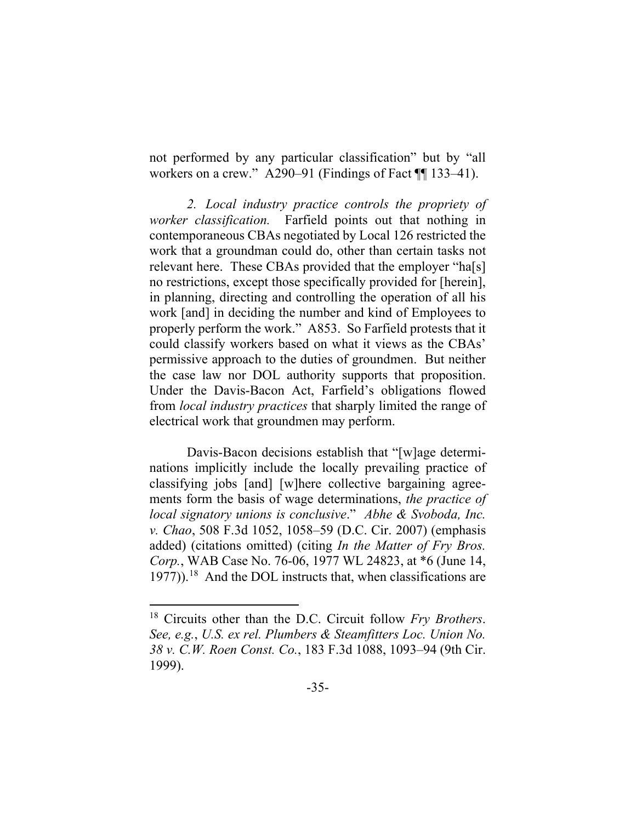not performed by any particular classification" but by "all workers on a crew." A290–91 (Findings of Fact  $\P$  133–41).

*2. Local industry practice controls the propriety of worker classification.* Farfield points out that nothing in contemporaneous CBAs negotiated by Local 126 restricted the work that a groundman could do, other than certain tasks not relevant here. These CBAs provided that the employer "ha[s] no restrictions, except those specifically provided for [herein], in planning, directing and controlling the operation of all his work [and] in deciding the number and kind of Employees to properly perform the work." A853. So Farfield protests that it could classify workers based on what it views as the CBAs' permissive approach to the duties of groundmen. But neither the case law nor DOL authority supports that proposition. Under the Davis-Bacon Act, Farfield's obligations flowed from *local industry practices* that sharply limited the range of electrical work that groundmen may perform.

Davis-Bacon decisions establish that "[w]age determinations implicitly include the locally prevailing practice of classifying jobs [and] [w]here collective bargaining agreements form the basis of wage determinations, *the practice of local signatory unions is conclusive*." *Abhe & Svoboda, Inc. v. Chao*, 508 F.3d 1052, 1058–59 (D.C. Cir. 2007) (emphasis added) (citations omitted) (citing *In the Matter of Fry Bros. Corp.*, WAB Case No. 76-06, 1977 WL 24823, at \*6 (June 14,  $1977)$ ).<sup>18</sup> And the DOL instructs that, when classifications are

<sup>18</sup> Circuits other than the D.C. Circuit follow *Fry Brothers*. *See, e.g.*, *U.S. ex rel. Plumbers & Steamfitters Loc. Union No. 38 v. C.W. Roen Const. Co.*, 183 F.3d 1088, 1093–94 (9th Cir. 1999).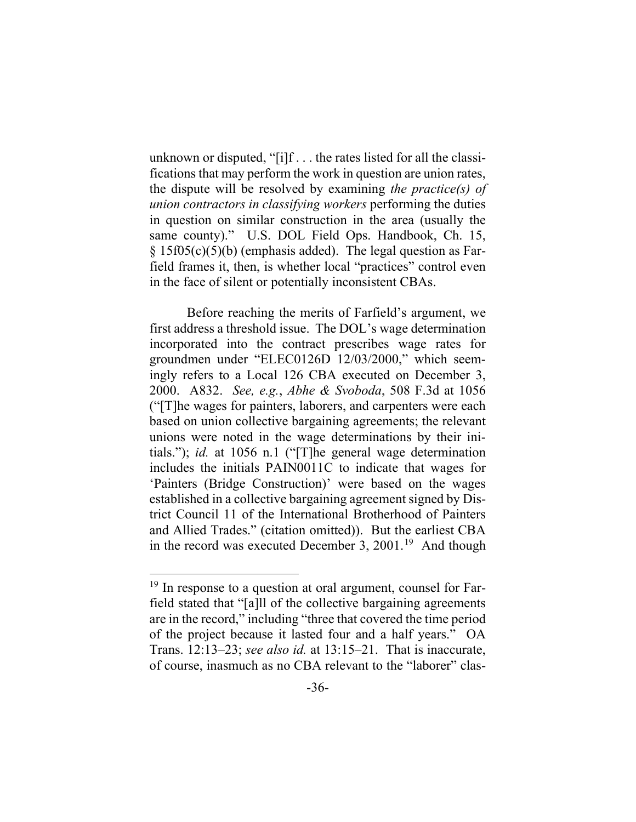unknown or disputed, "[i]f . . . the rates listed for all the classifications that may perform the work in question are union rates, the dispute will be resolved by examining *the practice(s) of union contractors in classifying workers* performing the duties in question on similar construction in the area (usually the same county)." U.S. DOL Field Ops. Handbook, Ch. 15, § 15f05(c)(5)(b) (emphasis added). The legal question as Farfield frames it, then, is whether local "practices" control even in the face of silent or potentially inconsistent CBAs.

Before reaching the merits of Farfield's argument, we first address a threshold issue. The DOL's wage determination incorporated into the contract prescribes wage rates for groundmen under "ELEC0126D 12/03/2000," which seemingly refers to a Local 126 CBA executed on December 3, 2000. A832.*See, e.g.*, *Abhe & Svoboda*, 508 F.3d at 1056 ("[T]he wages for painters, laborers, and carpenters were each based on union collective bargaining agreements; the relevant unions were noted in the wage determinations by their initials."); *id.* at 1056 n.1 ("[T]he general wage determination includes the initials PAIN0011C to indicate that wages for 'Painters (Bridge Construction)' were based on the wages established in a collective bargaining agreement signed by District Council 11 of the International Brotherhood of Painters and Allied Trades." (citation omitted)). But the earliest CBA in the record was executed December 3, 2001.<sup>19</sup> And though

<sup>&</sup>lt;sup>19</sup> In response to a question at oral argument, counsel for Farfield stated that "[a]ll of the collective bargaining agreements are in the record," including "three that covered the time period of the project because it lasted four and a half years." OA Trans. 12:13–23; *see also id.* at 13:15–21. That is inaccurate, of course, inasmuch as no CBA relevant to the "laborer" clas-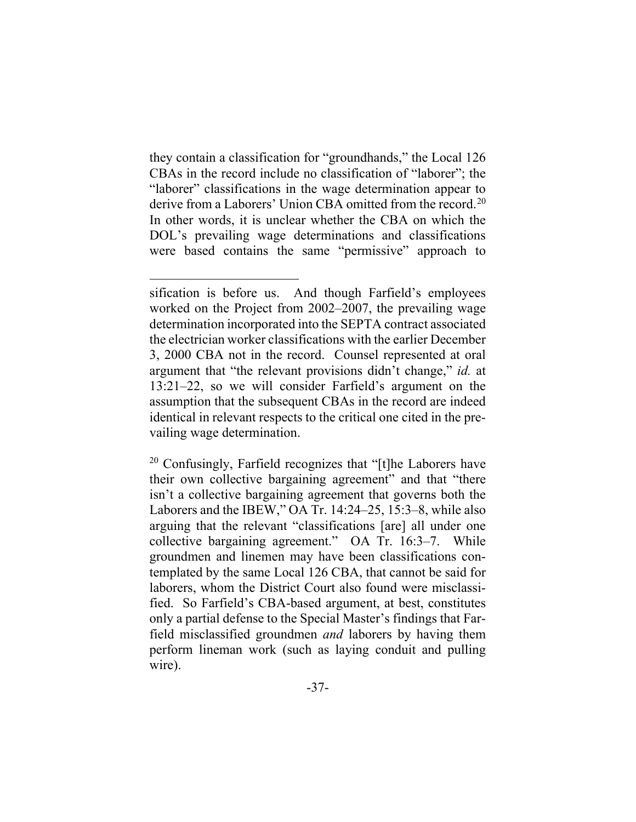they contain a classification for "groundhands," the Local 126 CBAs in the record include no classification of "laborer"; the "laborer" classifications in the wage determination appear to derive from a Laborers' Union CBA omitted from the record. 20 In other words, it is unclear whether the CBA on which the DOL's prevailing wage determinations and classifications were based contains the same "permissive" approach to

<sup>20</sup> Confusingly, Farfield recognizes that "[t]he Laborers have their own collective bargaining agreement" and that "there isn't a collective bargaining agreement that governs both the Laborers and the IBEW," OA Tr. 14:24–25, 15:3–8, while also arguing that the relevant "classifications [are] all under one collective bargaining agreement." OA Tr. 16:3–7. While groundmen and linemen may have been classifications contemplated by the same Local 126 CBA, that cannot be said for laborers, whom the District Court also found were misclassified. So Farfield's CBA-based argument, at best, constitutes only a partial defense to the Special Master's findings that Farfield misclassified groundmen *and* laborers by having them perform lineman work (such as laying conduit and pulling wire).

sification is before us. And though Farfield's employees worked on the Project from 2002–2007, the prevailing wage determination incorporated into the SEPTA contract associated the electrician worker classifications with the earlier December 3, 2000 CBA not in the record. Counsel represented at oral argument that "the relevant provisions didn't change," *id.* at 13:21–22, so we will consider Farfield's argument on the assumption that the subsequent CBAs in the record are indeed identical in relevant respects to the critical one cited in the prevailing wage determination.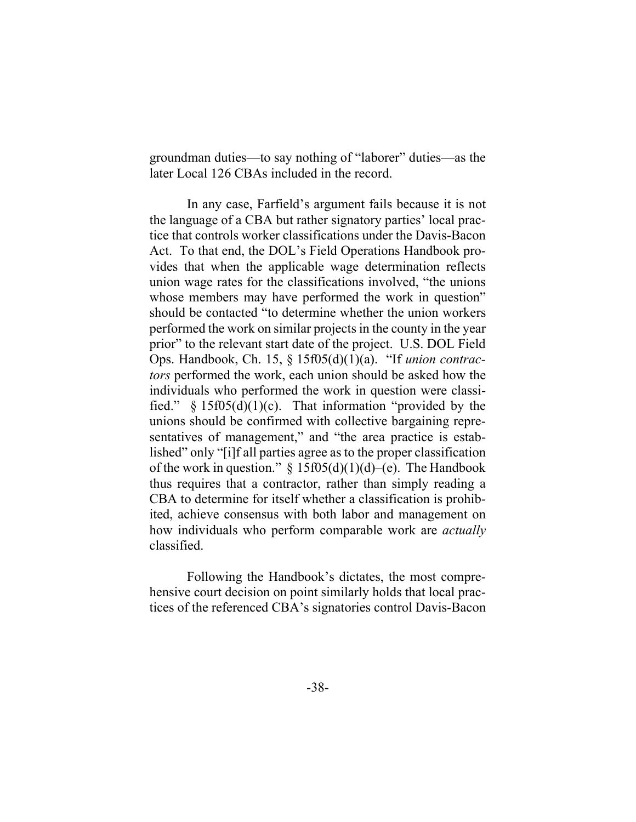groundman duties—to say nothing of "laborer" duties—as the later Local 126 CBAs included in the record.

In any case, Farfield's argument fails because it is not the language of a CBA but rather signatory parties' local practice that controls worker classifications under the Davis-Bacon Act. To that end, the DOL's Field Operations Handbook provides that when the applicable wage determination reflects union wage rates for the classifications involved, "the unions whose members may have performed the work in question" should be contacted "to determine whether the union workers performed the work on similar projects in the county in the year prior" to the relevant start date of the project. U.S. DOL Field Ops. Handbook, Ch. 15, § 15f05(d)(1)(a). "If *union contractors* performed the work, each union should be asked how the individuals who performed the work in question were classified." § 15f05(d)(1)(c).That information "provided by the unions should be confirmed with collective bargaining representatives of management," and "the area practice is established" only "[i]f all parties agree as to the proper classification of the work in question."  $\S 15f05(d)(1)(d)$ –(e). The Handbook thus requires that a contractor, rather than simply reading a CBA to determine for itself whether a classification is prohibited, achieve consensus with both labor and management on how individuals who perform comparable work are *actually* classified.

Following the Handbook's dictates, the most comprehensive court decision on point similarly holds that local practices of the referenced CBA's signatories control Davis-Bacon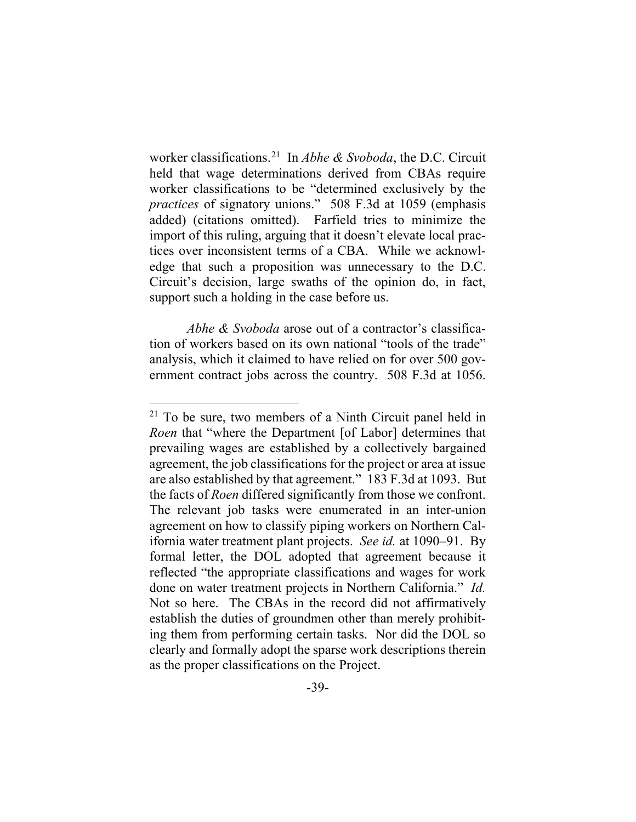worker classifications.21 In *Abhe & Svoboda*, the D.C. Circuit held that wage determinations derived from CBAs require worker classifications to be "determined exclusively by the *practices* of signatory unions." 508 F.3d at 1059 (emphasis added) (citations omitted). Farfield tries to minimize the import of this ruling, arguing that it doesn't elevate local practices over inconsistent terms of a CBA. While we acknowledge that such a proposition was unnecessary to the D.C. Circuit's decision, large swaths of the opinion do, in fact, support such a holding in the case before us.

*Abhe & Svoboda* arose out of a contractor's classification of workers based on its own national "tools of the trade" analysis, which it claimed to have relied on for over 500 government contract jobs across the country. 508 F.3d at 1056.

 $21$  To be sure, two members of a Ninth Circuit panel held in *Roen* that "where the Department [of Labor] determines that prevailing wages are established by a collectively bargained agreement, the job classifications for the project or area at issue are also established by that agreement." 183 F.3d at 1093. But the facts of *Roen* differed significantly from those we confront. The relevant job tasks were enumerated in an inter-union agreement on how to classify piping workers on Northern California water treatment plant projects. *See id.* at 1090–91. By formal letter, the DOL adopted that agreement because it reflected "the appropriate classifications and wages for work done on water treatment projects in Northern California." *Id.*  Not so here. The CBAs in the record did not affirmatively establish the duties of groundmen other than merely prohibiting them from performing certain tasks. Nor did the DOL so clearly and formally adopt the sparse work descriptions therein as the proper classifications on the Project.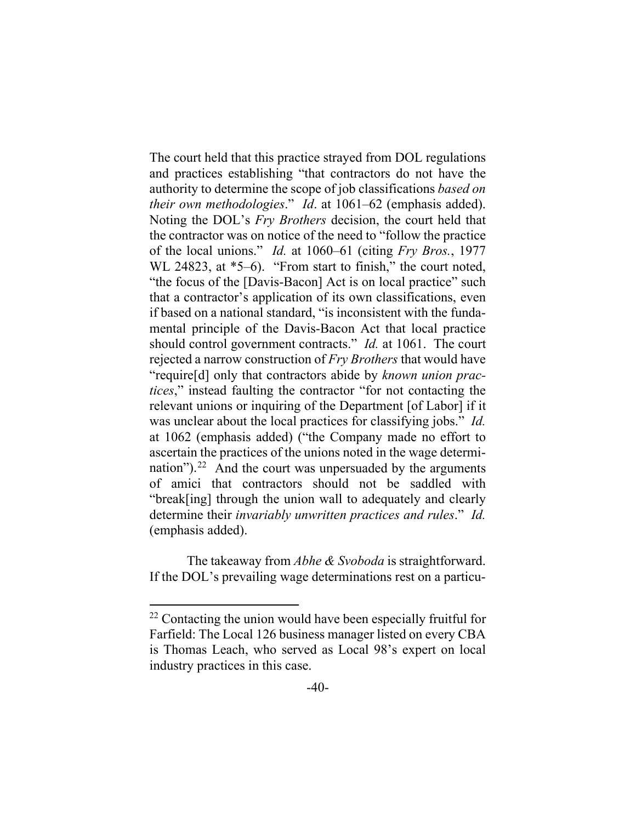The court held that this practice strayed from DOL regulations and practices establishing "that contractors do not have the authority to determine the scope of job classifications *based on their own methodologies*." *Id*. at 1061–62 (emphasis added). Noting the DOL's *Fry Brothers* decision, the court held that the contractor was on notice of the need to "follow the practice of the local unions." *Id.* at 1060–61 (citing *Fry Bros.*, 1977 WL 24823, at  $*5-6$ ). "From start to finish," the court noted, "the focus of the [Davis-Bacon] Act is on local practice" such that a contractor's application of its own classifications, even if based on a national standard, "is inconsistent with the fundamental principle of the Davis-Bacon Act that local practice should control government contracts." *Id.* at 1061. The court rejected a narrow construction of *Fry Brothers* that would have "require[d] only that contractors abide by *known union practices*," instead faulting the contractor "for not contacting the relevant unions or inquiring of the Department [of Labor] if it was unclear about the local practices for classifying jobs." *Id.*  at 1062 (emphasis added) ("the Company made no effort to ascertain the practices of the unions noted in the wage determination"). $22$  And the court was unpersuaded by the arguments of amici that contractors should not be saddled with "break[ing] through the union wall to adequately and clearly determine their *invariably unwritten practices and rules*." *Id.*  (emphasis added).

The takeaway from *Abhe & Svoboda* is straightforward. If the DOL's prevailing wage determinations rest on a particu-

 $22$  Contacting the union would have been especially fruitful for Farfield: The Local 126 business manager listed on every CBA is Thomas Leach, who served as Local 98's expert on local industry practices in this case.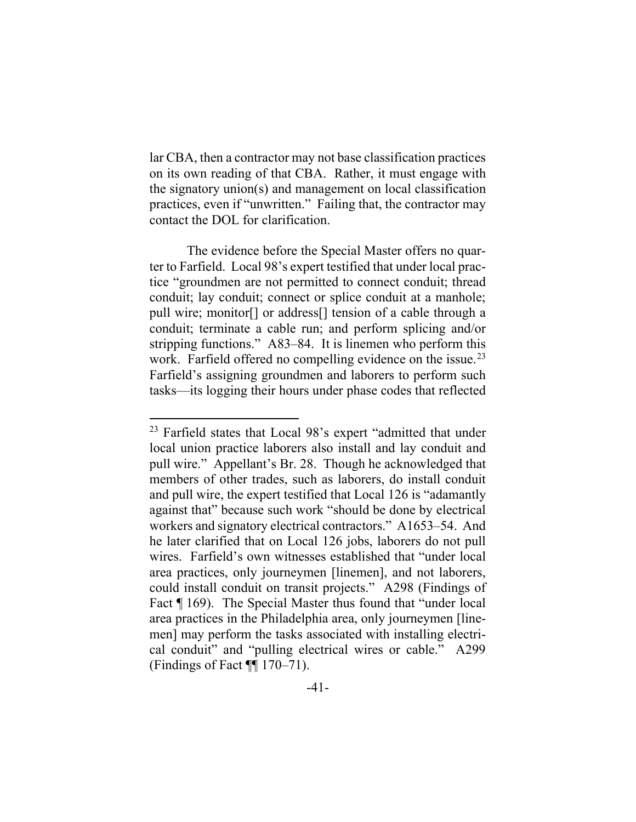lar CBA, then a contractor may not base classification practices on its own reading of that CBA. Rather, it must engage with the signatory union(s) and management on local classification practices, even if "unwritten." Failing that, the contractor may contact the DOL for clarification.

The evidence before the Special Master offers no quarter to Farfield. Local 98's expert testified that under local practice "groundmen are not permitted to connect conduit; thread conduit; lay conduit; connect or splice conduit at a manhole; pull wire; monitor[] or address[] tension of a cable through a conduit; terminate a cable run; and perform splicing and/or stripping functions." A83–84. It is linemen who perform this work. Farfield offered no compelling evidence on the issue.<sup>23</sup> Farfield's assigning groundmen and laborers to perform such tasks—its logging their hours under phase codes that reflected

 $23$  Farfield states that Local 98's expert "admitted that under local union practice laborers also install and lay conduit and pull wire." Appellant's Br. 28. Though he acknowledged that members of other trades, such as laborers, do install conduit and pull wire, the expert testified that Local 126 is "adamantly against that" because such work "should be done by electrical workers and signatory electrical contractors." A1653–54. And he later clarified that on Local 126 jobs, laborers do not pull wires. Farfield's own witnesses established that "under local area practices, only journeymen [linemen], and not laborers, could install conduit on transit projects." A298 (Findings of Fact ¶ 169). The Special Master thus found that "under local area practices in the Philadelphia area, only journeymen [linemen] may perform the tasks associated with installing electrical conduit" and "pulling electrical wires or cable." A299 (Findings of Fact ¶¶ 170–71).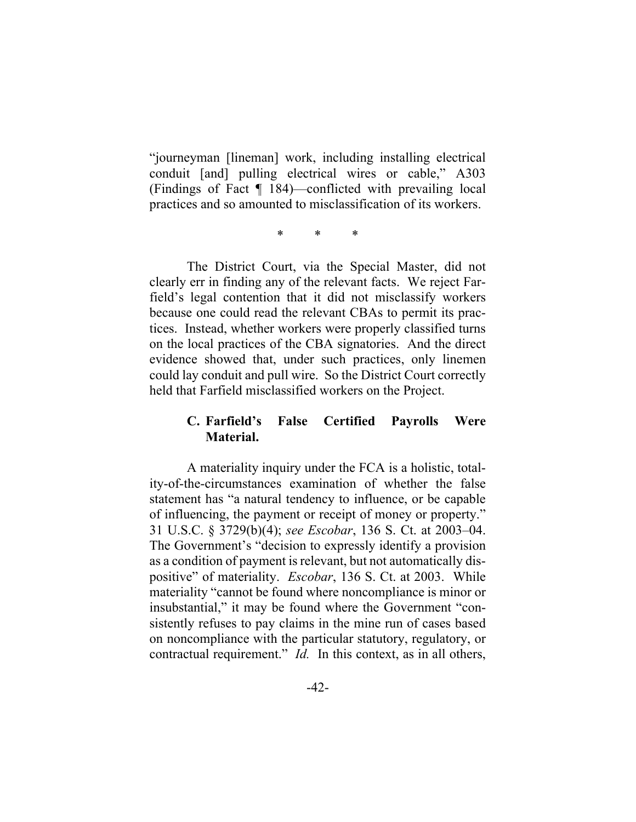"journeyman [lineman] work, including installing electrical conduit [and] pulling electrical wires or cable," A303 (Findings of Fact ¶ 184)—conflicted with prevailing local practices and so amounted to misclassification of its workers.

\* \* \*

The District Court, via the Special Master, did not clearly err in finding any of the relevant facts. We reject Farfield's legal contention that it did not misclassify workers because one could read the relevant CBAs to permit its practices. Instead, whether workers were properly classified turns on the local practices of the CBA signatories. And the direct evidence showed that, under such practices, only linemen could lay conduit and pull wire. So the District Court correctly held that Farfield misclassified workers on the Project.

## **C. Farfield's False Certified Payrolls Were Material.**

A materiality inquiry under the FCA is a holistic, totality-of-the-circumstances examination of whether the false statement has "a natural tendency to influence, or be capable of influencing, the payment or receipt of money or property." 31 U.S.C. § 3729(b)(4); *see Escobar*, 136 S. Ct. at 2003–04. The Government's "decision to expressly identify a provision as a condition of payment is relevant, but not automatically dispositive" of materiality. *Escobar*, 136 S. Ct. at 2003. While materiality "cannot be found where noncompliance is minor or insubstantial," it may be found where the Government "consistently refuses to pay claims in the mine run of cases based on noncompliance with the particular statutory, regulatory, or contractual requirement." *Id.* In this context, as in all others,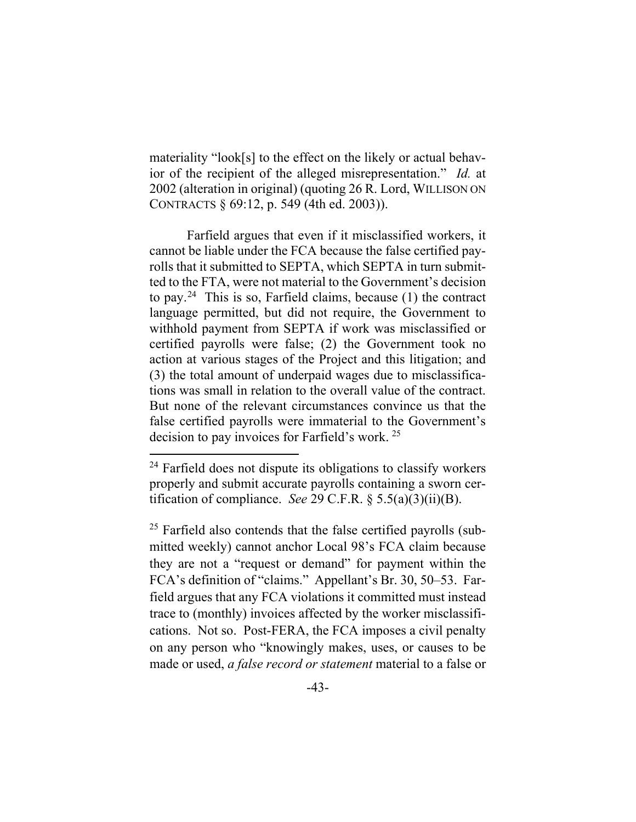materiality "look[s] to the effect on the likely or actual behavior of the recipient of the alleged misrepresentation." *Id.* at 2002 (alteration in original) (quoting 26 R. Lord, WILLISON ON CONTRACTS § 69:12, p. 549 (4th ed. 2003)).

Farfield argues that even if it misclassified workers, it cannot be liable under the FCA because the false certified payrolls that it submitted to SEPTA, which SEPTA in turn submitted to the FTA, were not material to the Government's decision to pay.<sup>24</sup> This is so, Farfield claims, because  $(1)$  the contract language permitted, but did not require, the Government to withhold payment from SEPTA if work was misclassified or certified payrolls were false; (2) the Government took no action at various stages of the Project and this litigation; and (3) the total amount of underpaid wages due to misclassifications was small in relation to the overall value of the contract. But none of the relevant circumstances convince us that the false certified payrolls were immaterial to the Government's decision to pay invoices for Farfield's work. 25

 $24$  Farfield does not dispute its obligations to classify workers properly and submit accurate payrolls containing a sworn certification of compliance. *See* 29 C.F.R. § 5.5(a)(3)(ii)(B).

<sup>&</sup>lt;sup>25</sup> Farfield also contends that the false certified payrolls (submitted weekly) cannot anchor Local 98's FCA claim because they are not a "request or demand" for payment within the FCA's definition of "claims." Appellant's Br. 30, 50–53. Farfield argues that any FCA violations it committed must instead trace to (monthly) invoices affected by the worker misclassifications. Not so. Post-FERA, the FCA imposes a civil penalty on any person who "knowingly makes, uses, or causes to be made or used, *a false record or statement* material to a false or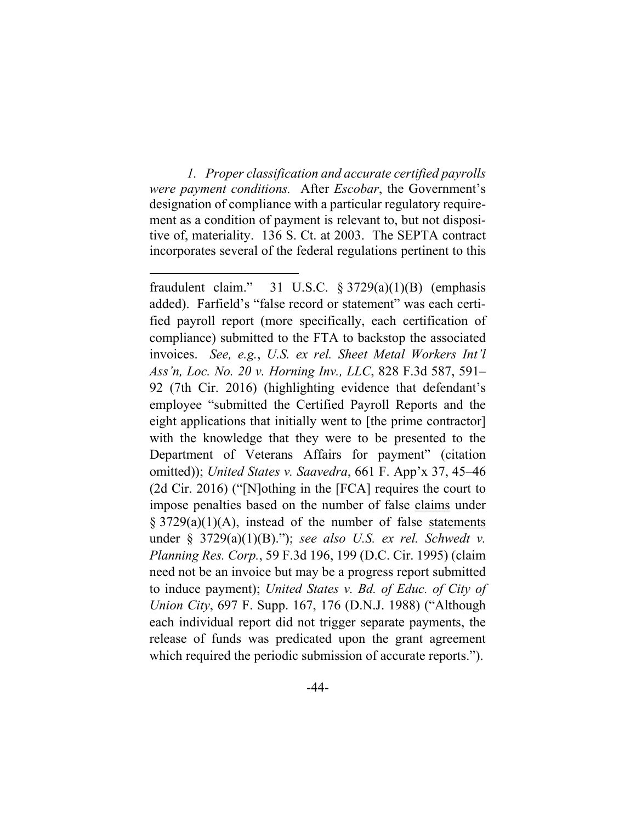*1. Proper classification and accurate certified payrolls were payment conditions.* After *Escobar*, the Government's designation of compliance with a particular regulatory requirement as a condition of payment is relevant to, but not dispositive of, materiality. 136 S. Ct. at 2003. The SEPTA contract incorporates several of the federal regulations pertinent to this

fraudulent claim." 31 U.S.C.  $\S 3729(a)(1)(B)$  (emphasis added). Farfield's "false record or statement" was each certified payroll report (more specifically, each certification of compliance) submitted to the FTA to backstop the associated invoices. *See, e.g.*, *U.S. ex rel. Sheet Metal Workers Int'l Ass'n, Loc. No. 20 v. Horning Inv., LLC*, 828 F.3d 587, 591– 92 (7th Cir. 2016) (highlighting evidence that defendant's employee "submitted the Certified Payroll Reports and the eight applications that initially went to [the prime contractor] with the knowledge that they were to be presented to the Department of Veterans Affairs for payment" (citation omitted)); *United States v. Saavedra*, 661 F. App'x 37, 45–46 (2d Cir. 2016) ("[N]othing in the [FCA] requires the court to impose penalties based on the number of false claims under  $\S 3729(a)(1)(A)$ , instead of the number of false statements under § 3729(a)(1)(B)."); *see also U.S. ex rel. Schwedt v. Planning Res. Corp.*, 59 F.3d 196, 199 (D.C. Cir. 1995) (claim need not be an invoice but may be a progress report submitted to induce payment); *United States v. Bd. of Educ. of City of Union City*, 697 F. Supp. 167, 176 (D.N.J. 1988) ("Although each individual report did not trigger separate payments, the release of funds was predicated upon the grant agreement which required the periodic submission of accurate reports.").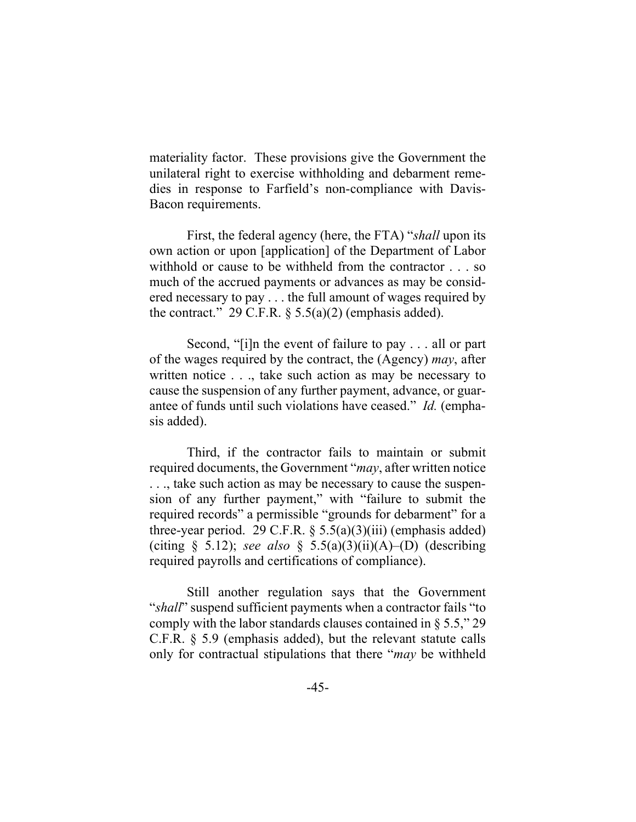materiality factor. These provisions give the Government the unilateral right to exercise withholding and debarment remedies in response to Farfield's non-compliance with Davis-Bacon requirements.

First, the federal agency (here, the FTA) "*shall* upon its own action or upon [application] of the Department of Labor withhold or cause to be withheld from the contractor . . . so much of the accrued payments or advances as may be considered necessary to pay . . . the full amount of wages required by the contract." 29 C.F.R.  $\S$  5.5(a)(2) (emphasis added).

Second, "[i]n the event of failure to pay . . . all or part of the wages required by the contract, the (Agency) *may*, after written notice . . ., take such action as may be necessary to cause the suspension of any further payment, advance, or guarantee of funds until such violations have ceased." *Id.* (emphasis added).

Third, if the contractor fails to maintain or submit required documents, the Government "*may*, after written notice . . ., take such action as may be necessary to cause the suspension of any further payment," with "failure to submit the required records" a permissible "grounds for debarment" for a three-year period. 29 C.F.R.  $\S$  5.5(a)(3)(iii) (emphasis added) (citing § 5.12); *see also* § 5.5(a)(3)(ii)(A)–(D) (describing required payrolls and certifications of compliance).

Still another regulation says that the Government "*shall*" suspend sufficient payments when a contractor fails "to comply with the labor standards clauses contained in  $\S 5.5$ ," 29 C.F.R. § 5.9 (emphasis added), but the relevant statute calls only for contractual stipulations that there "*may* be withheld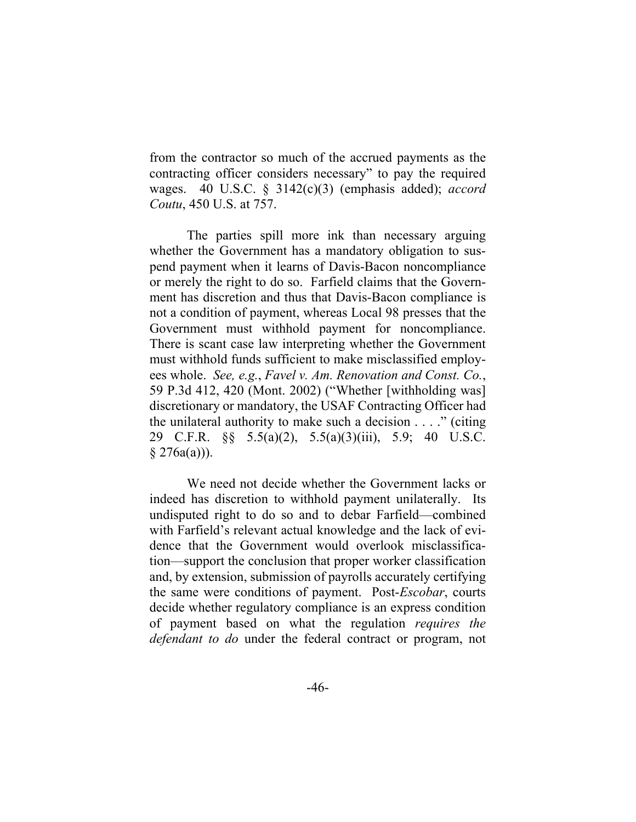from the contractor so much of the accrued payments as the contracting officer considers necessary" to pay the required wages. 40 U.S.C. § 3142(c)(3) (emphasis added); *accord Coutu*, 450 U.S. at 757.

The parties spill more ink than necessary arguing whether the Government has a mandatory obligation to suspend payment when it learns of Davis-Bacon noncompliance or merely the right to do so. Farfield claims that the Government has discretion and thus that Davis-Bacon compliance is not a condition of payment, whereas Local 98 presses that the Government must withhold payment for noncompliance. There is scant case law interpreting whether the Government must withhold funds sufficient to make misclassified employees whole. *See, e.g.*, *Favel v. Am. Renovation and Const. Co.*, 59 P.3d 412, 420 (Mont. 2002) ("Whether [withholding was] discretionary or mandatory, the USAF Contracting Officer had the unilateral authority to make such a decision  $\dots$  " (citing 29 C.F.R. §§ 5.5(a)(2), 5.5(a)(3)(iii), 5.9; 40 U.S.C.  $§ 276a(a))$ .

We need not decide whether the Government lacks or indeed has discretion to withhold payment unilaterally. Its undisputed right to do so and to debar Farfield—combined with Farfield's relevant actual knowledge and the lack of evidence that the Government would overlook misclassification—support the conclusion that proper worker classification and, by extension, submission of payrolls accurately certifying the same were conditions of payment. Post-*Escobar*, courts decide whether regulatory compliance is an express condition of payment based on what the regulation *requires the defendant to do* under the federal contract or program, not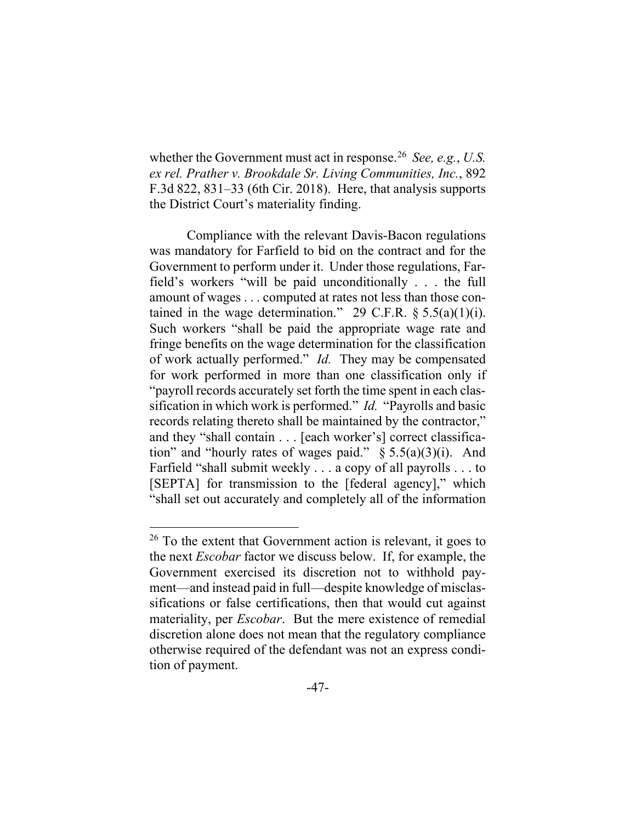whether the Government must act in response.26 *See, e.g.*, *U.S. ex rel. Prather v. Brookdale Sr. Living Communities, Inc.*, 892 F.3d 822, 831–33 (6th Cir. 2018). Here, that analysis supports the District Court's materiality finding.

Compliance with the relevant Davis-Bacon regulations was mandatory for Farfield to bid on the contract and for the Government to perform under it. Under those regulations, Farfield's workers "will be paid unconditionally . . . the full amount of wages . . . computed at rates not less than those contained in the wage determination." 29 C.F.R.  $\S 5.5(a)(1)(i)$ . Such workers "shall be paid the appropriate wage rate and fringe benefits on the wage determination for the classification of work actually performed." *Id.* They may be compensated for work performed in more than one classification only if "payroll records accurately set forth the time spent in each classification in which work is performed." *Id.* "Payrolls and basic records relating thereto shall be maintained by the contractor," and they "shall contain . . . [each worker's] correct classification" and "hourly rates of wages paid."  $\S 5.5(a)(3)(i)$ . And Farfield "shall submit weekly . . . a copy of all payrolls . . . to [SEPTA] for transmission to the [federal agency]," which "shall set out accurately and completely all of the information

 $26$  To the extent that Government action is relevant, it goes to the next *Escobar* factor we discuss below. If, for example, the Government exercised its discretion not to withhold payment—and instead paid in full—despite knowledge of misclassifications or false certifications, then that would cut against materiality, per *Escobar*. But the mere existence of remedial discretion alone does not mean that the regulatory compliance otherwise required of the defendant was not an express condition of payment.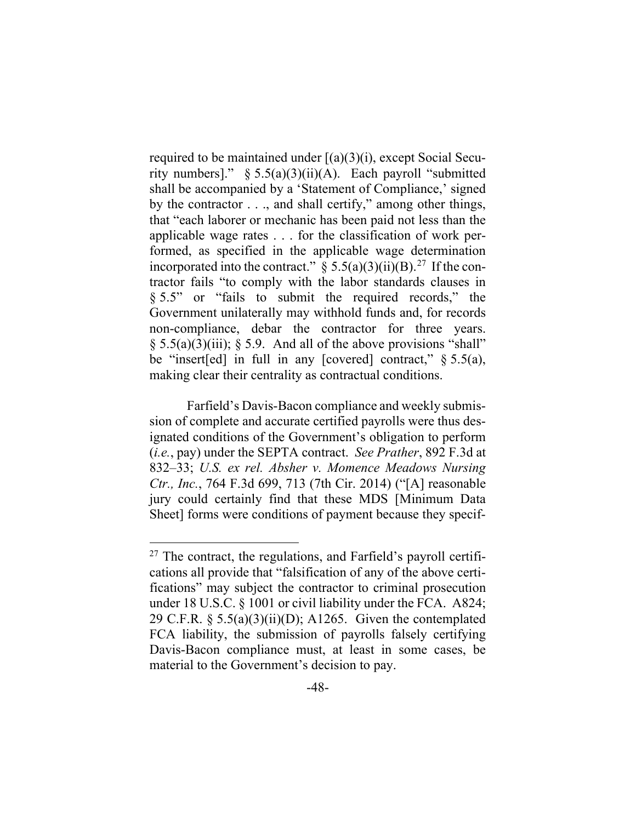required to be maintained under [(a)(3)(i), except Social Security numbers]."  $\S 5.5(a)(3)(ii)(A)$ . Each payroll "submitted" shall be accompanied by a 'Statement of Compliance,' signed by the contractor . . ., and shall certify," among other things, that "each laborer or mechanic has been paid not less than the applicable wage rates . . . for the classification of work performed, as specified in the applicable wage determination incorporated into the contract."  $\S 5.5(a)(3)(ii)(B).^{27}$  If the contractor fails "to comply with the labor standards clauses in § 5.5" or "fails to submit the required records," the Government unilaterally may withhold funds and, for records non-compliance, debar the contractor for three years.  $\S$  5.5(a)(3)(iii);  $\S$  5.9. And all of the above provisions "shall" be "insert[ed] in full in any [covered] contract,"  $\S$  5.5(a), making clear their centrality as contractual conditions.

Farfield's Davis-Bacon compliance and weekly submission of complete and accurate certified payrolls were thus designated conditions of the Government's obligation to perform (*i.e.*, pay) under the SEPTA contract. *See Prather*, 892 F.3d at 832–33; *U.S. ex rel. Absher v. Momence Meadows Nursing Ctr., Inc.*, 764 F.3d 699, 713 (7th Cir. 2014) ("[A] reasonable jury could certainly find that these MDS [Minimum Data Sheet] forms were conditions of payment because they specif-

 $27$  The contract, the regulations, and Farfield's payroll certifications all provide that "falsification of any of the above certifications" may subject the contractor to criminal prosecution under 18 U.S.C. § 1001 or civil liability under the FCA. A824; 29 C.F.R.  $\S 5.5(a)(3)(ii)(D)$ ; A1265. Given the contemplated FCA liability, the submission of payrolls falsely certifying Davis-Bacon compliance must, at least in some cases, be material to the Government's decision to pay.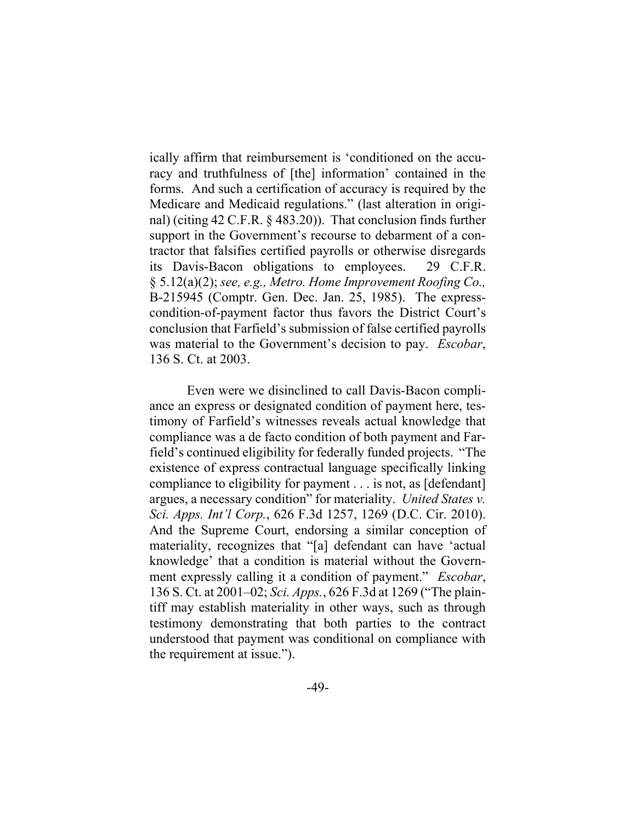ically affirm that reimbursement is 'conditioned on the accuracy and truthfulness of [the] information' contained in the forms. And such a certification of accuracy is required by the Medicare and Medicaid regulations." (last alteration in original) (citing 42 C.F.R. § 483.20)). That conclusion finds further support in the Government's recourse to debarment of a contractor that falsifies certified payrolls or otherwise disregards its Davis-Bacon obligations to employees. 29 C.F.R. § 5.12(a)(2); *see, e.g., Metro. Home Improvement Roofing Co.,*  B-215945 (Comptr. Gen. Dec. Jan. 25, 1985). The expresscondition-of-payment factor thus favors the District Court's conclusion that Farfield's submission of false certified payrolls was material to the Government's decision to pay. *Escobar*, 136 S. Ct. at 2003.

Even were we disinclined to call Davis-Bacon compliance an express or designated condition of payment here, testimony of Farfield's witnesses reveals actual knowledge that compliance was a de facto condition of both payment and Farfield's continued eligibility for federally funded projects. "The existence of express contractual language specifically linking compliance to eligibility for payment . . . is not, as [defendant] argues, a necessary condition" for materiality. *United States v. Sci. Apps. Int'l Corp.*, 626 F.3d 1257, 1269 (D.C. Cir. 2010). And the Supreme Court, endorsing a similar conception of materiality, recognizes that "[a] defendant can have 'actual knowledge' that a condition is material without the Government expressly calling it a condition of payment." *Escobar*, 136 S. Ct. at 2001–02; *Sci. Apps.*, 626 F.3d at 1269 ("The plaintiff may establish materiality in other ways, such as through testimony demonstrating that both parties to the contract understood that payment was conditional on compliance with the requirement at issue.").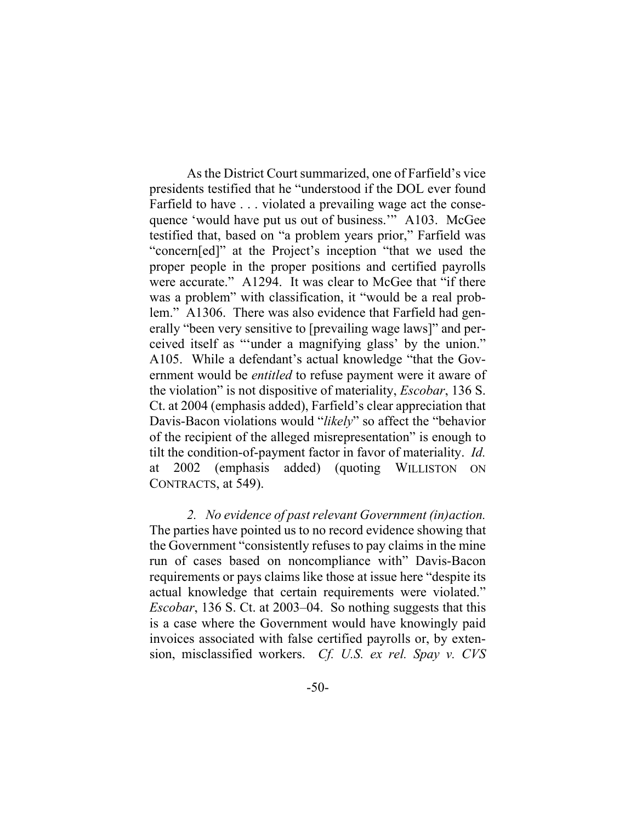As the District Court summarized, one of Farfield's vice presidents testified that he "understood if the DOL ever found Farfield to have . . . violated a prevailing wage act the consequence 'would have put us out of business.'" A103. McGee testified that, based on "a problem years prior," Farfield was "concern[ed]" at the Project's inception "that we used the proper people in the proper positions and certified payrolls were accurate." A1294. It was clear to McGee that "if there was a problem" with classification, it "would be a real problem." A1306. There was also evidence that Farfield had generally "been very sensitive to [prevailing wage laws]" and perceived itself as "'under a magnifying glass' by the union." A105. While a defendant's actual knowledge "that the Government would be *entitled* to refuse payment were it aware of the violation" is not dispositive of materiality, *Escobar*, 136 S. Ct. at 2004 (emphasis added), Farfield's clear appreciation that Davis-Bacon violations would "*likely*" so affect the "behavior of the recipient of the alleged misrepresentation" is enough to tilt the condition-of-payment factor in favor of materiality. *Id.*  at 2002 (emphasis added) (quoting WILLISTON ON CONTRACTS, at 549).

*2. No evidence of past relevant Government (in)action.* The parties have pointed us to no record evidence showing that the Government "consistently refuses to pay claims in the mine run of cases based on noncompliance with" Davis-Bacon requirements or pays claims like those at issue here "despite its actual knowledge that certain requirements were violated." *Escobar*, 136 S. Ct. at 2003–04. So nothing suggests that this is a case where the Government would have knowingly paid invoices associated with false certified payrolls or, by extension, misclassified workers. *Cf. U.S. ex rel. Spay v. CVS*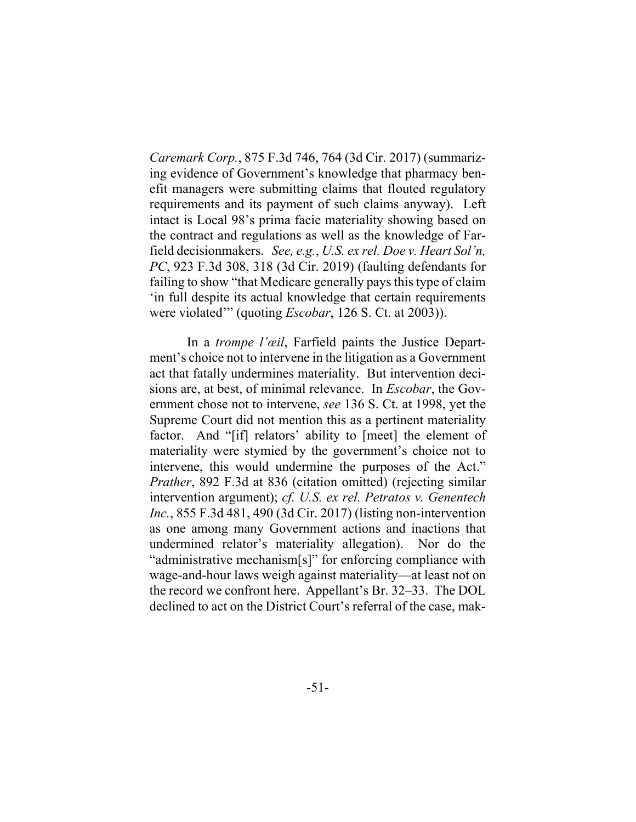*Caremark Corp.*, 875 F.3d 746, 764 (3d Cir. 2017) (summarizing evidence of Government's knowledge that pharmacy benefit managers were submitting claims that flouted regulatory requirements and its payment of such claims anyway). Left intact is Local 98's prima facie materiality showing based on the contract and regulations as well as the knowledge of Farfield decisionmakers. *See, e.g.*, *U.S. ex rel. Doe v. Heart Sol'n, PC*, 923 F.3d 308, 318 (3d Cir. 2019) (faulting defendants for failing to show "that Medicare generally pays this type of claim 'in full despite its actual knowledge that certain requirements were violated'" (quoting *Escobar*, 126 S. Ct. at 2003)).

In a *trompe l'œil*, Farfield paints the Justice Department's choice not to intervene in the litigation as a Government act that fatally undermines materiality. But intervention decisions are, at best, of minimal relevance. In *Escobar*, the Government chose not to intervene, *see* 136 S. Ct. at 1998, yet the Supreme Court did not mention this as a pertinent materiality factor. And "[if] relators' ability to [meet] the element of materiality were stymied by the government's choice not to intervene, this would undermine the purposes of the Act." *Prather*, 892 F.3d at 836 (citation omitted) (rejecting similar intervention argument); *cf. U.S. ex rel. Petratos v. Genentech Inc.*, 855 F.3d 481, 490 (3d Cir. 2017) (listing non-intervention as one among many Government actions and inactions that undermined relator's materiality allegation). Nor do the "administrative mechanism[s]" for enforcing compliance with wage-and-hour laws weigh against materiality—at least not on the record we confront here. Appellant's Br. 32–33. The DOL declined to act on the District Court's referral of the case, mak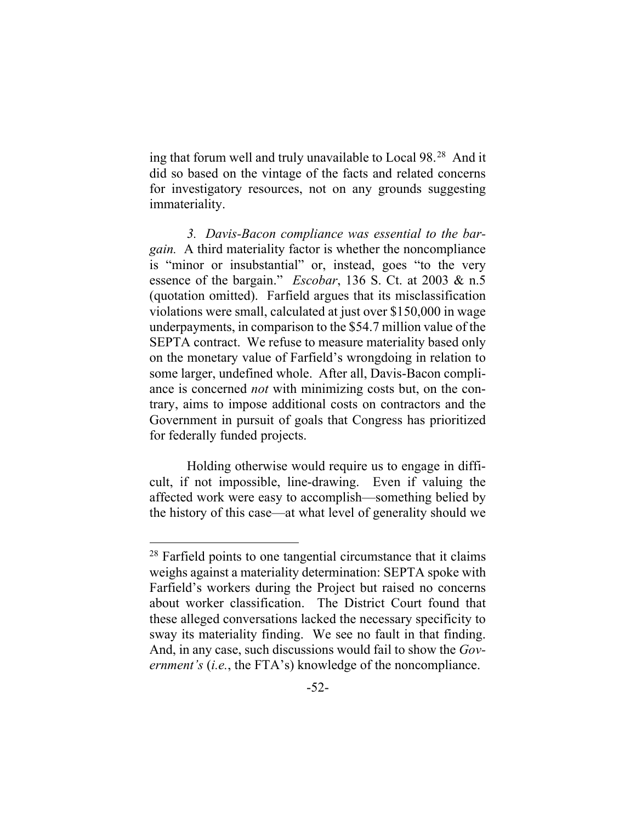ing that forum well and truly unavailable to Local 98.28 And it did so based on the vintage of the facts and related concerns for investigatory resources, not on any grounds suggesting immateriality.

*3. Davis-Bacon compliance was essential to the bargain.* A third materiality factor is whether the noncompliance is "minor or insubstantial" or, instead, goes "to the very essence of the bargain." *Escobar*, 136 S. Ct. at 2003 & n.5 (quotation omitted). Farfield argues that its misclassification violations were small, calculated at just over \$150,000 in wage underpayments, in comparison to the \$54.7 million value of the SEPTA contract. We refuse to measure materiality based only on the monetary value of Farfield's wrongdoing in relation to some larger, undefined whole. After all, Davis-Bacon compliance is concerned *not* with minimizing costs but, on the contrary, aims to impose additional costs on contractors and the Government in pursuit of goals that Congress has prioritized for federally funded projects.

Holding otherwise would require us to engage in difficult, if not impossible, line-drawing. Even if valuing the affected work were easy to accomplish—something belied by the history of this case—at what level of generality should we

 $28$  Farfield points to one tangential circumstance that it claims weighs against a materiality determination: SEPTA spoke with Farfield's workers during the Project but raised no concerns about worker classification. The District Court found that these alleged conversations lacked the necessary specificity to sway its materiality finding. We see no fault in that finding. And, in any case, such discussions would fail to show the *Government's* (*i.e.*, the FTA's) knowledge of the noncompliance.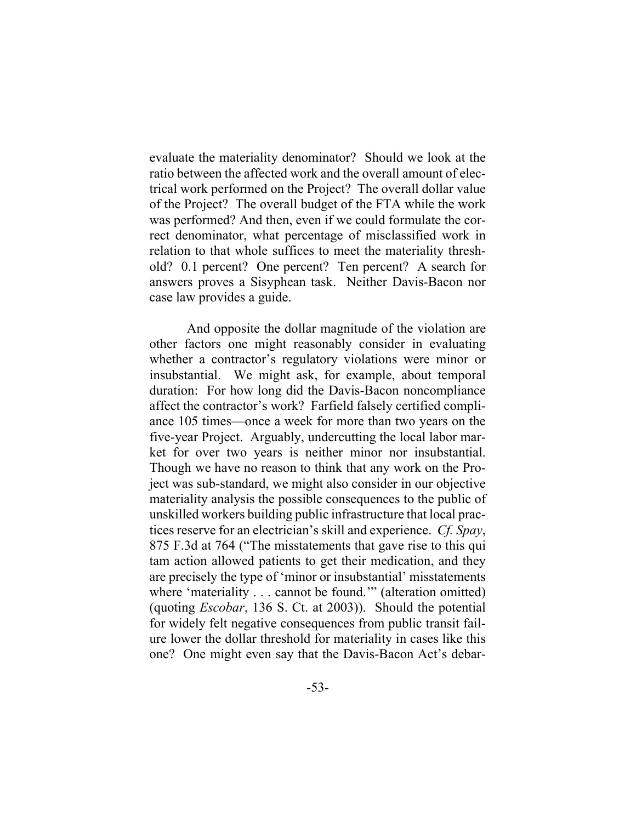evaluate the materiality denominator? Should we look at the ratio between the affected work and the overall amount of electrical work performed on the Project? The overall dollar value of the Project? The overall budget of the FTA while the work was performed? And then, even if we could formulate the correct denominator, what percentage of misclassified work in relation to that whole suffices to meet the materiality threshold? 0.1 percent? One percent? Ten percent? A search for answers proves a Sisyphean task. Neither Davis-Bacon nor case law provides a guide.

And opposite the dollar magnitude of the violation are other factors one might reasonably consider in evaluating whether a contractor's regulatory violations were minor or insubstantial. We might ask, for example, about temporal duration: For how long did the Davis-Bacon noncompliance affect the contractor's work? Farfield falsely certified compliance 105 times—once a week for more than two years on the five-year Project. Arguably, undercutting the local labor market for over two years is neither minor nor insubstantial. Though we have no reason to think that any work on the Project was sub-standard, we might also consider in our objective materiality analysis the possible consequences to the public of unskilled workers building public infrastructure that local practices reserve for an electrician's skill and experience. *Cf. Spay*, 875 F.3d at 764 ("The misstatements that gave rise to this qui tam action allowed patients to get their medication, and they are precisely the type of 'minor or insubstantial' misstatements where 'materiality . . . cannot be found." (alteration omitted) (quoting *Escobar*, 136 S. Ct. at 2003)). Should the potential for widely felt negative consequences from public transit failure lower the dollar threshold for materiality in cases like this one? One might even say that the Davis-Bacon Act's debar-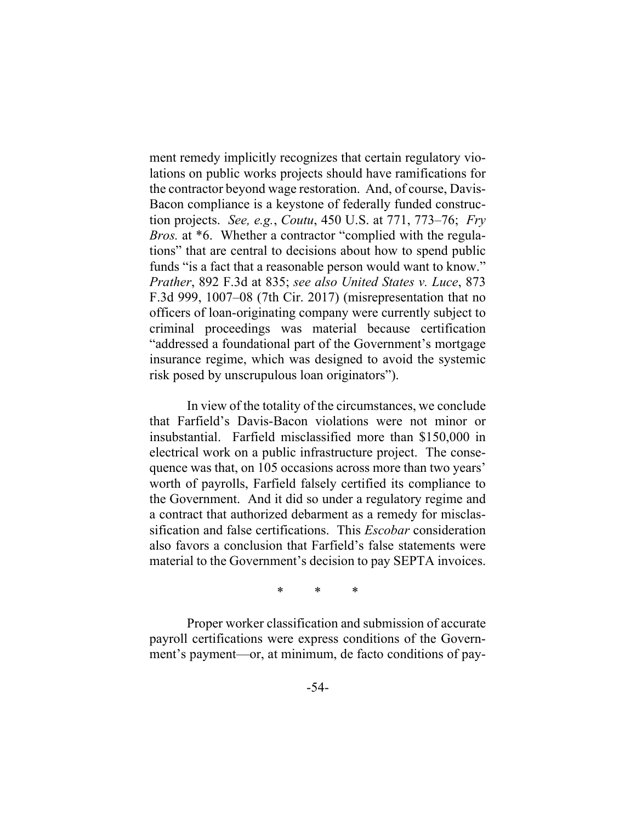ment remedy implicitly recognizes that certain regulatory violations on public works projects should have ramifications for the contractor beyond wage restoration. And, of course, Davis-Bacon compliance is a keystone of federally funded construction projects. *See, e.g.*, *Coutu*, 450 U.S. at 771, 773–76; *Fry Bros.* at \*6. Whether a contractor "complied with the regulations" that are central to decisions about how to spend public funds "is a fact that a reasonable person would want to know." *Prather*, 892 F.3d at 835; *see also United States v. Luce*, 873 F.3d 999, 1007–08 (7th Cir. 2017) (misrepresentation that no officers of loan-originating company were currently subject to criminal proceedings was material because certification "addressed a foundational part of the Government's mortgage insurance regime, which was designed to avoid the systemic risk posed by unscrupulous loan originators").

In view of the totality of the circumstances, we conclude that Farfield's Davis-Bacon violations were not minor or insubstantial. Farfield misclassified more than \$150,000 in electrical work on a public infrastructure project. The consequence was that, on 105 occasions across more than two years' worth of payrolls, Farfield falsely certified its compliance to the Government. And it did so under a regulatory regime and a contract that authorized debarment as a remedy for misclassification and false certifications. This *Escobar* consideration also favors a conclusion that Farfield's false statements were material to the Government's decision to pay SEPTA invoices.

\* \* \*

Proper worker classification and submission of accurate payroll certifications were express conditions of the Government's payment—or, at minimum, de facto conditions of pay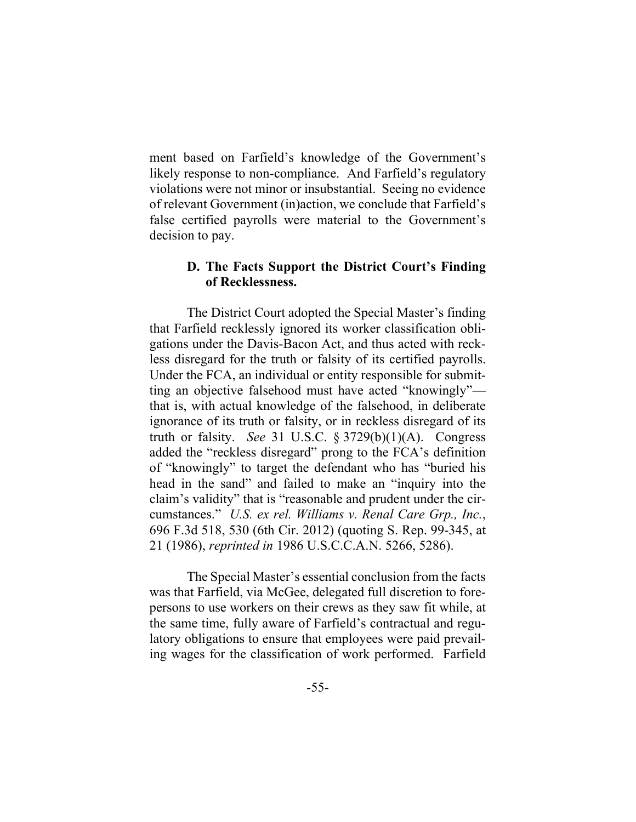ment based on Farfield's knowledge of the Government's likely response to non-compliance. And Farfield's regulatory violations were not minor or insubstantial. Seeing no evidence of relevant Government (in)action, we conclude that Farfield's false certified payrolls were material to the Government's decision to pay.

## **D. The Facts Support the District Court's Finding of Recklessness.**

The District Court adopted the Special Master's finding that Farfield recklessly ignored its worker classification obligations under the Davis-Bacon Act, and thus acted with reckless disregard for the truth or falsity of its certified payrolls. Under the FCA, an individual or entity responsible for submitting an objective falsehood must have acted "knowingly" that is, with actual knowledge of the falsehood, in deliberate ignorance of its truth or falsity, or in reckless disregard of its truth or falsity. *See* 31 U.S.C. § 3729(b)(1)(A). Congress added the "reckless disregard" prong to the FCA's definition of "knowingly" to target the defendant who has "buried his head in the sand" and failed to make an "inquiry into the claim's validity" that is "reasonable and prudent under the circumstances." *U.S. ex rel. Williams v. Renal Care Grp., Inc.*, 696 F.3d 518, 530 (6th Cir. 2012) (quoting S. Rep. 99-345, at 21 (1986), *reprinted in* 1986 U.S.C.C.A.N. 5266, 5286).

The Special Master's essential conclusion from the facts was that Farfield, via McGee, delegated full discretion to forepersons to use workers on their crews as they saw fit while, at the same time, fully aware of Farfield's contractual and regulatory obligations to ensure that employees were paid prevailing wages for the classification of work performed. Farfield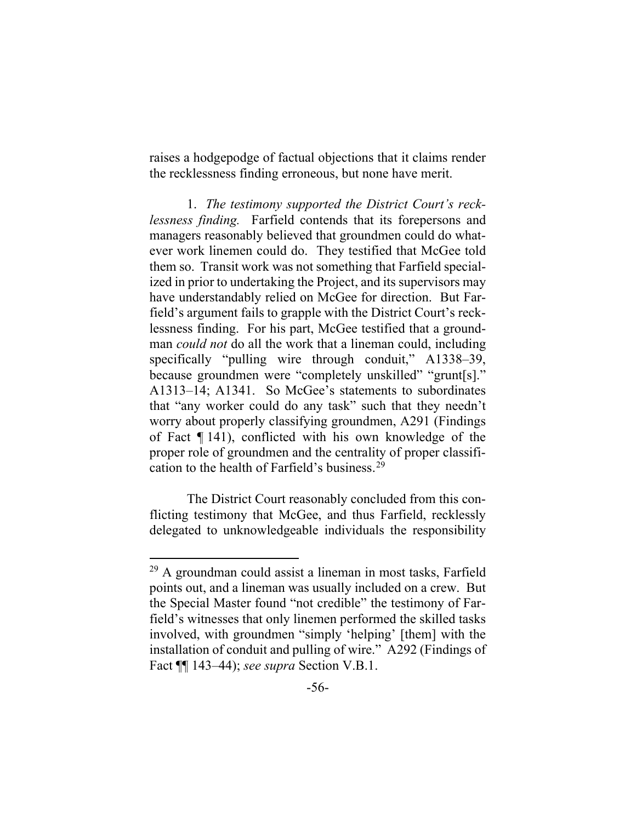raises a hodgepodge of factual objections that it claims render the recklessness finding erroneous, but none have merit.

1. *The testimony supported the District Court's recklessness finding.* Farfield contends that its forepersons and managers reasonably believed that groundmen could do whatever work linemen could do. They testified that McGee told them so. Transit work was not something that Farfield specialized in prior to undertaking the Project, and its supervisors may have understandably relied on McGee for direction. But Farfield's argument fails to grapple with the District Court's recklessness finding. For his part, McGee testified that a groundman *could not* do all the work that a lineman could, including specifically "pulling wire through conduit," A1338–39, because groundmen were "completely unskilled" "grunt[s]." A1313–14; A1341. So McGee's statements to subordinates that "any worker could do any task" such that they needn't worry about properly classifying groundmen, A291 (Findings of Fact ¶ 141), conflicted with his own knowledge of the proper role of groundmen and the centrality of proper classification to the health of Farfield's business. 29

The District Court reasonably concluded from this conflicting testimony that McGee, and thus Farfield, recklessly delegated to unknowledgeable individuals the responsibility

 $29$  A groundman could assist a lineman in most tasks, Farfield points out, and a lineman was usually included on a crew. But the Special Master found "not credible" the testimony of Farfield's witnesses that only linemen performed the skilled tasks involved, with groundmen "simply 'helping' [them] with the installation of conduit and pulling of wire." A292 (Findings of Fact ¶¶ 143–44); *see supra* Section V.B.1.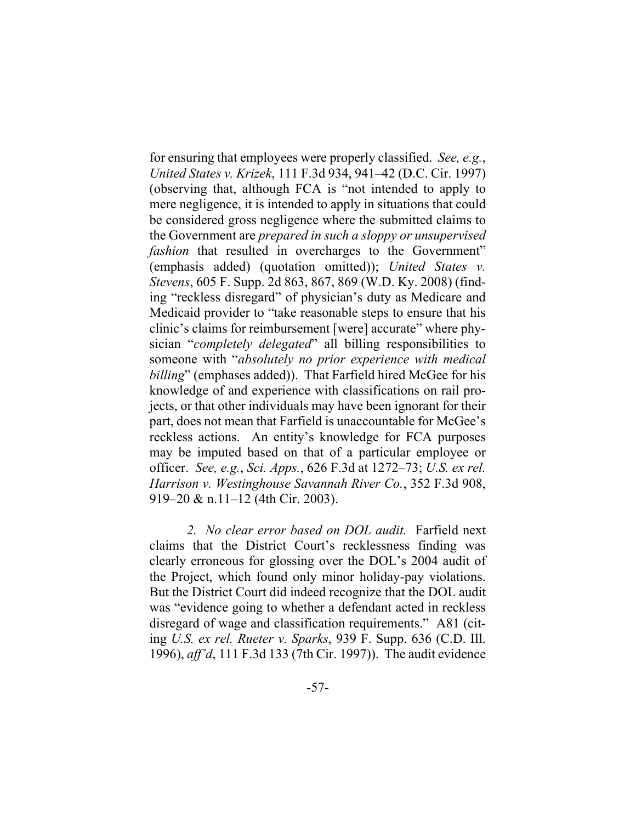for ensuring that employees were properly classified. *See, e.g.*, *United States v. Krizek*, 111 F.3d 934, 941–42 (D.C. Cir. 1997) (observing that, although FCA is "not intended to apply to mere negligence, it is intended to apply in situations that could be considered gross negligence where the submitted claims to the Government are *prepared in such a sloppy or unsupervised fashion* that resulted in overcharges to the Government" (emphasis added) (quotation omitted)); *United States v. Stevens*, 605 F. Supp. 2d 863, 867, 869 (W.D. Ky. 2008) (finding "reckless disregard" of physician's duty as Medicare and Medicaid provider to "take reasonable steps to ensure that his clinic's claims for reimbursement [were] accurate" where physician "*completely delegated*" all billing responsibilities to someone with "*absolutely no prior experience with medical billing*" (emphases added)). That Farfield hired McGee for his knowledge of and experience with classifications on rail projects, or that other individuals may have been ignorant for their part, does not mean that Farfield is unaccountable for McGee's reckless actions. An entity's knowledge for FCA purposes may be imputed based on that of a particular employee or officer. *See, e.g.*, *Sci. Apps.*, 626 F.3d at 1272–73; *U.S. ex rel. Harrison v. Westinghouse Savannah River Co.*, 352 F.3d 908, 919–20 & n.11–12 (4th Cir. 2003).

*2. No clear error based on DOL audit.* Farfield next claims that the District Court's recklessness finding was clearly erroneous for glossing over the DOL's 2004 audit of the Project, which found only minor holiday-pay violations. But the District Court did indeed recognize that the DOL audit was "evidence going to whether a defendant acted in reckless disregard of wage and classification requirements." A81 (citing *U.S. ex rel. Rueter v. Sparks*, 939 F. Supp. 636 (C.D. Ill. 1996), *aff'd*, 111 F.3d 133 (7th Cir. 1997)). The audit evidence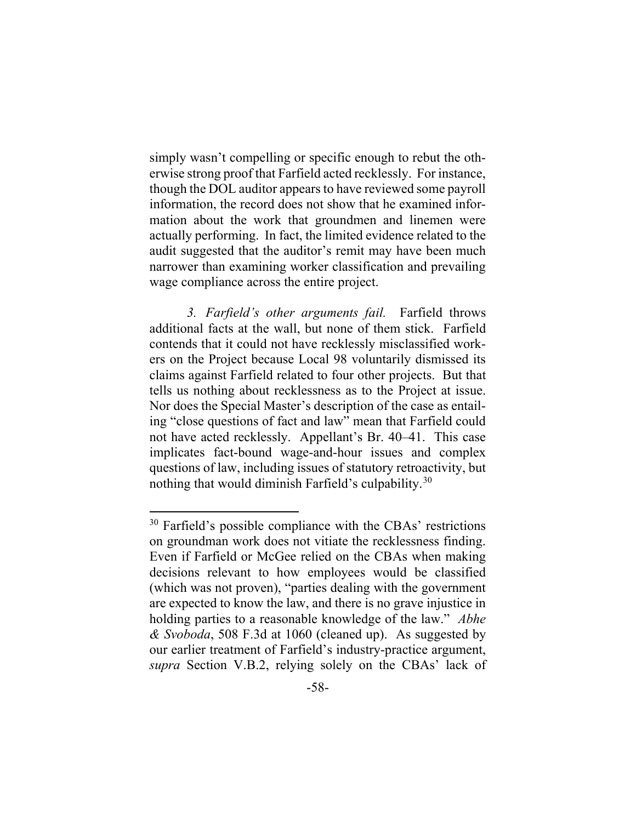simply wasn't compelling or specific enough to rebut the otherwise strong proof that Farfield acted recklessly. For instance, though the DOL auditor appears to have reviewed some payroll information, the record does not show that he examined information about the work that groundmen and linemen were actually performing. In fact, the limited evidence related to the audit suggested that the auditor's remit may have been much narrower than examining worker classification and prevailing wage compliance across the entire project.

*3. Farfield's other arguments fail.* Farfield throws additional facts at the wall, but none of them stick. Farfield contends that it could not have recklessly misclassified workers on the Project because Local 98 voluntarily dismissed its claims against Farfield related to four other projects. But that tells us nothing about recklessness as to the Project at issue. Nor does the Special Master's description of the case as entailing "close questions of fact and law" mean that Farfield could not have acted recklessly. Appellant's Br. 40–41. This case implicates fact-bound wage-and-hour issues and complex questions of law, including issues of statutory retroactivity, but nothing that would diminish Farfield's culpability.<sup>30</sup>

<sup>&</sup>lt;sup>30</sup> Farfield's possible compliance with the CBAs' restrictions on groundman work does not vitiate the recklessness finding. Even if Farfield or McGee relied on the CBAs when making decisions relevant to how employees would be classified (which was not proven), "parties dealing with the government are expected to know the law, and there is no grave injustice in holding parties to a reasonable knowledge of the law." *Abhe & Svoboda*, 508 F.3d at 1060 (cleaned up). As suggested by our earlier treatment of Farfield's industry-practice argument, *supra* Section V.B.2, relying solely on the CBAs' lack of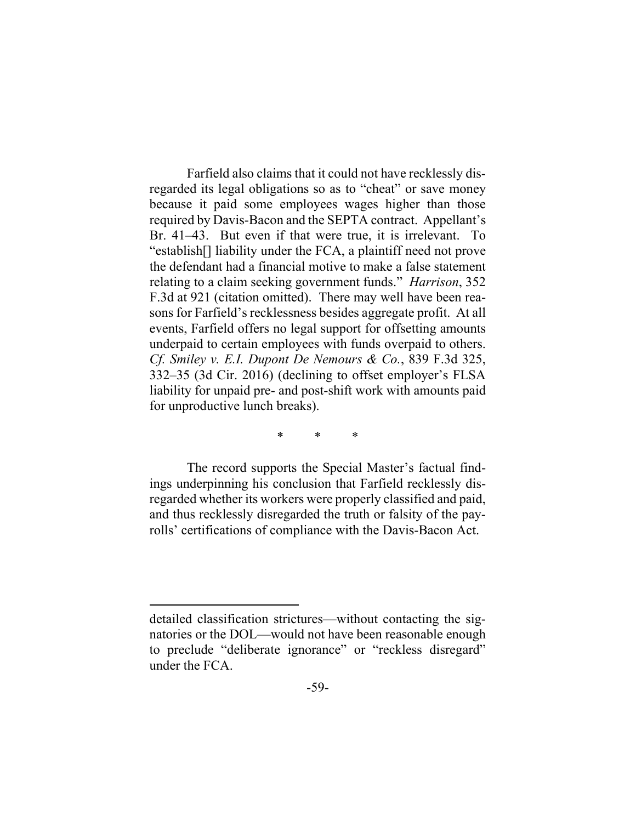Farfield also claims that it could not have recklessly disregarded its legal obligations so as to "cheat" or save money because it paid some employees wages higher than those required by Davis-Bacon and the SEPTA contract. Appellant's Br. 41–43.But even if that were true, it is irrelevant. To "establish[] liability under the FCA, a plaintiff need not prove the defendant had a financial motive to make a false statement relating to a claim seeking government funds." *Harrison*, 352 F.3d at 921 (citation omitted). There may well have been reasons for Farfield's recklessness besides aggregate profit. At all events, Farfield offers no legal support for offsetting amounts underpaid to certain employees with funds overpaid to others. *Cf. Smiley v. E.I. Dupont De Nemours & Co.*, 839 F.3d 325, 332–35 (3d Cir. 2016) (declining to offset employer's FLSA liability for unpaid pre- and post-shift work with amounts paid for unproductive lunch breaks).

\* \* \*

The record supports the Special Master's factual findings underpinning his conclusion that Farfield recklessly disregarded whether its workers were properly classified and paid, and thus recklessly disregarded the truth or falsity of the payrolls' certifications of compliance with the Davis-Bacon Act.

detailed classification strictures—without contacting the signatories or the DOL—would not have been reasonable enough to preclude "deliberate ignorance" or "reckless disregard" under the FCA.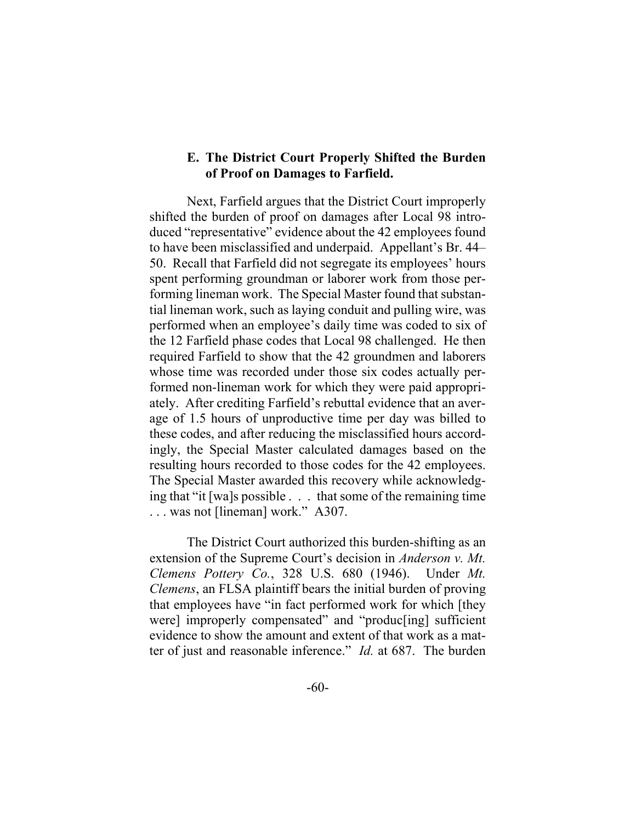## **E. The District Court Properly Shifted the Burden of Proof on Damages to Farfield.**

Next, Farfield argues that the District Court improperly shifted the burden of proof on damages after Local 98 introduced "representative" evidence about the 42 employees found to have been misclassified and underpaid. Appellant's Br. 44– 50. Recall that Farfield did not segregate its employees' hours spent performing groundman or laborer work from those performing lineman work. The Special Master found that substantial lineman work, such as laying conduit and pulling wire, was performed when an employee's daily time was coded to six of the 12 Farfield phase codes that Local 98 challenged. He then required Farfield to show that the 42 groundmen and laborers whose time was recorded under those six codes actually performed non-lineman work for which they were paid appropriately. After crediting Farfield's rebuttal evidence that an average of 1.5 hours of unproductive time per day was billed to these codes, and after reducing the misclassified hours accordingly, the Special Master calculated damages based on the resulting hours recorded to those codes for the 42 employees. The Special Master awarded this recovery while acknowledging that "it [wa]s possible . . . that some of the remaining time . . . was not [lineman] work." A307.

The District Court authorized this burden-shifting as an extension of the Supreme Court's decision in *Anderson v. Mt. Clemens Pottery Co.*, 328 U.S. 680 (1946). Under *Mt. Clemens*, an FLSA plaintiff bears the initial burden of proving that employees have "in fact performed work for which [they were] improperly compensated" and "produc[ing] sufficient evidence to show the amount and extent of that work as a matter of just and reasonable inference." *Id.* at 687. The burden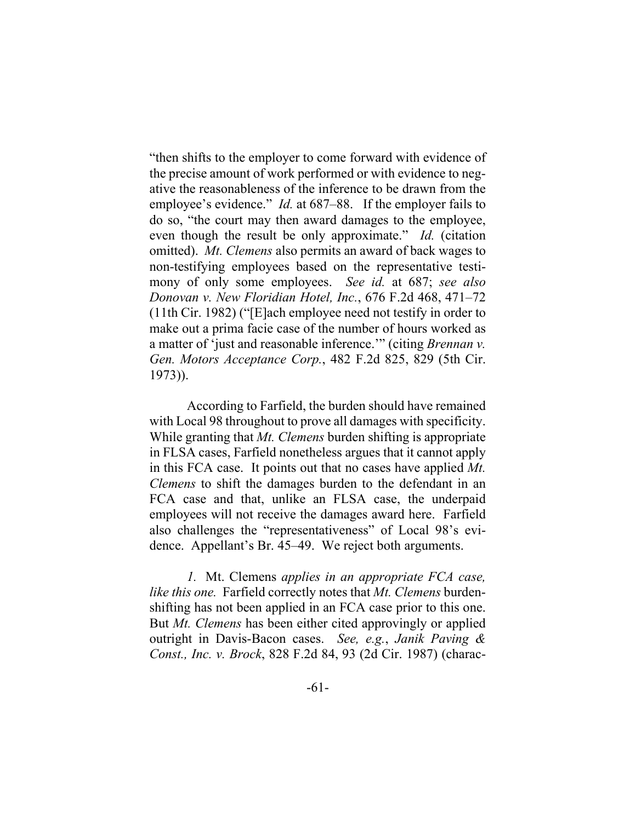"then shifts to the employer to come forward with evidence of the precise amount of work performed or with evidence to negative the reasonableness of the inference to be drawn from the employee's evidence." *Id.* at 687–88. If the employer fails to do so, "the court may then award damages to the employee, even though the result be only approximate." *Id.* (citation omitted). *Mt. Clemens* also permits an award of back wages to non-testifying employees based on the representative testimony of only some employees. *See id.* at 687; *see also Donovan v. New Floridian Hotel, Inc.*, 676 F.2d 468, 471–72 (11th Cir. 1982) ("[E]ach employee need not testify in order to make out a prima facie case of the number of hours worked as a matter of 'just and reasonable inference.'" (citing *Brennan v. Gen. Motors Acceptance Corp.*, 482 F.2d 825, 829 (5th Cir. 1973)).

According to Farfield, the burden should have remained with Local 98 throughout to prove all damages with specificity. While granting that *Mt. Clemens* burden shifting is appropriate in FLSA cases, Farfield nonetheless argues that it cannot apply in this FCA case. It points out that no cases have applied *Mt. Clemens* to shift the damages burden to the defendant in an FCA case and that, unlike an FLSA case, the underpaid employees will not receive the damages award here. Farfield also challenges the "representativeness" of Local 98's evidence. Appellant's Br. 45–49. We reject both arguments.

*1.* Mt. Clemens *applies in an appropriate FCA case, like this one.* Farfield correctly notes that *Mt. Clemens* burdenshifting has not been applied in an FCA case prior to this one. But *Mt. Clemens* has been either cited approvingly or applied outright in Davis-Bacon cases. *See, e.g.*, *Janik Paving & Const., Inc. v. Brock*, 828 F.2d 84, 93 (2d Cir. 1987) (charac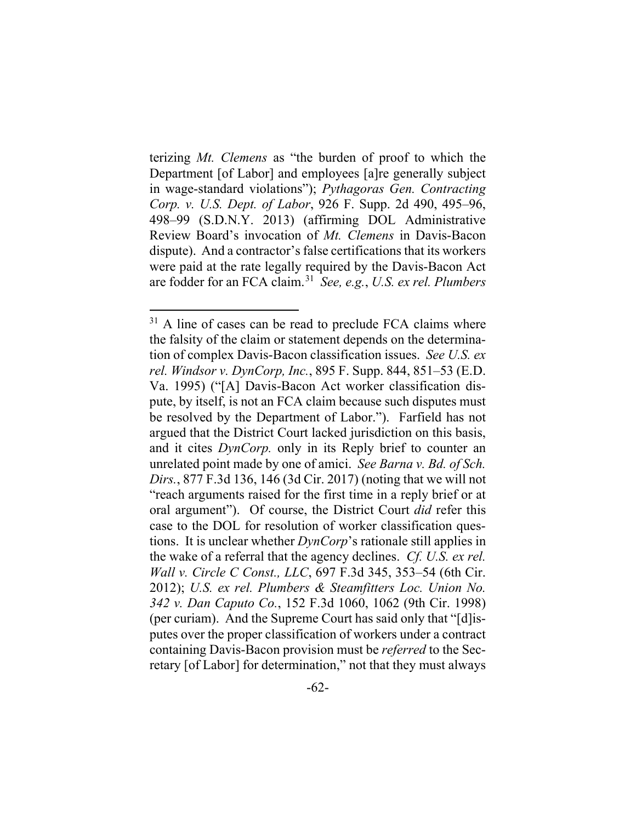terizing *Mt. Clemens* as "the burden of proof to which the Department [of Labor] and employees [a]re generally subject in wage-standard violations"); *Pythagoras Gen. Contracting Corp. v. U.S. Dept. of Labor*, 926 F. Supp. 2d 490, 495–96, 498–99 (S.D.N.Y. 2013) (affirming DOL Administrative Review Board's invocation of *Mt. Clemens* in Davis-Bacon dispute). And a contractor's false certifications that its workers were paid at the rate legally required by the Davis-Bacon Act are fodder for an FCA claim.31 *See, e.g.*, *U.S. ex rel. Plumbers* 

 $31$  A line of cases can be read to preclude FCA claims where the falsity of the claim or statement depends on the determination of complex Davis-Bacon classification issues. *See U.S. ex rel. Windsor v. DynCorp, Inc.*, 895 F. Supp. 844, 851–53 (E.D. Va. 1995) ("[A] Davis-Bacon Act worker classification dispute, by itself, is not an FCA claim because such disputes must be resolved by the Department of Labor."). Farfield has not argued that the District Court lacked jurisdiction on this basis, and it cites *DynCorp.* only in its Reply brief to counter an unrelated point made by one of amici. *See Barna v. Bd. of Sch. Dirs.*, 877 F.3d 136, 146 (3d Cir. 2017) (noting that we will not "reach arguments raised for the first time in a reply brief or at oral argument"). Of course, the District Court *did* refer this case to the DOL for resolution of worker classification questions. It is unclear whether *DynCorp*'s rationale still applies in the wake of a referral that the agency declines. *Cf. U.S. ex rel. Wall v. Circle C Const., LLC*, 697 F.3d 345, 353–54 (6th Cir. 2012); *U.S. ex rel. Plumbers & Steamfitters Loc. Union No. 342 v. Dan Caputo Co.*, 152 F.3d 1060, 1062 (9th Cir. 1998) (per curiam). And the Supreme Court has said only that "[d]isputes over the proper classification of workers under a contract containing Davis-Bacon provision must be *referred* to the Secretary [of Labor] for determination," not that they must always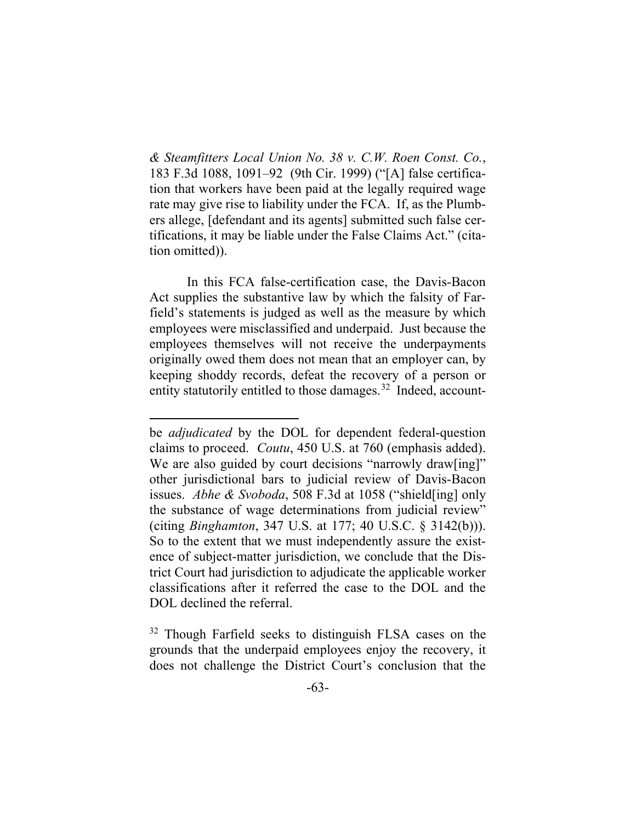*& Steamfitters Local Union No. 38 v. C.W. Roen Const. Co.*, 183 F.3d 1088, 1091–92 (9th Cir. 1999) ("[A] false certification that workers have been paid at the legally required wage rate may give rise to liability under the FCA. If, as the Plumbers allege, [defendant and its agents] submitted such false certifications, it may be liable under the False Claims Act." (citation omitted)).

In this FCA false-certification case, the Davis-Bacon Act supplies the substantive law by which the falsity of Farfield's statements is judged as well as the measure by which employees were misclassified and underpaid. Just because the employees themselves will not receive the underpayments originally owed them does not mean that an employer can, by keeping shoddy records, defeat the recovery of a person or entity statutorily entitled to those damages.<sup>32</sup> Indeed, account-

be *adjudicated* by the DOL for dependent federal-question claims to proceed. *Coutu*, 450 U.S. at 760 (emphasis added). We are also guided by court decisions "narrowly draw[ing]" other jurisdictional bars to judicial review of Davis-Bacon issues. *Abhe & Svoboda*, 508 F.3d at 1058 ("shield[ing] only the substance of wage determinations from judicial review" (citing *Binghamton*, 347 U.S. at 177; 40 U.S.C. § 3142(b))). So to the extent that we must independently assure the existence of subject-matter jurisdiction, we conclude that the District Court had jurisdiction to adjudicate the applicable worker classifications after it referred the case to the DOL and the DOL declined the referral.

<sup>&</sup>lt;sup>32</sup> Though Farfield seeks to distinguish FLSA cases on the grounds that the underpaid employees enjoy the recovery, it does not challenge the District Court's conclusion that the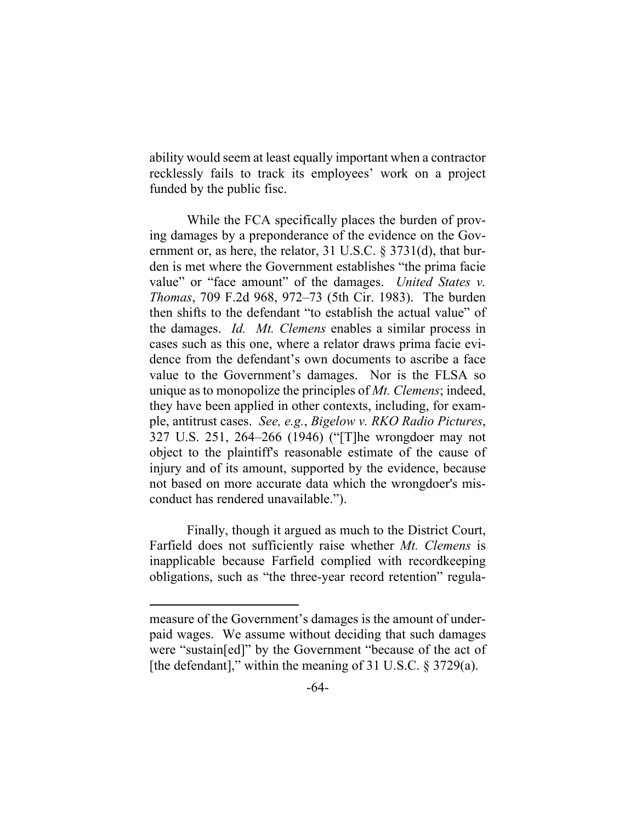ability would seem at least equally important when a contractor recklessly fails to track its employees' work on a project funded by the public fisc.

While the FCA specifically places the burden of proving damages by a preponderance of the evidence on the Government or, as here, the relator, 31 U.S.C. § 3731(d), that burden is met where the Government establishes "the prima facie value" or "face amount" of the damages. *United States v. Thomas*, 709 F.2d 968, 972–73 (5th Cir. 1983). The burden then shifts to the defendant "to establish the actual value" of the damages. *Id. Mt. Clemens* enables a similar process in cases such as this one, where a relator draws prima facie evidence from the defendant's own documents to ascribe a face value to the Government's damages. Nor is the FLSA so unique as to monopolize the principles of *Mt. Clemens*; indeed, they have been applied in other contexts, including, for example, antitrust cases. *See, e.g.*, *Bigelow v. RKO Radio Pictures*, 327 U.S. 251, 264–266 (1946) ("[T]he wrongdoer may not object to the plaintiff's reasonable estimate of the cause of injury and of its amount, supported by the evidence, because not based on more accurate data which the wrongdoer's misconduct has rendered unavailable.").

Finally, though it argued as much to the District Court, Farfield does not sufficiently raise whether *Mt. Clemens* is inapplicable because Farfield complied with recordkeeping obligations, such as "the three-year record retention" regula-

measure of the Government's damages is the amount of underpaid wages. We assume without deciding that such damages were "sustain[ed]" by the Government "because of the act of [the defendant]," within the meaning of 31 U.S.C.  $\S 3729(a)$ .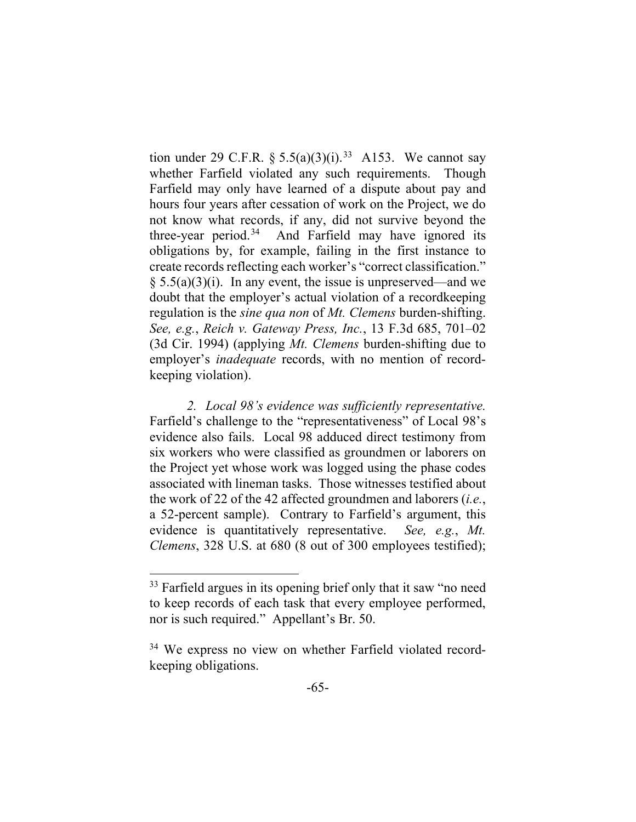tion under 29 C.F.R.  $\S 5.5(a)(3)(i).^{33}$  A153. We cannot say whether Farfield violated any such requirements. Though Farfield may only have learned of a dispute about pay and hours four years after cessation of work on the Project, we do not know what records, if any, did not survive beyond the three-year period. 34 And Farfield may have ignored its obligations by, for example, failing in the first instance to create records reflecting each worker's "correct classification."  $\S 5.5(a)(3)(i)$ . In any event, the issue is unpreserved—and we doubt that the employer's actual violation of a recordkeeping regulation is the *sine qua non* of *Mt. Clemens* burden-shifting. *See, e.g.*, *Reich v. Gateway Press, Inc.*, 13 F.3d 685, 701–02 (3d Cir. 1994) (applying *Mt. Clemens* burden-shifting due to employer's *inadequate* records, with no mention of recordkeeping violation).

*2. Local 98's evidence was sufficiently representative.* Farfield's challenge to the "representativeness" of Local 98's evidence also fails. Local 98 adduced direct testimony from six workers who were classified as groundmen or laborers on the Project yet whose work was logged using the phase codes associated with lineman tasks. Those witnesses testified about the work of 22 of the 42 affected groundmen and laborers (*i.e.*, a 52-percent sample). Contrary to Farfield's argument, this evidence is quantitatively representative. *See, e.g.*, *Mt. Clemens*, 328 U.S. at 680 (8 out of 300 employees testified);

<sup>&</sup>lt;sup>33</sup> Farfield argues in its opening brief only that it saw "no need to keep records of each task that every employee performed, nor is such required." Appellant's Br. 50.

<sup>&</sup>lt;sup>34</sup> We express no view on whether Farfield violated recordkeeping obligations.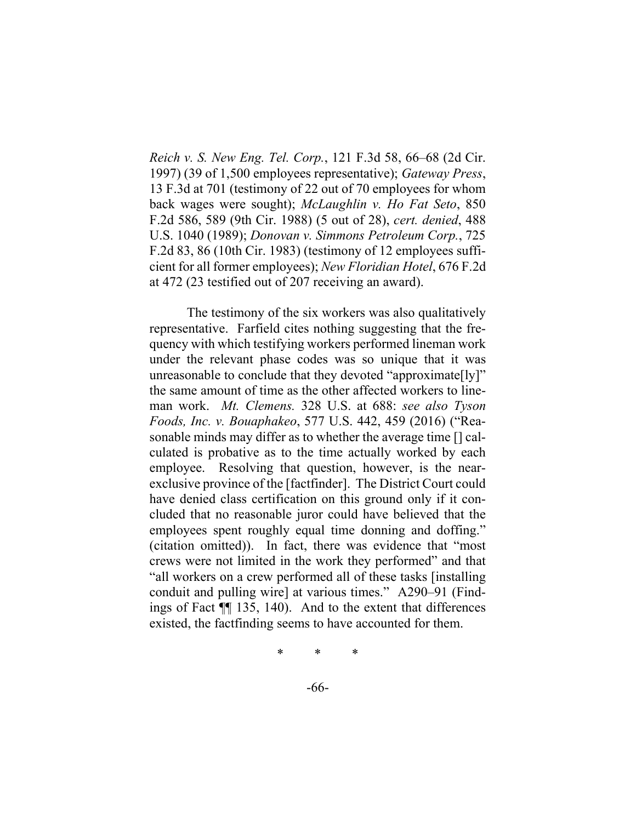*Reich v. S. New Eng. Tel. Corp.*, 121 F.3d 58, 66–68 (2d Cir. 1997) (39 of 1,500 employees representative); *Gateway Press*, 13 F.3d at 701 (testimony of 22 out of 70 employees for whom back wages were sought); *McLaughlin v. Ho Fat Seto*, 850 F.2d 586, 589 (9th Cir. 1988) (5 out of 28), *cert. denied*, 488 U.S. 1040 (1989); *Donovan v. Simmons Petroleum Corp.*, 725 F.2d 83, 86 (10th Cir. 1983) (testimony of 12 employees sufficient for all former employees); *New Floridian Hotel*, 676 F.2d at 472 (23 testified out of 207 receiving an award).

The testimony of the six workers was also qualitatively representative. Farfield cites nothing suggesting that the frequency with which testifying workers performed lineman work under the relevant phase codes was so unique that it was unreasonable to conclude that they devoted "approximate[ly]" the same amount of time as the other affected workers to lineman work. *Mt. Clemens.* 328 U.S. at 688: *see also Tyson Foods, Inc. v. Bouaphakeo*, 577 U.S. 442, 459 (2016) ("Reasonable minds may differ as to whether the average time [] calculated is probative as to the time actually worked by each employee. Resolving that question, however, is the nearexclusive province of the [factfinder]. The District Court could have denied class certification on this ground only if it concluded that no reasonable juror could have believed that the employees spent roughly equal time donning and doffing." (citation omitted)). In fact, there was evidence that "most crews were not limited in the work they performed" and that "all workers on a crew performed all of these tasks [installing conduit and pulling wire] at various times." A290–91 (Findings of Fact ¶¶ 135, 140). And to the extent that differences existed, the factfinding seems to have accounted for them.

\* \* \*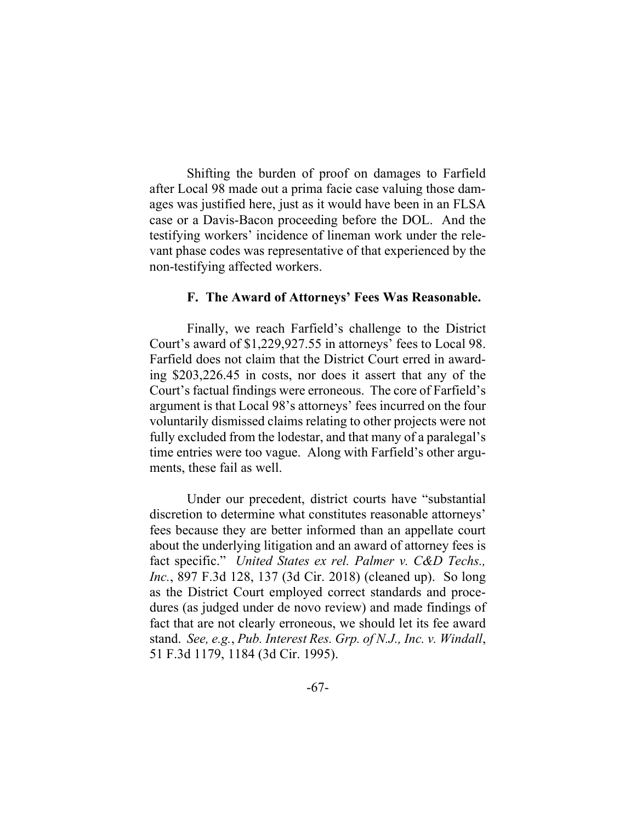Shifting the burden of proof on damages to Farfield after Local 98 made out a prima facie case valuing those damages was justified here, just as it would have been in an FLSA case or a Davis-Bacon proceeding before the DOL. And the testifying workers' incidence of lineman work under the relevant phase codes was representative of that experienced by the non-testifying affected workers.

## **F. The Award of Attorneys' Fees Was Reasonable.**

Finally, we reach Farfield's challenge to the District Court's award of \$1,229,927.55 in attorneys' fees to Local 98. Farfield does not claim that the District Court erred in awarding \$203,226.45 in costs, nor does it assert that any of the Court's factual findings were erroneous. The core of Farfield's argument is that Local 98's attorneys' fees incurred on the four voluntarily dismissed claims relating to other projects were not fully excluded from the lodestar, and that many of a paralegal's time entries were too vague. Along with Farfield's other arguments, these fail as well.

Under our precedent, district courts have "substantial discretion to determine what constitutes reasonable attorneys' fees because they are better informed than an appellate court about the underlying litigation and an award of attorney fees is fact specific." *United States ex rel. Palmer v. C&D Techs., Inc.*, 897 F.3d 128, 137 (3d Cir. 2018) (cleaned up). So long as the District Court employed correct standards and procedures (as judged under de novo review) and made findings of fact that are not clearly erroneous, we should let its fee award stand. *See, e.g.*, *Pub. Interest Res. Grp. of N.J., Inc. v. Windall*, 51 F.3d 1179, 1184 (3d Cir. 1995).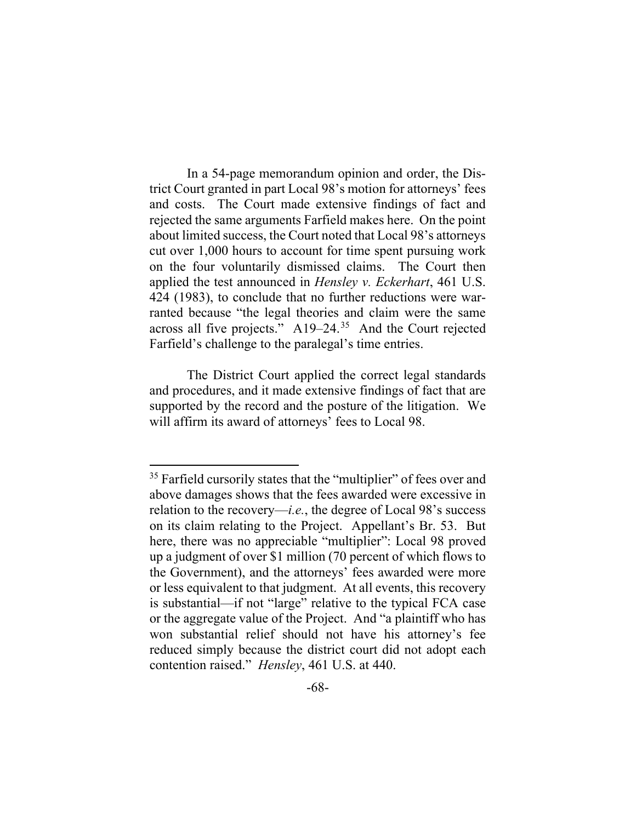In a 54-page memorandum opinion and order, the District Court granted in part Local 98's motion for attorneys' fees and costs. The Court made extensive findings of fact and rejected the same arguments Farfield makes here. On the point about limited success, the Court noted that Local 98's attorneys cut over 1,000 hours to account for time spent pursuing work on the four voluntarily dismissed claims. The Court then applied the test announced in *Hensley v. Eckerhart*, 461 U.S. 424 (1983), to conclude that no further reductions were warranted because "the legal theories and claim were the same across all five projects." A19–24.35 And the Court rejected Farfield's challenge to the paralegal's time entries.

The District Court applied the correct legal standards and procedures, and it made extensive findings of fact that are supported by the record and the posture of the litigation. We will affirm its award of attorneys' fees to Local 98.

<sup>&</sup>lt;sup>35</sup> Farfield cursorily states that the "multiplier" of fees over and above damages shows that the fees awarded were excessive in relation to the recovery—*i.e.*, the degree of Local 98's success on its claim relating to the Project. Appellant's Br. 53. But here, there was no appreciable "multiplier": Local 98 proved up a judgment of over \$1 million (70 percent of which flows to the Government), and the attorneys' fees awarded were more or less equivalent to that judgment. At all events, this recovery is substantial—if not "large" relative to the typical FCA case or the aggregate value of the Project. And "a plaintiff who has won substantial relief should not have his attorney's fee reduced simply because the district court did not adopt each contention raised." *Hensley*, 461 U.S. at 440.